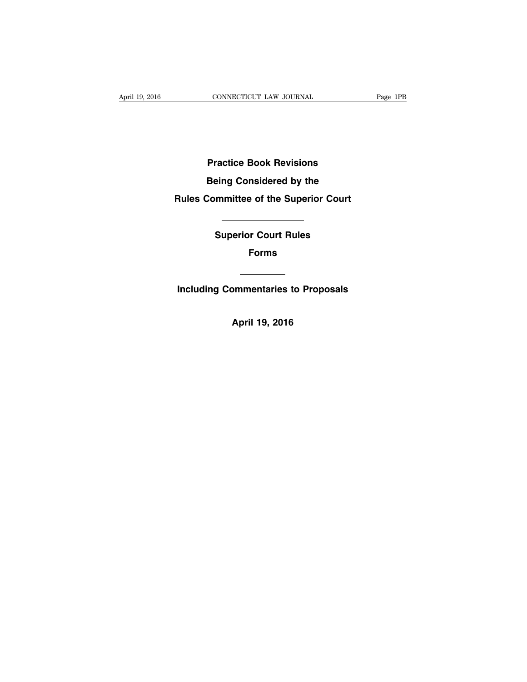**Practice Book Revisions Being Considered by the Rules Committee of the Superior Court**

**Superior Court Rules**

**Forms**

<u> 1990 - Jan Barnett, politik e</u>

**Including Commentaries to Proposals**

**April 19, 2016**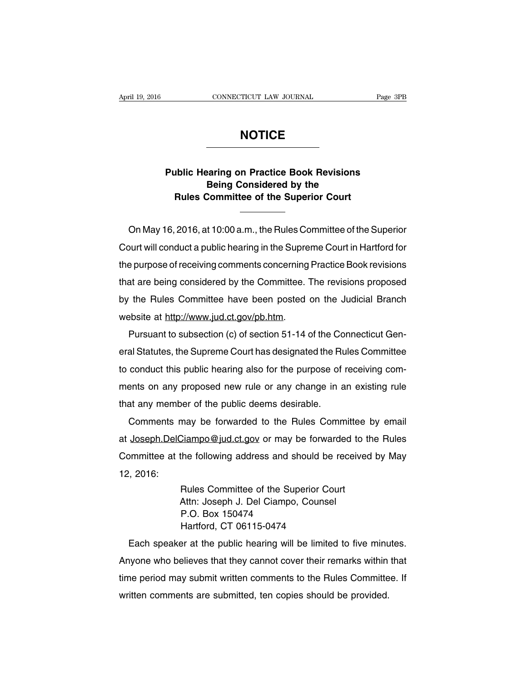## **NOTICE**

## **Public Hearing on Practice Book Revisions Being Considered by the Rules Committee of the Superior Court**

On May 16, 2016, at 10:00 a.m., the Rules Committee of the Superior Court will conduct a public hearing in the Supreme Court in Hartford for the purpose of receiving comments concerning Practice Book revisions that are being considered by the Committee. The revisions proposed by the Rules Committee have been posted on the Judicial Branch website at http://www.jud.ct.gov/pb.htm.

Pursuant to subsection (c) of section 51-14 of the Connecticut General Statutes, the Supreme Court has designated the Rules Committee to conduct this public hearing also for the purpose of receiving comments on any proposed new rule or any change in an existing rule that any member of the public deems desirable.

Comments may be forwarded to the Rules Committee by email at Joseph.DelCiampo@jud.ct.gov or may be forwarded to the Rules Committee at the following address and should be received by May 12, 2016:

> Rules Committee of the Superior Court Attn: Joseph J. Del Ciampo, Counsel P.O. Box 150474 Hartford, CT 06115-0474

Each speaker at the public hearing will be limited to five minutes. Anyone who believes that they cannot cover their remarks within that time period may submit written comments to the Rules Committee. If written comments are submitted, ten copies should be provided.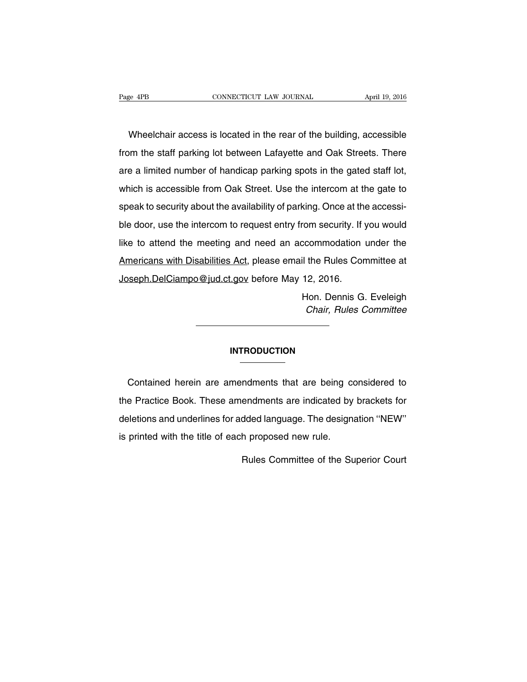Wheelchair access is located in the rear of the building, accessible from the staff parking lot between Lafayette and Oak Streets. There are a limited number of handicap parking spots in the gated staff lot, which is accessible from Oak Street. Use the intercom at the gate to speak to security about the availability of parking. Once at the accessible door, use the intercom to request entry from security. If you would like to attend the meeting and need an accommodation under the Americans with Disabilities Act, please email the Rules Committee at Joseph.DelCiampo@jud.ct.gov before May 12, 2016.

> Hon. Dennis G. Eveleigh Chair, Rules Committee

#### **INTRODUCTION**

Contained herein are amendments that are being considered to the Practice Book. These amendments are indicated by brackets for deletions and underlines for added language. The designation ''NEW'' is printed with the title of each proposed new rule.

Rules Committee of the Superior Court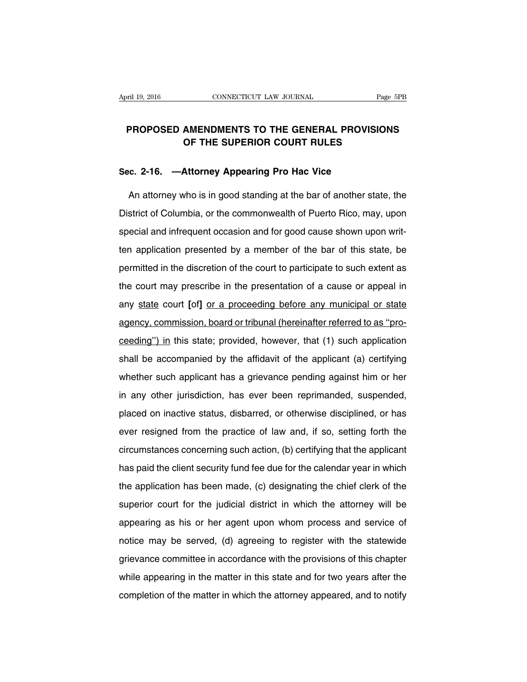## **PROPOSED AMENDMENTS TO THE GENERAL PROVISIONS OF THE SUPERIOR COURT RULES**

### **Sec. 2-16. —Attorney Appearing Pro Hac Vice**

An attorney who is in good standing at the bar of another state, the District of Columbia, or the commonwealth of Puerto Rico, may, upon special and infrequent occasion and for good cause shown upon written application presented by a member of the bar of this state, be permitted in the discretion of the court to participate to such extent as the court may prescribe in the presentation of a cause or appeal in any state court **[**of**]** or a proceeding before any municipal or state agency, commission, board or tribunal (hereinafter referred to as ''proceeding'') in this state; provided, however, that (1) such application shall be accompanied by the affidavit of the applicant (a) certifying whether such applicant has a grievance pending against him or her in any other jurisdiction, has ever been reprimanded, suspended, placed on inactive status, disbarred, or otherwise disciplined, or has ever resigned from the practice of law and, if so, setting forth the circumstances concerning such action, (b) certifying that the applicant has paid the client security fund fee due for the calendar year in which the application has been made, (c) designating the chief clerk of the superior court for the judicial district in which the attorney will be appearing as his or her agent upon whom process and service of notice may be served, (d) agreeing to register with the statewide grievance committee in accordance with the provisions of this chapter while appearing in the matter in this state and for two years after the completion of the matter in which the attorney appeared, and to notify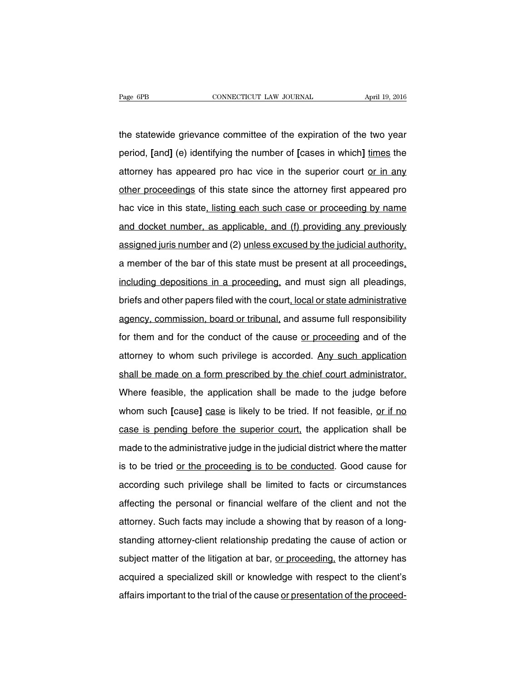the statewide grievance committee of the expiration of the two year period, **[**and**]** (e) identifying the number of **[**cases in which**]** times the attorney has appeared pro hac vice in the superior court or in any other proceedings of this state since the attorney first appeared pro hac vice in this state, listing each such case or proceeding by name and docket number, as applicable, and (f) providing any previously assigned juris number and (2) unless excused by the judicial authority, a member of the bar of this state must be present at all proceedings, including depositions in a proceeding, and must sign all pleadings, briefs and other papers filed with the court, local or state administrative agency, commission, board or tribunal, and assume full responsibility for them and for the conduct of the cause or proceeding and of the attorney to whom such privilege is accorded. Any such application shall be made on a form prescribed by the chief court administrator. Where feasible, the application shall be made to the judge before whom such **[**cause] case is likely to be tried. If not feasible, or if no case is pending before the superior court, the application shall be made to the administrative judge in the judicial district where the matter is to be tried or the proceeding is to be conducted. Good cause for according such privilege shall be limited to facts or circumstances affecting the personal or financial welfare of the client and not the attorney. Such facts may include a showing that by reason of a longstanding attorney-client relationship predating the cause of action or subject matter of the litigation at bar, or proceeding, the attorney has acquired a specialized skill or knowledge with respect to the client's affairs important to the trial of the cause or presentation of the proceed-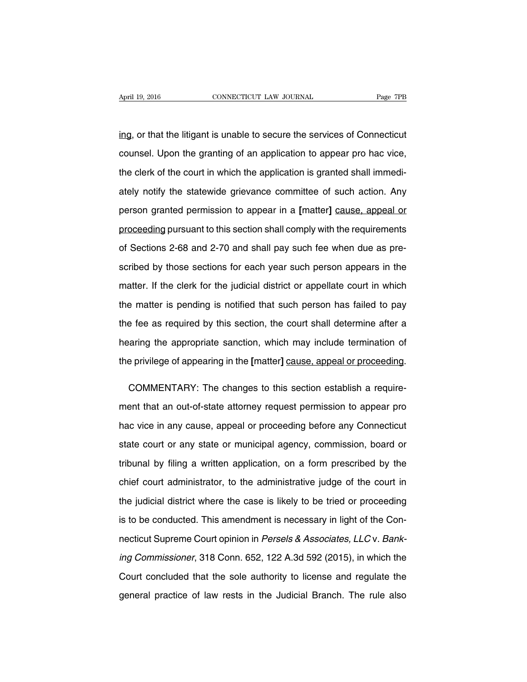ing, or that the litigant is unable to secure the services of Connecticut counsel. Upon the granting of an application to appear pro hac vice, the clerk of the court in which the application is granted shall immediately notify the statewide grievance committee of such action. Any person granted permission to appear in a **[**matter**]** cause, appeal or proceeding pursuant to this section shall comply with the requirements of Sections 2-68 and 2-70 and shall pay such fee when due as prescribed by those sections for each year such person appears in the matter. If the clerk for the judicial district or appellate court in which the matter is pending is notified that such person has failed to pay the fee as required by this section, the court shall determine after a hearing the appropriate sanction, which may include termination of the privilege of appearing in the **[**matter**]** cause, appeal or proceeding.

COMMENTARY: The changes to this section establish a requirement that an out-of-state attorney request permission to appear pro hac vice in any cause, appeal or proceeding before any Connecticut state court or any state or municipal agency, commission, board or tribunal by filing a written application, on a form prescribed by the chief court administrator, to the administrative judge of the court in the judicial district where the case is likely to be tried or proceeding is to be conducted. This amendment is necessary in light of the Connecticut Supreme Court opinion in Persels & Associates, LLC v. Banking Commissioner, 318 Conn. 652, 122 A.3d 592 (2015), in which the Court concluded that the sole authority to license and regulate the general practice of law rests in the Judicial Branch. The rule also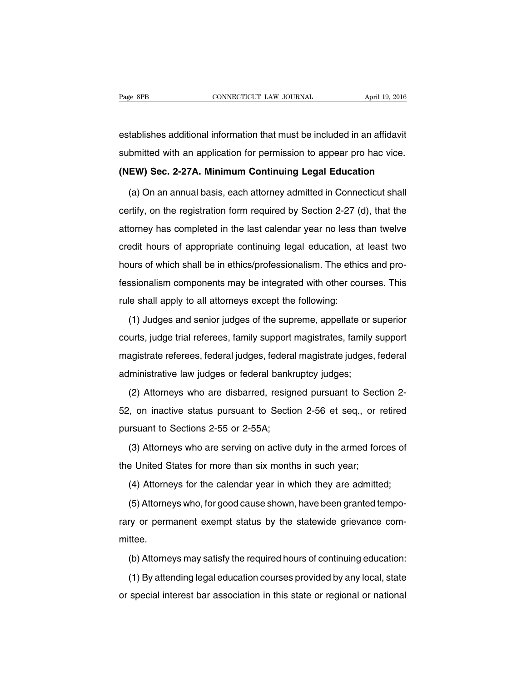establishes additional information that must be included in an affidavit submitted with an application for permission to appear pro hac vice.

**(NEW) Sec. 2-27A. Minimum Continuing Legal Education**

(a) On an annual basis, each attorney admitted in Connecticut shall certify, on the registration form required by Section 2-27 (d), that the attorney has completed in the last calendar year no less than twelve credit hours of appropriate continuing legal education, at least two hours of which shall be in ethics/professionalism. The ethics and professionalism components may be integrated with other courses. This rule shall apply to all attorneys except the following:

(1) Judges and senior judges of the supreme, appellate or superior courts, judge trial referees, family support magistrates, family support magistrate referees, federal judges, federal magistrate judges, federal administrative law judges or federal bankruptcy judges;

(2) Attorneys who are disbarred, resigned pursuant to Section 2- 52, on inactive status pursuant to Section 2-56 et seq., or retired pursuant to Sections 2-55 or 2-55A;

(3) Attorneys who are serving on active duty in the armed forces of the United States for more than six months in such year;

(4) Attorneys for the calendar year in which they are admitted;

(5) Attorneys who, for good cause shown, have been granted temporary or permanent exempt status by the statewide grievance committee.

(b) Attorneys may satisfy the required hours of continuing education:

(1) By attending legal education courses provided by any local, state or special interest bar association in this state or regional or national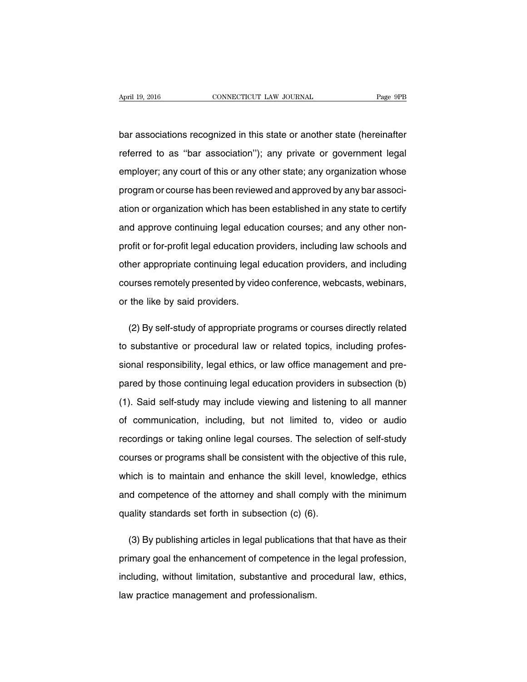bar associations recognized in this state or another state (hereinafter referred to as ''bar association''); any private or government legal employer; any court of this or any other state; any organization whose program or course has been reviewed and approved by any bar association or organization which has been established in any state to certify and approve continuing legal education courses; and any other nonprofit or for-profit legal education providers, including law schools and other appropriate continuing legal education providers, and including courses remotely presented by video conference, webcasts, webinars, or the like by said providers.

(2) By self-study of appropriate programs or courses directly related to substantive or procedural law or related topics, including professional responsibility, legal ethics, or law office management and prepared by those continuing legal education providers in subsection (b) (1). Said self-study may include viewing and listening to all manner of communication, including, but not limited to, video or audio recordings or taking online legal courses. The selection of self-study courses or programs shall be consistent with the objective of this rule, which is to maintain and enhance the skill level, knowledge, ethics and competence of the attorney and shall comply with the minimum quality standards set forth in subsection (c) (6).

(3) By publishing articles in legal publications that that have as their primary goal the enhancement of competence in the legal profession, including, without limitation, substantive and procedural law, ethics, law practice management and professionalism.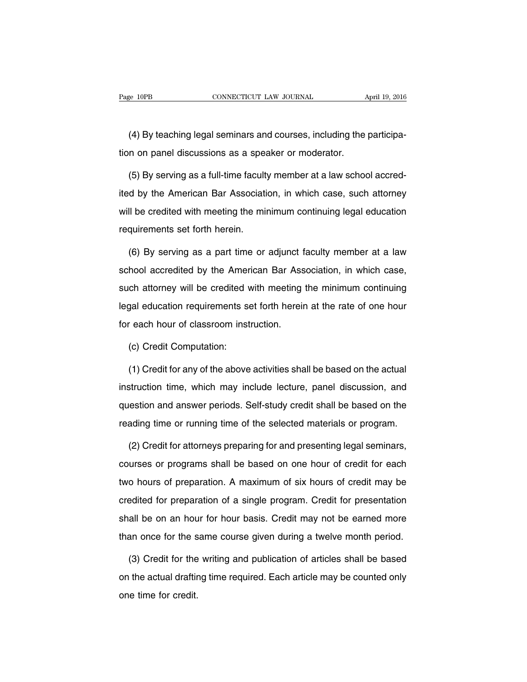(4) By teaching legal seminars and courses, including the participation on panel discussions as a speaker or moderator.

(5) By serving as a full-time faculty member at a law school accredited by the American Bar Association, in which case, such attorney will be credited with meeting the minimum continuing legal education requirements set forth herein.

(6) By serving as a part time or adjunct faculty member at a law school accredited by the American Bar Association, in which case, such attorney will be credited with meeting the minimum continuing legal education requirements set forth herein at the rate of one hour for each hour of classroom instruction.

(c) Credit Computation:

(1) Credit for any of the above activities shall be based on the actual instruction time, which may include lecture, panel discussion, and question and answer periods. Self-study credit shall be based on the reading time or running time of the selected materials or program.

(2) Credit for attorneys preparing for and presenting legal seminars, courses or programs shall be based on one hour of credit for each two hours of preparation. A maximum of six hours of credit may be credited for preparation of a single program. Credit for presentation shall be on an hour for hour basis. Credit may not be earned more than once for the same course given during a twelve month period.

(3) Credit for the writing and publication of articles shall be based on the actual drafting time required. Each article may be counted only one time for credit.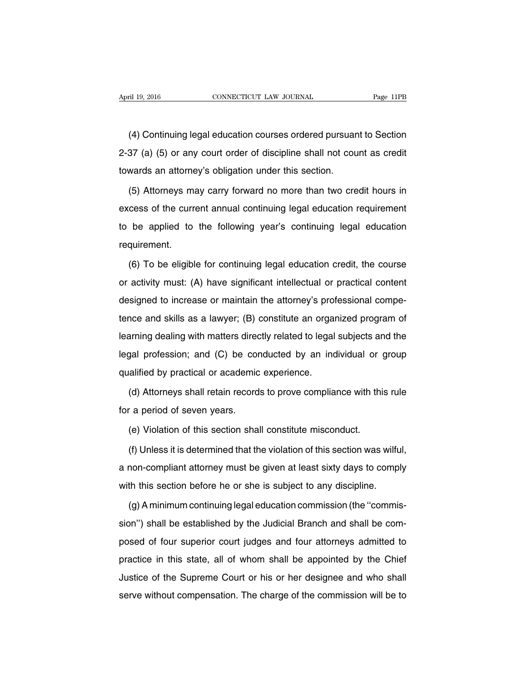(4) Continuing legal education courses ordered pursuant to Section 2-37 (a) (5) or any court order of discipline shall not count as credit towards an attorney's obligation under this section.

(5) Attorneys may carry forward no more than two credit hours in excess of the current annual continuing legal education requirement to be applied to the following year's continuing legal education requirement.

(6) To be eligible for continuing legal education credit, the course or activity must: (A) have significant intellectual or practical content designed to increase or maintain the attorney's professional competence and skills as a lawyer; (B) constitute an organized program of learning dealing with matters directly related to legal subjects and the legal profession; and (C) be conducted by an individual or group qualified by practical or academic experience.

(d) Attorneys shall retain records to prove compliance with this rule for a period of seven years.

(e) Violation of this section shall constitute misconduct.

(f) Unless it is determined that the violation of this section was wilful, a non-compliant attorney must be given at least sixty days to comply with this section before he or she is subject to any discipline.

(g) A minimum continuing legal education commission (the ''commission'') shall be established by the Judicial Branch and shall be composed of four superior court judges and four attorneys admitted to practice in this state, all of whom shall be appointed by the Chief Justice of the Supreme Court or his or her designee and who shall serve without compensation. The charge of the commission will be to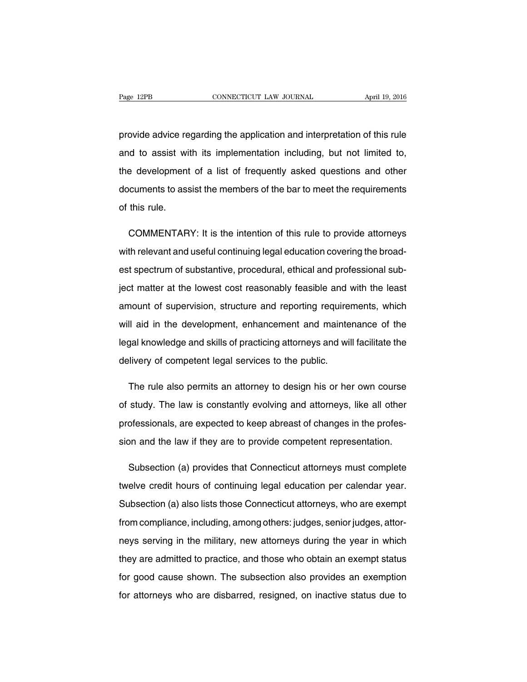provide advice regarding the application and interpretation of this rule and to assist with its implementation including, but not limited to, the development of a list of frequently asked questions and other documents to assist the members of the bar to meet the requirements of this rule.

COMMENTARY: It is the intention of this rule to provide attorneys with relevant and useful continuing legal education covering the broadest spectrum of substantive, procedural, ethical and professional subject matter at the lowest cost reasonably feasible and with the least amount of supervision, structure and reporting requirements, which will aid in the development, enhancement and maintenance of the legal knowledge and skills of practicing attorneys and will facilitate the delivery of competent legal services to the public.

The rule also permits an attorney to design his or her own course of study. The law is constantly evolving and attorneys, like all other professionals, are expected to keep abreast of changes in the profession and the law if they are to provide competent representation.

Subsection (a) provides that Connecticut attorneys must complete twelve credit hours of continuing legal education per calendar year. Subsection (a) also lists those Connecticut attorneys, who are exempt from compliance, including, among others: judges, senior judges, attorneys serving in the military, new attorneys during the year in which they are admitted to practice, and those who obtain an exempt status for good cause shown. The subsection also provides an exemption for attorneys who are disbarred, resigned, on inactive status due to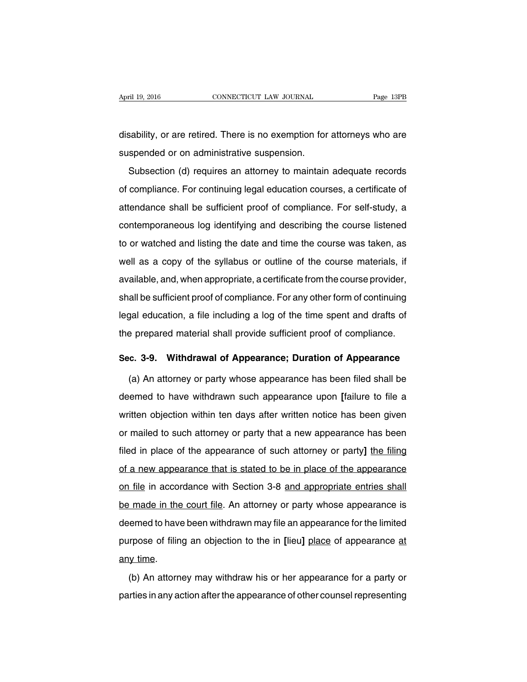disability, or are retired. There is no exemption for attorneys who are suspended or on administrative suspension.

Subsection (d) requires an attorney to maintain adequate records of compliance. For continuing legal education courses, a certificate of attendance shall be sufficient proof of compliance. For self-study, a contemporaneous log identifying and describing the course listened to or watched and listing the date and time the course was taken, as well as a copy of the syllabus or outline of the course materials, if available, and, when appropriate, a certificate from the course provider, shall be sufficient proof of compliance. For any other form of continuing legal education, a file including a log of the time spent and drafts of the prepared material shall provide sufficient proof of compliance.

#### **Sec. 3-9. Withdrawal of Appearance; Duration of Appearance**

(a) An attorney or party whose appearance has been filed shall be deemed to have withdrawn such appearance upon **[**failure to file a written objection within ten days after written notice has been given or mailed to such attorney or party that a new appearance has been filed in place of the appearance of such attorney or party**]** the filing of a new appearance that is stated to be in place of the appearance on file in accordance with Section 3-8 and appropriate entries shall be made in the court file. An attorney or party whose appearance is deemed to have been withdrawn may file an appearance for the limited purpose of filing an objection to the in **[**lieu**]** place of appearance at any time.

(b) An attorney may withdraw his or her appearance for a party or parties in any action after the appearance of other counsel representing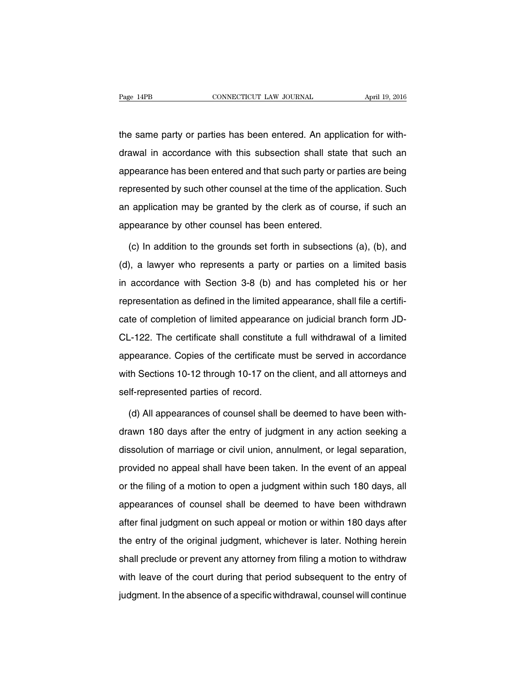the same party or parties has been entered. An application for withdrawal in accordance with this subsection shall state that such an appearance has been entered and that such party or parties are being represented by such other counsel at the time of the application. Such an application may be granted by the clerk as of course, if such an appearance by other counsel has been entered.

(c) In addition to the grounds set forth in subsections (a), (b), and (d), a lawyer who represents a party or parties on a limited basis in accordance with Section 3-8 (b) and has completed his or her representation as defined in the limited appearance, shall file a certificate of completion of limited appearance on judicial branch form JD-CL-122. The certificate shall constitute a full withdrawal of a limited appearance. Copies of the certificate must be served in accordance with Sections 10-12 through 10-17 on the client, and all attorneys and self-represented parties of record.

(d) All appearances of counsel shall be deemed to have been withdrawn 180 days after the entry of judgment in any action seeking a dissolution of marriage or civil union, annulment, or legal separation, provided no appeal shall have been taken. In the event of an appeal or the filing of a motion to open a judgment within such 180 days, all appearances of counsel shall be deemed to have been withdrawn after final judgment on such appeal or motion or within 180 days after the entry of the original judgment, whichever is later. Nothing herein shall preclude or prevent any attorney from filing a motion to withdraw with leave of the court during that period subsequent to the entry of judgment. In the absence of a specific withdrawal, counsel will continue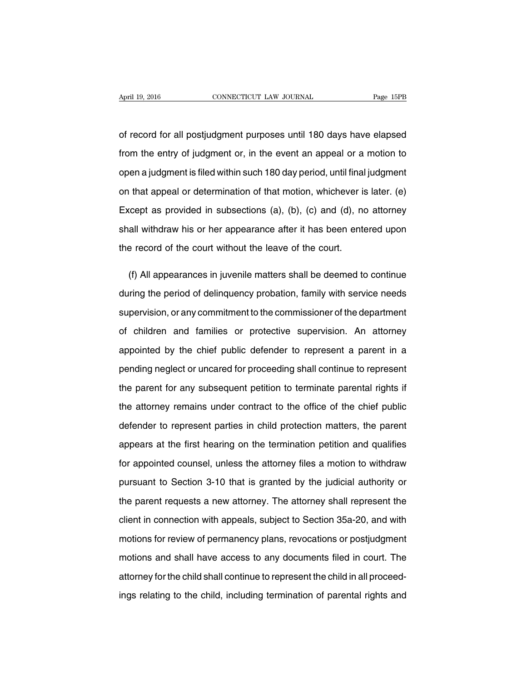of record for all postjudgment purposes until 180 days have elapsed from the entry of judgment or, in the event an appeal or a motion to open a judgment is filed within such 180 day period, until final judgment on that appeal or determination of that motion, whichever is later. (e) Except as provided in subsections (a), (b), (c) and (d), no attorney shall withdraw his or her appearance after it has been entered upon the record of the court without the leave of the court.

(f) All appearances in juvenile matters shall be deemed to continue during the period of delinquency probation, family with service needs supervision, or any commitment to the commissioner of the department of children and families or protective supervision. An attorney appointed by the chief public defender to represent a parent in a pending neglect or uncared for proceeding shall continue to represent the parent for any subsequent petition to terminate parental rights if the attorney remains under contract to the office of the chief public defender to represent parties in child protection matters, the parent appears at the first hearing on the termination petition and qualifies for appointed counsel, unless the attorney files a motion to withdraw pursuant to Section 3-10 that is granted by the judicial authority or the parent requests a new attorney. The attorney shall represent the client in connection with appeals, subject to Section 35a-20, and with motions for review of permanency plans, revocations or postjudgment motions and shall have access to any documents filed in court. The attorney for the child shall continue to represent the child in all proceedings relating to the child, including termination of parental rights and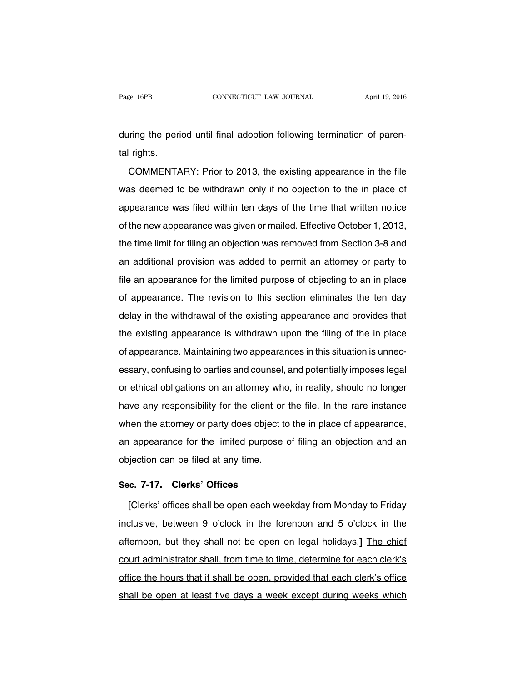during the period until final adoption following termination of parental rights.

COMMENTARY: Prior to 2013, the existing appearance in the file was deemed to be withdrawn only if no objection to the in place of appearance was filed within ten days of the time that written notice of the new appearance was given or mailed. Effective October 1, 2013, the time limit for filing an objection was removed from Section 3-8 and an additional provision was added to permit an attorney or party to file an appearance for the limited purpose of objecting to an in place of appearance. The revision to this section eliminates the ten day delay in the withdrawal of the existing appearance and provides that the existing appearance is withdrawn upon the filing of the in place of appearance. Maintaining two appearances in this situation is unnecessary, confusing to parties and counsel, and potentially imposes legal or ethical obligations on an attorney who, in reality, should no longer have any responsibility for the client or the file. In the rare instance when the attorney or party does object to the in place of appearance, an appearance for the limited purpose of filing an objection and an objection can be filed at any time.

#### **Sec. 7-17. Clerks' Offices**

[Clerks' offices shall be open each weekday from Monday to Friday inclusive, between 9 o'clock in the forenoon and 5 o'clock in the afternoon, but they shall not be open on legal holidays.**]** The chief court administrator shall, from time to time, determine for each clerk's office the hours that it shall be open, provided that each clerk's office shall be open at least five days a week except during weeks which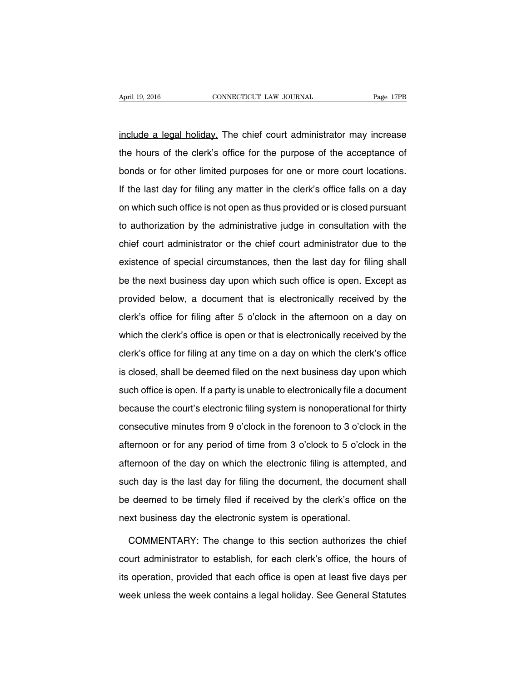include a legal holiday. The chief court administrator may increase the hours of the clerk's office for the purpose of the acceptance of bonds or for other limited purposes for one or more court locations. If the last day for filing any matter in the clerk's office falls on a day on which such office is not open as thus provided or is closed pursuant to authorization by the administrative judge in consultation with the chief court administrator or the chief court administrator due to the existence of special circumstances, then the last day for filing shall be the next business day upon which such office is open. Except as provided below, a document that is electronically received by the clerk's office for filing after 5 o'clock in the afternoon on a day on which the clerk's office is open or that is electronically received by the clerk's office for filing at any time on a day on which the clerk's office is closed, shall be deemed filed on the next business day upon which such office is open. If a party is unable to electronically file a document because the court's electronic filing system is nonoperational for thirty consecutive minutes from 9 o'clock in the forenoon to 3 o'clock in the afternoon or for any period of time from 3 o'clock to 5 o'clock in the afternoon of the day on which the electronic filing is attempted, and such day is the last day for filing the document, the document shall be deemed to be timely filed if received by the clerk's office on the next business day the electronic system is operational.

COMMENTARY: The change to this section authorizes the chief court administrator to establish, for each clerk's office, the hours of its operation, provided that each office is open at least five days per week unless the week contains a legal holiday. See General Statutes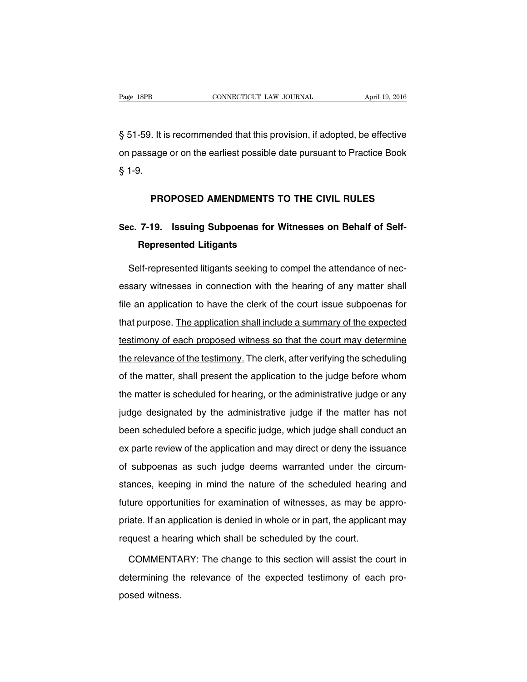§ 51-59. It is recommended that this provision, if adopted, be effective on passage or on the earliest possible date pursuant to Practice Book § 1-9.

### **PROPOSED AMENDMENTS TO THE CIVIL RULES**

# **Sec. 7-19. Issuing Subpoenas for Witnesses on Behalf of Self-Represented Litigants**

Self-represented litigants seeking to compel the attendance of necessary witnesses in connection with the hearing of any matter shall file an application to have the clerk of the court issue subpoenas for that purpose. The application shall include a summary of the expected testimony of each proposed witness so that the court may determine the relevance of the testimony. The clerk, after verifying the scheduling of the matter, shall present the application to the judge before whom the matter is scheduled for hearing, or the administrative judge or any judge designated by the administrative judge if the matter has not been scheduled before a specific judge, which judge shall conduct an ex parte review of the application and may direct or deny the issuance of subpoenas as such judge deems warranted under the circumstances, keeping in mind the nature of the scheduled hearing and future opportunities for examination of witnesses, as may be appropriate. If an application is denied in whole or in part, the applicant may request a hearing which shall be scheduled by the court.

COMMENTARY: The change to this section will assist the court in determining the relevance of the expected testimony of each proposed witness.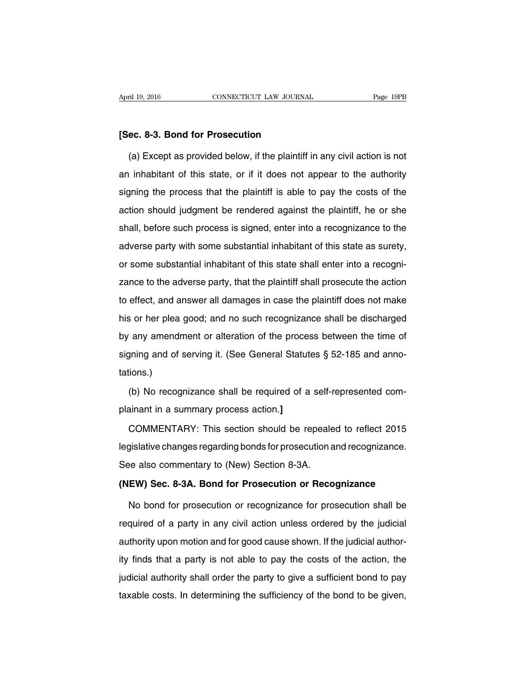#### **[Sec. 8-3. Bond for Prosecution**

(a) Except as provided below, if the plaintiff in any civil action is not an inhabitant of this state, or if it does not appear to the authority signing the process that the plaintiff is able to pay the costs of the action should judgment be rendered against the plaintiff, he or she shall, before such process is signed, enter into a recognizance to the adverse party with some substantial inhabitant of this state as surety, or some substantial inhabitant of this state shall enter into a recognizance to the adverse party, that the plaintiff shall prosecute the action to effect, and answer all damages in case the plaintiff does not make his or her plea good; and no such recognizance shall be discharged by any amendment or alteration of the process between the time of signing and of serving it. (See General Statutes § 52-185 and annotations.)

(b) No recognizance shall be required of a self-represented complainant in a summary process action.**]**

COMMENTARY: This section should be repealed to reflect 2015 legislative changes regarding bonds for prosecution and recognizance. See also commentary to (New) Section 8-3A.

#### **(NEW) Sec. 8-3A. Bond for Prosecution or Recognizance**

No bond for prosecution or recognizance for prosecution shall be required of a party in any civil action unless ordered by the judicial authority upon motion and for good cause shown. If the judicial authority finds that a party is not able to pay the costs of the action, the judicial authority shall order the party to give a sufficient bond to pay taxable costs. In determining the sufficiency of the bond to be given,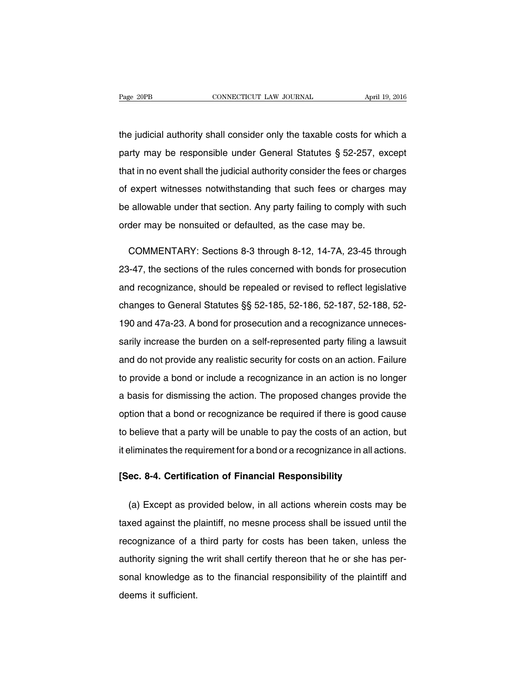the judicial authority shall consider only the taxable costs for which a party may be responsible under General Statutes § 52-257, except that in no event shall the judicial authority consider the fees or charges of expert witnesses notwithstanding that such fees or charges may be allowable under that section. Any party failing to comply with such order may be nonsuited or defaulted, as the case may be.

COMMENTARY: Sections 8-3 through 8-12, 14-7A, 23-45 through 23-47, the sections of the rules concerned with bonds for prosecution and recognizance, should be repealed or revised to reflect legislative changes to General Statutes §§ 52-185, 52-186, 52-187, 52-188, 52- 190 and 47a-23. A bond for prosecution and a recognizance unnecessarily increase the burden on a self-represented party filing a lawsuit and do not provide any realistic security for costs on an action. Failure to provide a bond or include a recognizance in an action is no longer a basis for dismissing the action. The proposed changes provide the option that a bond or recognizance be required if there is good cause to believe that a party will be unable to pay the costs of an action, but it eliminates the requirement for a bond or a recognizance in all actions.

### **[Sec. 8-4. Certification of Financial Responsibility**

(a) Except as provided below, in all actions wherein costs may be taxed against the plaintiff, no mesne process shall be issued until the recognizance of a third party for costs has been taken, unless the authority signing the writ shall certify thereon that he or she has personal knowledge as to the financial responsibility of the plaintiff and deems it sufficient.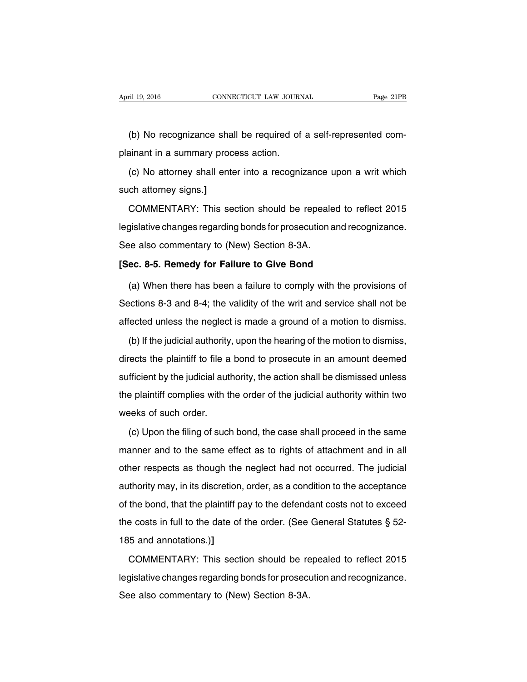(b) No recognizance shall be required of a self-represented complainant in a summary process action.

(c) No attorney shall enter into a recognizance upon a writ which such attorney signs.**]**

COMMENTARY: This section should be repealed to reflect 2015 legislative changes regarding bonds for prosecution and recognizance. See also commentary to (New) Section 8-3A.

#### **[Sec. 8-5. Remedy for Failure to Give Bond**

(a) When there has been a failure to comply with the provisions of Sections 8-3 and 8-4; the validity of the writ and service shall not be affected unless the neglect is made a ground of a motion to dismiss.

(b) If the judicial authority, upon the hearing of the motion to dismiss, directs the plaintiff to file a bond to prosecute in an amount deemed sufficient by the judicial authority, the action shall be dismissed unless the plaintiff complies with the order of the judicial authority within two weeks of such order.

(c) Upon the filing of such bond, the case shall proceed in the same manner and to the same effect as to rights of attachment and in all other respects as though the neglect had not occurred. The judicial authority may, in its discretion, order, as a condition to the acceptance of the bond, that the plaintiff pay to the defendant costs not to exceed the costs in full to the date of the order. (See General Statutes § 52- 185 and annotations.)**]**

COMMENTARY: This section should be repealed to reflect 2015 legislative changes regarding bonds for prosecution and recognizance. See also commentary to (New) Section 8-3A.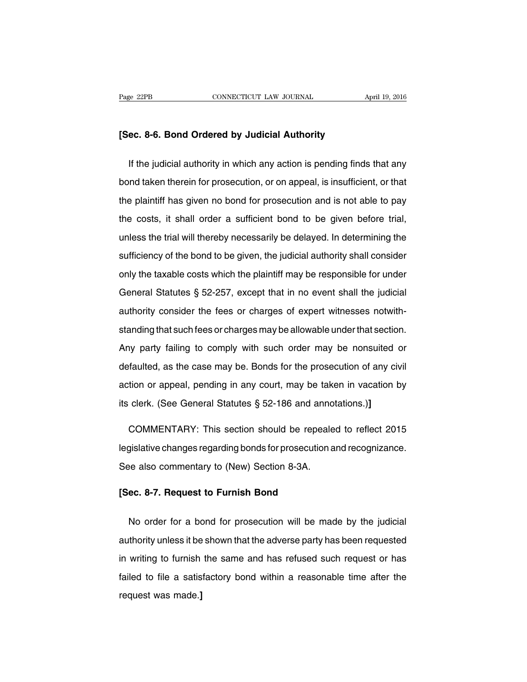### **[Sec. 8-6. Bond Ordered by Judicial Authority**

If the judicial authority in which any action is pending finds that any bond taken therein for prosecution, or on appeal, is insufficient, or that the plaintiff has given no bond for prosecution and is not able to pay the costs, it shall order a sufficient bond to be given before trial, unless the trial will thereby necessarily be delayed. In determining the sufficiency of the bond to be given, the judicial authority shall consider only the taxable costs which the plaintiff may be responsible for under General Statutes § 52-257, except that in no event shall the judicial authority consider the fees or charges of expert witnesses notwithstanding that such fees or charges may be allowable under that section. Any party failing to comply with such order may be nonsuited or defaulted, as the case may be. Bonds for the prosecution of any civil action or appeal, pending in any court, may be taken in vacation by its clerk. (See General Statutes § 52-186 and annotations.)**]**

COMMENTARY: This section should be repealed to reflect 2015 legislative changes regarding bonds for prosecution and recognizance. See also commentary to (New) Section 8-3A.

#### **[Sec. 8-7. Request to Furnish Bond**

No order for a bond for prosecution will be made by the judicial authority unless it be shown that the adverse party has been requested in writing to furnish the same and has refused such request or has failed to file a satisfactory bond within a reasonable time after the request was made.**]**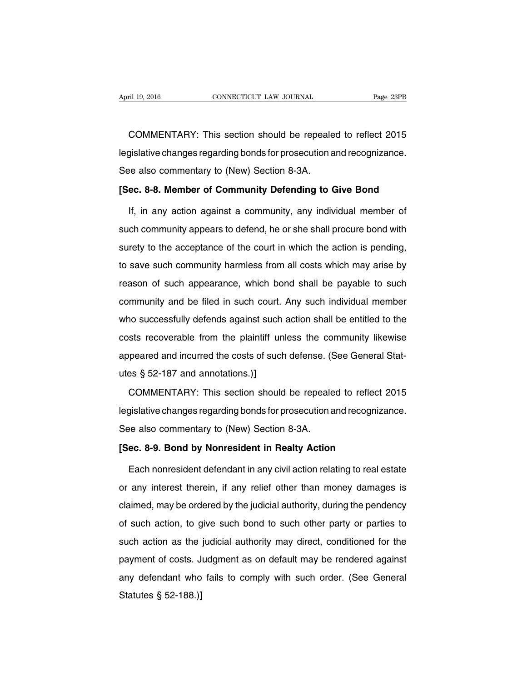COMMENTARY: This section should be repealed to reflect 2015 legislative changes regarding bonds for prosecution and recognizance. See also commentary to (New) Section 8-3A.

#### **[Sec. 8-8. Member of Community Defending to Give Bond**

If, in any action against a community, any individual member of such community appears to defend, he or she shall procure bond with surety to the acceptance of the court in which the action is pending, to save such community harmless from all costs which may arise by reason of such appearance, which bond shall be payable to such community and be filed in such court. Any such individual member who successfully defends against such action shall be entitled to the costs recoverable from the plaintiff unless the community likewise appeared and incurred the costs of such defense. (See General Statutes § 52-187 and annotations.)**]**

COMMENTARY: This section should be repealed to reflect 2015 legislative changes regarding bonds for prosecution and recognizance. See also commentary to (New) Section 8-3A.

#### **[Sec. 8-9. Bond by Nonresident in Realty Action**

Each nonresident defendant in any civil action relating to real estate or any interest therein, if any relief other than money damages is claimed, may be ordered by the judicial authority, during the pendency of such action, to give such bond to such other party or parties to such action as the judicial authority may direct, conditioned for the payment of costs. Judgment as on default may be rendered against any defendant who fails to comply with such order. (See General Statutes § 52-188.)**]**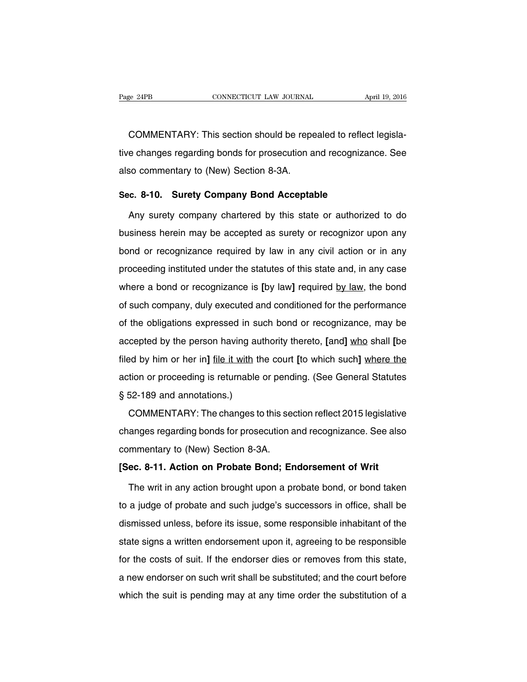COMMENTARY: This section should be repealed to reflect legislative changes regarding bonds for prosecution and recognizance. See also commentary to (New) Section 8-3A.

#### **Sec. 8-10. Surety Company Bond Acceptable**

Any surety company chartered by this state or authorized to do business herein may be accepted as surety or recognizor upon any bond or recognizance required by law in any civil action or in any proceeding instituted under the statutes of this state and, in any case where a bond or recognizance is **[**by law**]** required by law, the bond of such company, duly executed and conditioned for the performance of the obligations expressed in such bond or recognizance, may be accepted by the person having authority thereto, **[**and**]** who shall **[**be filed by him or her in**]** file it with the court **[**to which such**]** where the action or proceeding is returnable or pending. (See General Statutes § 52-189 and annotations.)

COMMENTARY: The changes to this section reflect 2015 legislative changes regarding bonds for prosecution and recognizance. See also commentary to (New) Section 8-3A.

#### **[Sec. 8-11. Action on Probate Bond; Endorsement of Writ**

The writ in any action brought upon a probate bond, or bond taken to a judge of probate and such judge's successors in office, shall be dismissed unless, before its issue, some responsible inhabitant of the state signs a written endorsement upon it, agreeing to be responsible for the costs of suit. If the endorser dies or removes from this state, a new endorser on such writ shall be substituted; and the court before which the suit is pending may at any time order the substitution of a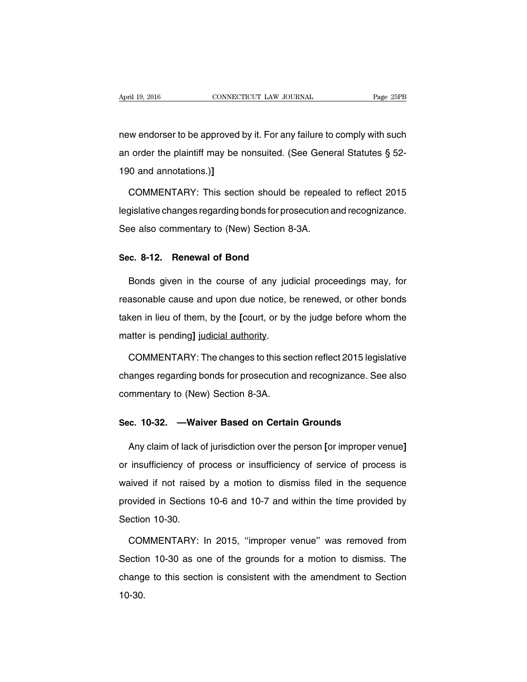new endorser to be approved by it. For any failure to comply with such an order the plaintiff may be nonsuited. (See General Statutes § 52- 190 and annotations.)**]**

COMMENTARY: This section should be repealed to reflect 2015 legislative changes regarding bonds for prosecution and recognizance. See also commentary to (New) Section 8-3A.

#### **Sec. 8-12. Renewal of Bond**

Bonds given in the course of any judicial proceedings may, for reasonable cause and upon due notice, be renewed, or other bonds taken in lieu of them, by the **[**court, or by the judge before whom the matter is pending**]** judicial authority.

COMMENTARY: The changes to this section reflect 2015 legislative changes regarding bonds for prosecution and recognizance. See also commentary to (New) Section 8-3A.

#### **Sec. 10-32. —Waiver Based on Certain Grounds**

Any claim of lack of jurisdiction over the person **[**or improper venue**]** or insufficiency of process or insufficiency of service of process is waived if not raised by a motion to dismiss filed in the sequence provided in Sections 10-6 and 10-7 and within the time provided by Section 10-30.

COMMENTARY: In 2015, ''improper venue'' was removed from Section 10-30 as one of the grounds for a motion to dismiss. The change to this section is consistent with the amendment to Section 10-30.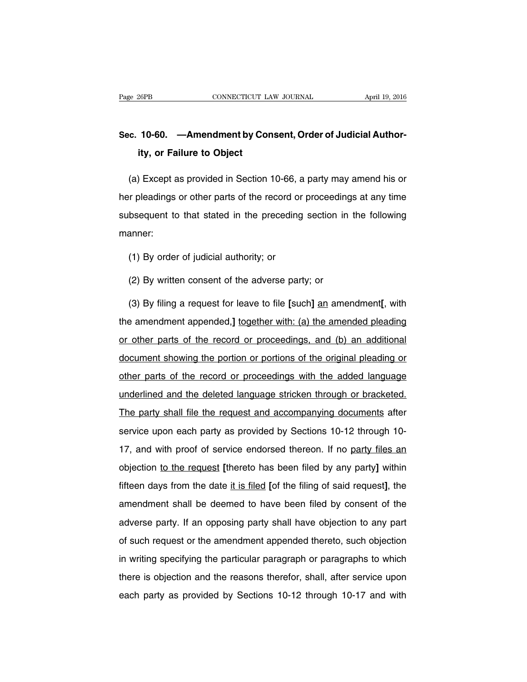## **Sec. 10-60. —Amendment by Consent, Order of Judicial Authority, or Failure to Object**

(a) Except as provided in Section 10-66, a party may amend his or her pleadings or other parts of the record or proceedings at any time subsequent to that stated in the preceding section in the following manner:

(1) By order of judicial authority; or

(2) By written consent of the adverse party; or

(3) By filing a request for leave to file **[**such**]** an amendment**[**, with the amendment appended,**]** together with: (a) the amended pleading or other parts of the record or proceedings, and (b) an additional document showing the portion or portions of the original pleading or other parts of the record or proceedings with the added language underlined and the deleted language stricken through or bracketed. The party shall file the request and accompanying documents after service upon each party as provided by Sections 10-12 through 10- 17, and with proof of service endorsed thereon. If no party files an objection to the request **[**thereto has been filed by any party**]** within fifteen days from the date it is filed **[**of the filing of said request**]**, the amendment shall be deemed to have been filed by consent of the adverse party. If an opposing party shall have objection to any part of such request or the amendment appended thereto, such objection in writing specifying the particular paragraph or paragraphs to which there is objection and the reasons therefor, shall, after service upon each party as provided by Sections 10-12 through 10-17 and with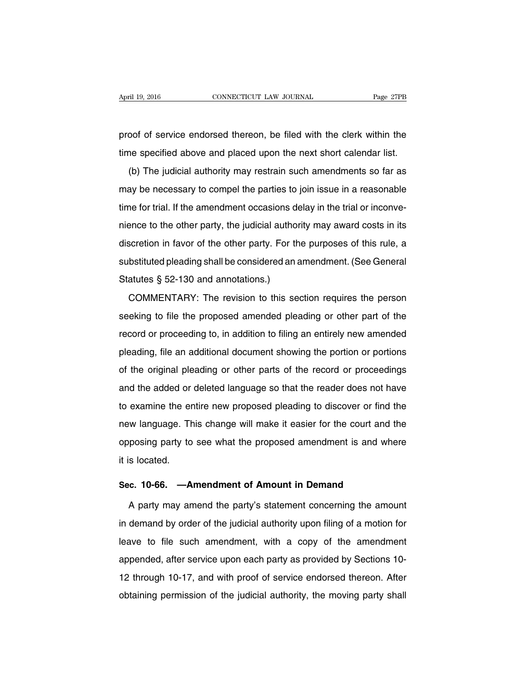proof of service endorsed thereon, be filed with the clerk within the time specified above and placed upon the next short calendar list.

(b) The judicial authority may restrain such amendments so far as may be necessary to compel the parties to join issue in a reasonable time for trial. If the amendment occasions delay in the trial or inconvenience to the other party, the judicial authority may award costs in its discretion in favor of the other party. For the purposes of this rule, a substituted pleading shall be considered an amendment. (See General Statutes § 52-130 and annotations.)

COMMENTARY: The revision to this section requires the person seeking to file the proposed amended pleading or other part of the record or proceeding to, in addition to filing an entirely new amended pleading, file an additional document showing the portion or portions of the original pleading or other parts of the record or proceedings and the added or deleted language so that the reader does not have to examine the entire new proposed pleading to discover or find the new language. This change will make it easier for the court and the opposing party to see what the proposed amendment is and where it is located.

#### **Sec. 10-66. —Amendment of Amount in Demand**

A party may amend the party's statement concerning the amount in demand by order of the judicial authority upon filing of a motion for leave to file such amendment, with a copy of the amendment appended, after service upon each party as provided by Sections 10- 12 through 10-17, and with proof of service endorsed thereon. After obtaining permission of the judicial authority, the moving party shall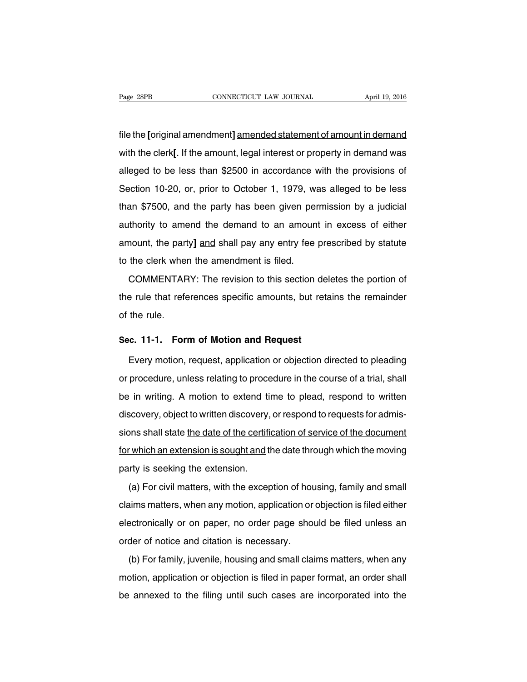file the **[**original amendment**]** amended statement of amount in demand with the clerk**[**. If the amount, legal interest or property in demand was alleged to be less than \$2500 in accordance with the provisions of Section 10-20, or, prior to October 1, 1979, was alleged to be less than \$7500, and the party has been given permission by a judicial authority to amend the demand to an amount in excess of either amount, the party**]** and shall pay any entry fee prescribed by statute to the clerk when the amendment is filed.

COMMENTARY: The revision to this section deletes the portion of the rule that references specific amounts, but retains the remainder of the rule.

#### **Sec. 11-1. Form of Motion and Request**

Every motion, request, application or objection directed to pleading or procedure, unless relating to procedure in the course of a trial, shall be in writing. A motion to extend time to plead, respond to written discovery, object to written discovery, or respond to requests for admissions shall state the date of the certification of service of the document for which an extension is sought and the date through which the moving party is seeking the extension.

(a) For civil matters, with the exception of housing, family and small claims matters, when any motion, application or objection is filed either electronically or on paper, no order page should be filed unless an order of notice and citation is necessary.

(b) For family, juvenile, housing and small claims matters, when any motion, application or objection is filed in paper format, an order shall be annexed to the filing until such cases are incorporated into the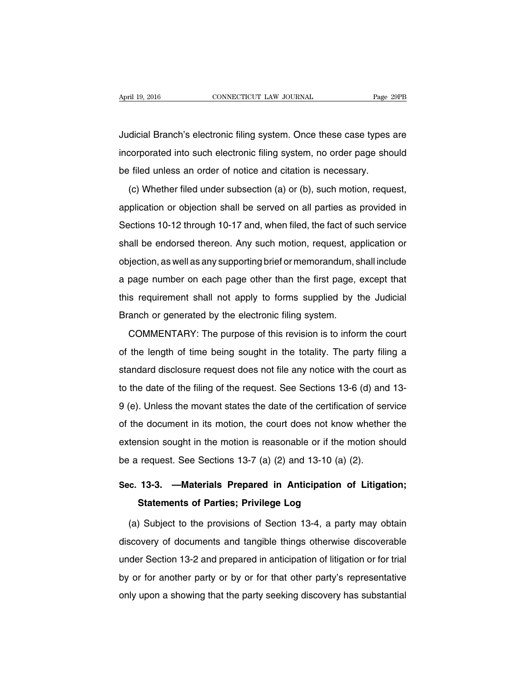Judicial Branch's electronic filing system. Once these case types are incorporated into such electronic filing system, no order page should be filed unless an order of notice and citation is necessary.

(c) Whether filed under subsection (a) or (b), such motion, request, application or objection shall be served on all parties as provided in Sections 10-12 through 10-17 and, when filed, the fact of such service shall be endorsed thereon. Any such motion, request, application or objection, as well as any supporting brief or memorandum, shall include a page number on each page other than the first page, except that this requirement shall not apply to forms supplied by the Judicial Branch or generated by the electronic filing system.

COMMENTARY: The purpose of this revision is to inform the court of the length of time being sought in the totality. The party filing a standard disclosure request does not file any notice with the court as to the date of the filing of the request. See Sections 13-6 (d) and 13- 9 (e). Unless the movant states the date of the certification of service of the document in its motion, the court does not know whether the extension sought in the motion is reasonable or if the motion should be a request. See Sections 13-7 (a) (2) and 13-10 (a) (2).

# **Sec. 13-3. —Materials Prepared in Anticipation of Litigation; Statements of Parties; Privilege Log**

(a) Subject to the provisions of Section 13-4, a party may obtain discovery of documents and tangible things otherwise discoverable under Section 13-2 and prepared in anticipation of litigation or for trial by or for another party or by or for that other party's representative only upon a showing that the party seeking discovery has substantial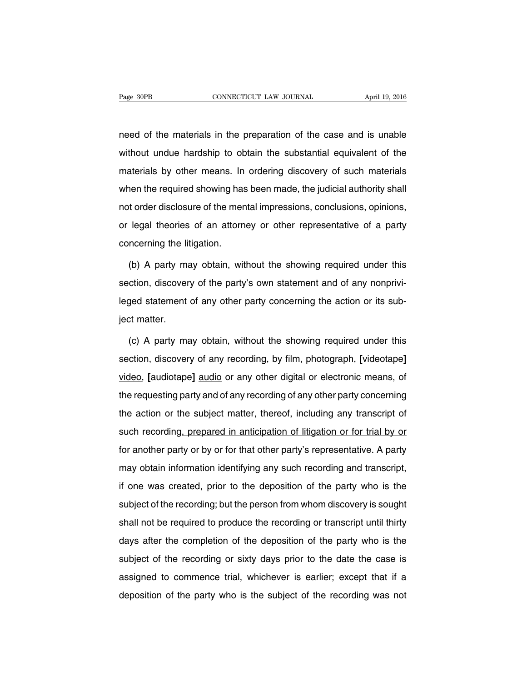need of the materials in the preparation of the case and is unable without undue hardship to obtain the substantial equivalent of the materials by other means. In ordering discovery of such materials when the required showing has been made, the judicial authority shall not order disclosure of the mental impressions, conclusions, opinions, or legal theories of an attorney or other representative of a party concerning the litigation.

(b) A party may obtain, without the showing required under this section, discovery of the party's own statement and of any nonprivileged statement of any other party concerning the action or its subject matter.

(c) A party may obtain, without the showing required under this section, discovery of any recording, by film, photograph, **[**videotape**]** video, **[**audiotape**]** audio or any other digital or electronic means, of the requesting party and of any recording of any other party concerning the action or the subject matter, thereof, including any transcript of such recording, prepared in anticipation of litigation or for trial by or for another party or by or for that other party's representative. A party may obtain information identifying any such recording and transcript, if one was created, prior to the deposition of the party who is the subject of the recording; but the person from whom discovery is sought shall not be required to produce the recording or transcript until thirty days after the completion of the deposition of the party who is the subject of the recording or sixty days prior to the date the case is assigned to commence trial, whichever is earlier; except that if a deposition of the party who is the subject of the recording was not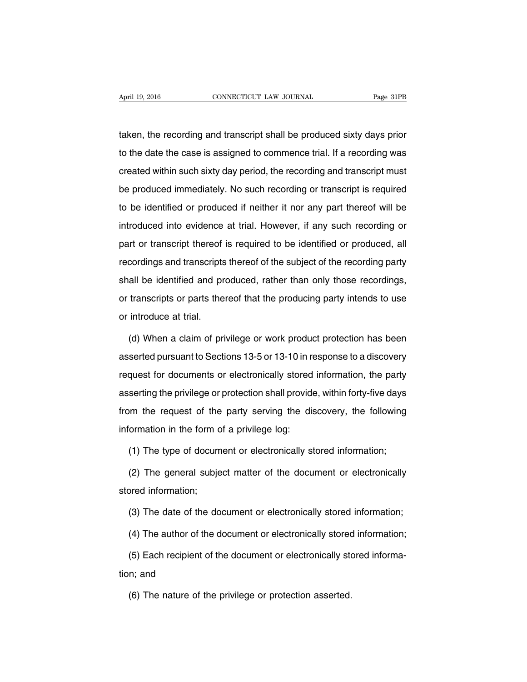taken, the recording and transcript shall be produced sixty days prior to the date the case is assigned to commence trial. If a recording was created within such sixty day period, the recording and transcript must be produced immediately. No such recording or transcript is required to be identified or produced if neither it nor any part thereof will be introduced into evidence at trial. However, if any such recording or part or transcript thereof is required to be identified or produced, all recordings and transcripts thereof of the subject of the recording party shall be identified and produced, rather than only those recordings, or transcripts or parts thereof that the producing party intends to use or introduce at trial.

(d) When a claim of privilege or work product protection has been asserted pursuant to Sections 13-5 or 13-10 in response to a discovery request for documents or electronically stored information, the party asserting the privilege or protection shall provide, within forty-five days from the request of the party serving the discovery, the following information in the form of a privilege log:

(1) The type of document or electronically stored information;

(2) The general subject matter of the document or electronically stored information;

(3) The date of the document or electronically stored information;

(4) The author of the document or electronically stored information;

(5) Each recipient of the document or electronically stored information; and

(6) The nature of the privilege or protection asserted.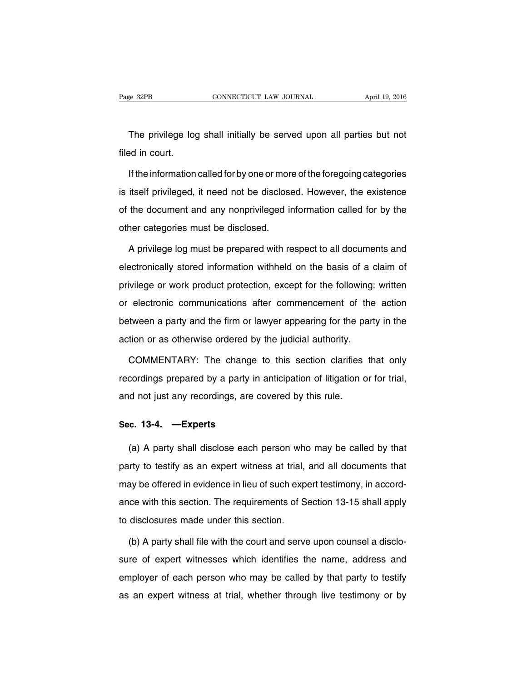The privilege log shall initially be served upon all parties but not filed in court.

If the information called for by one or more of the foregoing categories is itself privileged, it need not be disclosed. However, the existence of the document and any nonprivileged information called for by the other categories must be disclosed.

A privilege log must be prepared with respect to all documents and electronically stored information withheld on the basis of a claim of privilege or work product protection, except for the following: written or electronic communications after commencement of the action between a party and the firm or lawyer appearing for the party in the action or as otherwise ordered by the judicial authority.

COMMENTARY: The change to this section clarifies that only recordings prepared by a party in anticipation of litigation or for trial, and not just any recordings, are covered by this rule.

#### **Sec. 13-4. —Experts**

(a) A party shall disclose each person who may be called by that party to testify as an expert witness at trial, and all documents that may be offered in evidence in lieu of such expert testimony, in accordance with this section. The requirements of Section 13-15 shall apply to disclosures made under this section.

(b) A party shall file with the court and serve upon counsel a disclosure of expert witnesses which identifies the name, address and employer of each person who may be called by that party to testify as an expert witness at trial, whether through live testimony or by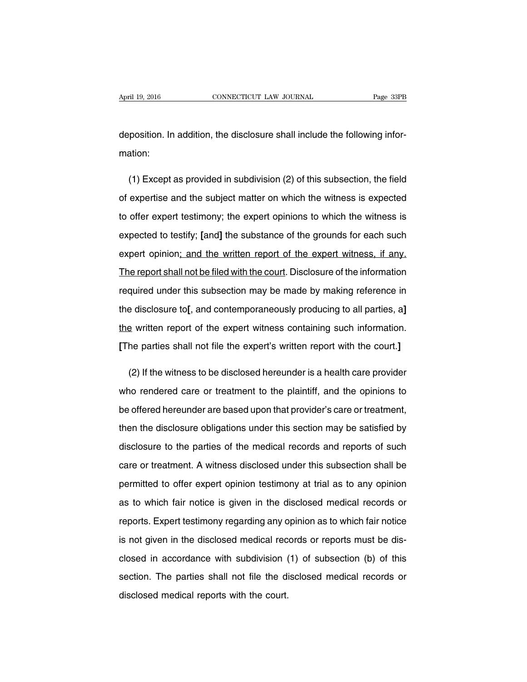deposition. In addition, the disclosure shall include the following information:

(1) Except as provided in subdivision (2) of this subsection, the field of expertise and the subject matter on which the witness is expected to offer expert testimony; the expert opinions to which the witness is expected to testify; **[**and**]** the substance of the grounds for each such expert opinion; and the written report of the expert witness, if any. The report shall not be filed with the court. Disclosure of the information required under this subsection may be made by making reference in the disclosure to**[**, and contemporaneously producing to all parties, a**]** the written report of the expert witness containing such information. **[**The parties shall not file the expert's written report with the court.**]**

(2) If the witness to be disclosed hereunder is a health care provider who rendered care or treatment to the plaintiff, and the opinions to be offered hereunder are based upon that provider's care or treatment, then the disclosure obligations under this section may be satisfied by disclosure to the parties of the medical records and reports of such care or treatment. A witness disclosed under this subsection shall be permitted to offer expert opinion testimony at trial as to any opinion as to which fair notice is given in the disclosed medical records or reports. Expert testimony regarding any opinion as to which fair notice is not given in the disclosed medical records or reports must be disclosed in accordance with subdivision (1) of subsection (b) of this section. The parties shall not file the disclosed medical records or disclosed medical reports with the court.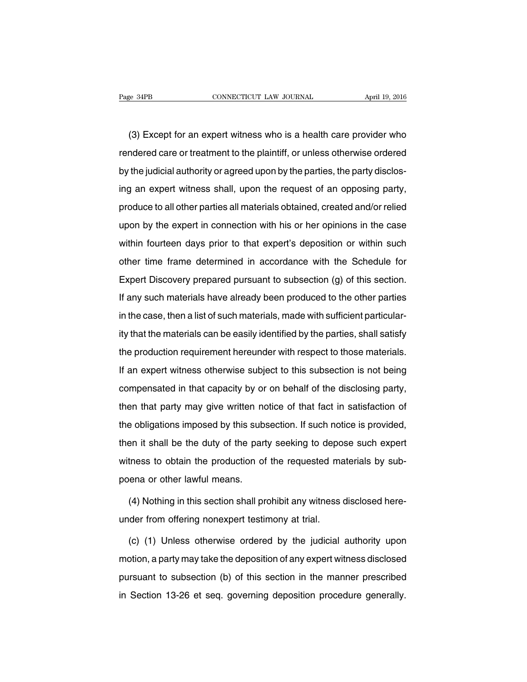(3) Except for an expert witness who is a health care provider who rendered care or treatment to the plaintiff, or unless otherwise ordered by the judicial authority or agreed upon by the parties, the party disclosing an expert witness shall, upon the request of an opposing party, produce to all other parties all materials obtained, created and/or relied upon by the expert in connection with his or her opinions in the case within fourteen days prior to that expert's deposition or within such other time frame determined in accordance with the Schedule for Expert Discovery prepared pursuant to subsection (g) of this section. If any such materials have already been produced to the other parties in the case, then a list of such materials, made with sufficient particularity that the materials can be easily identified by the parties, shall satisfy the production requirement hereunder with respect to those materials. If an expert witness otherwise subject to this subsection is not being compensated in that capacity by or on behalf of the disclosing party, then that party may give written notice of that fact in satisfaction of the obligations imposed by this subsection. If such notice is provided, then it shall be the duty of the party seeking to depose such expert witness to obtain the production of the requested materials by subpoena or other lawful means.

(4) Nothing in this section shall prohibit any witness disclosed hereunder from offering nonexpert testimony at trial.

(c) (1) Unless otherwise ordered by the judicial authority upon motion, a party may take the deposition of any expert witness disclosed pursuant to subsection (b) of this section in the manner prescribed in Section 13-26 et seq. governing deposition procedure generally.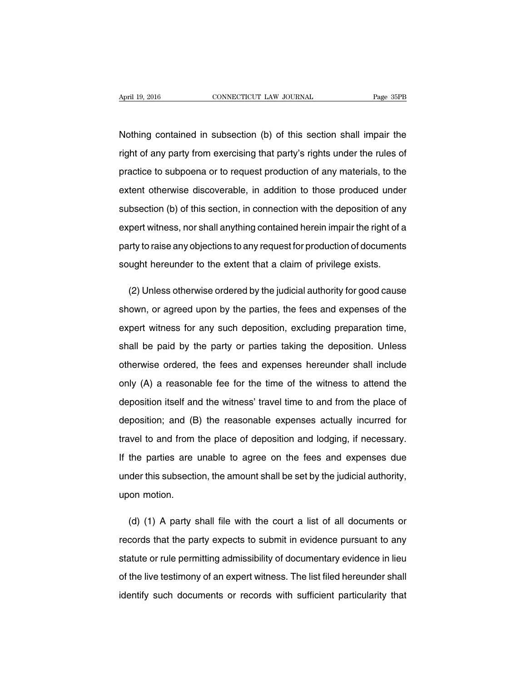Nothing contained in subsection (b) of this section shall impair the right of any party from exercising that party's rights under the rules of practice to subpoena or to request production of any materials, to the extent otherwise discoverable, in addition to those produced under subsection (b) of this section, in connection with the deposition of any expert witness, nor shall anything contained herein impair the right of a party to raise any objections to any request for production of documents sought hereunder to the extent that a claim of privilege exists.

(2) Unless otherwise ordered by the judicial authority for good cause shown, or agreed upon by the parties, the fees and expenses of the expert witness for any such deposition, excluding preparation time, shall be paid by the party or parties taking the deposition. Unless otherwise ordered, the fees and expenses hereunder shall include only (A) a reasonable fee for the time of the witness to attend the deposition itself and the witness' travel time to and from the place of deposition; and (B) the reasonable expenses actually incurred for travel to and from the place of deposition and lodging, if necessary. If the parties are unable to agree on the fees and expenses due under this subsection, the amount shall be set by the judicial authority, upon motion.

(d) (1) A party shall file with the court a list of all documents or records that the party expects to submit in evidence pursuant to any statute or rule permitting admissibility of documentary evidence in lieu of the live testimony of an expert witness. The list filed hereunder shall identify such documents or records with sufficient particularity that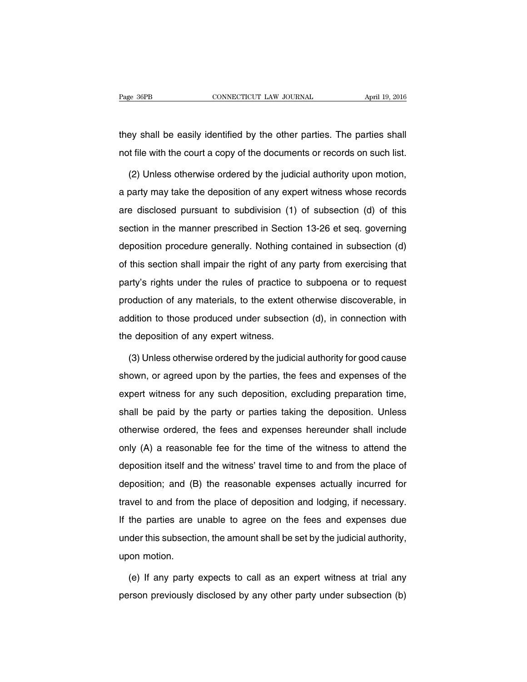they shall be easily identified by the other parties. The parties shall not file with the court a copy of the documents or records on such list.

(2) Unless otherwise ordered by the judicial authority upon motion, a party may take the deposition of any expert witness whose records are disclosed pursuant to subdivision (1) of subsection (d) of this section in the manner prescribed in Section 13-26 et seq. governing deposition procedure generally. Nothing contained in subsection (d) of this section shall impair the right of any party from exercising that party's rights under the rules of practice to subpoena or to request production of any materials, to the extent otherwise discoverable, in addition to those produced under subsection (d), in connection with the deposition of any expert witness.

(3) Unless otherwise ordered by the judicial authority for good cause shown, or agreed upon by the parties, the fees and expenses of the expert witness for any such deposition, excluding preparation time, shall be paid by the party or parties taking the deposition. Unless otherwise ordered, the fees and expenses hereunder shall include only (A) a reasonable fee for the time of the witness to attend the deposition itself and the witness' travel time to and from the place of deposition; and (B) the reasonable expenses actually incurred for travel to and from the place of deposition and lodging, if necessary. If the parties are unable to agree on the fees and expenses due under this subsection, the amount shall be set by the judicial authority, upon motion.

(e) If any party expects to call as an expert witness at trial any person previously disclosed by any other party under subsection (b)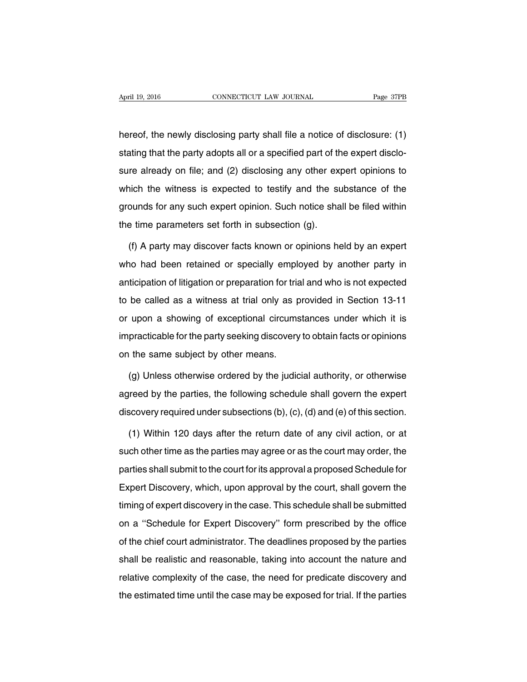hereof, the newly disclosing party shall file a notice of disclosure: (1) stating that the party adopts all or a specified part of the expert disclosure already on file; and (2) disclosing any other expert opinions to which the witness is expected to testify and the substance of the grounds for any such expert opinion. Such notice shall be filed within the time parameters set forth in subsection (g).

(f) A party may discover facts known or opinions held by an expert who had been retained or specially employed by another party in anticipation of litigation or preparation for trial and who is not expected to be called as a witness at trial only as provided in Section 13-11 or upon a showing of exceptional circumstances under which it is impracticable for the party seeking discovery to obtain facts or opinions on the same subject by other means.

(g) Unless otherwise ordered by the judicial authority, or otherwise agreed by the parties, the following schedule shall govern the expert discovery required under subsections (b), (c), (d) and (e) of this section.

(1) Within 120 days after the return date of any civil action, or at such other time as the parties may agree or as the court may order, the parties shall submit to the court for its approval a proposed Schedule for Expert Discovery, which, upon approval by the court, shall govern the timing of expert discovery in the case. This schedule shall be submitted on a ''Schedule for Expert Discovery'' form prescribed by the office of the chief court administrator. The deadlines proposed by the parties shall be realistic and reasonable, taking into account the nature and relative complexity of the case, the need for predicate discovery and the estimated time until the case may be exposed for trial. If the parties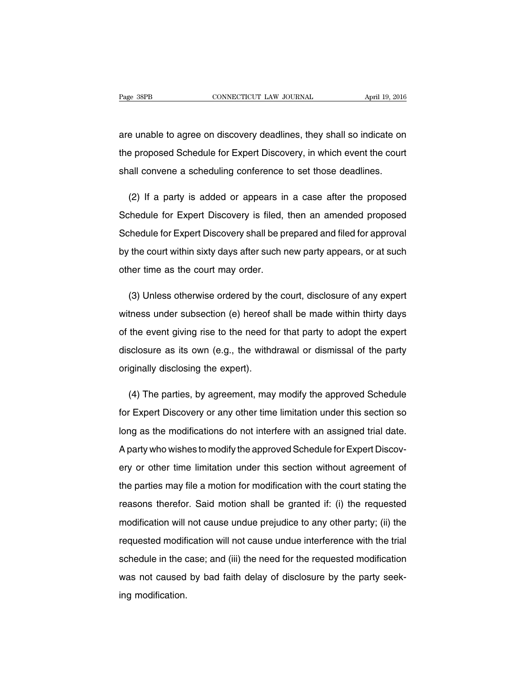are unable to agree on discovery deadlines, they shall so indicate on the proposed Schedule for Expert Discovery, in which event the court shall convene a scheduling conference to set those deadlines.

(2) If a party is added or appears in a case after the proposed Schedule for Expert Discovery is filed, then an amended proposed Schedule for Expert Discovery shall be prepared and filed for approval by the court within sixty days after such new party appears, or at such other time as the court may order.

(3) Unless otherwise ordered by the court, disclosure of any expert witness under subsection (e) hereof shall be made within thirty days of the event giving rise to the need for that party to adopt the expert disclosure as its own (e.g., the withdrawal or dismissal of the party originally disclosing the expert).

(4) The parties, by agreement, may modify the approved Schedule for Expert Discovery or any other time limitation under this section so long as the modifications do not interfere with an assigned trial date. A party who wishes to modify the approved Schedule for Expert Discovery or other time limitation under this section without agreement of the parties may file a motion for modification with the court stating the reasons therefor. Said motion shall be granted if: (i) the requested modification will not cause undue prejudice to any other party; (ii) the requested modification will not cause undue interference with the trial schedule in the case; and (iii) the need for the requested modification was not caused by bad faith delay of disclosure by the party seeking modification.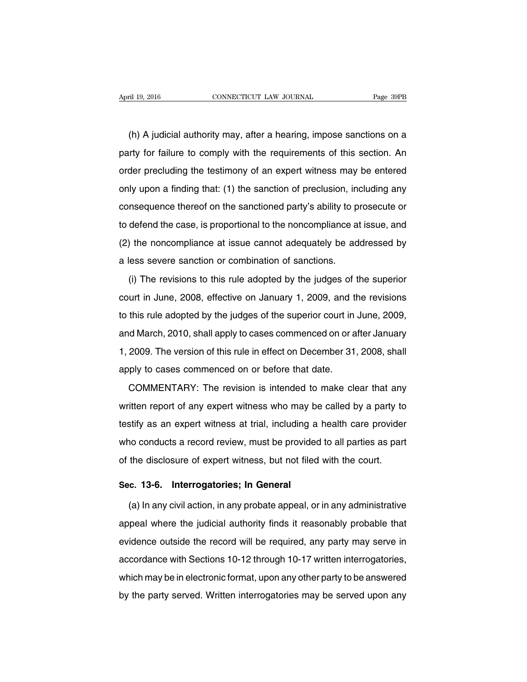(h) A judicial authority may, after a hearing, impose sanctions on a party for failure to comply with the requirements of this section. An order precluding the testimony of an expert witness may be entered only upon a finding that: (1) the sanction of preclusion, including any consequence thereof on the sanctioned party's ability to prosecute or to defend the case, is proportional to the noncompliance at issue, and (2) the noncompliance at issue cannot adequately be addressed by a less severe sanction or combination of sanctions.

(i) The revisions to this rule adopted by the judges of the superior court in June, 2008, effective on January 1, 2009, and the revisions to this rule adopted by the judges of the superior court in June, 2009, and March, 2010, shall apply to cases commenced on or after January 1, 2009. The version of this rule in effect on December 31, 2008, shall apply to cases commenced on or before that date.

COMMENTARY: The revision is intended to make clear that any written report of any expert witness who may be called by a party to testify as an expert witness at trial, including a health care provider who conducts a record review, must be provided to all parties as part of the disclosure of expert witness, but not filed with the court.

### **Sec. 13-6. Interrogatories; In General**

(a) In any civil action, in any probate appeal, or in any administrative appeal where the judicial authority finds it reasonably probable that evidence outside the record will be required, any party may serve in accordance with Sections 10-12 through 10-17 written interrogatories, which may be in electronic format, upon any other party to be answered by the party served. Written interrogatories may be served upon any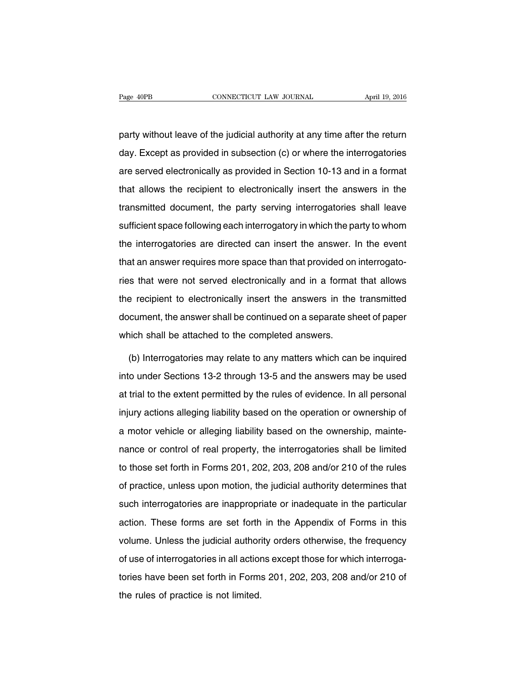party without leave of the judicial authority at any time after the return day. Except as provided in subsection (c) or where the interrogatories are served electronically as provided in Section 10-13 and in a format that allows the recipient to electronically insert the answers in the transmitted document, the party serving interrogatories shall leave sufficient space following each interrogatory in which the party to whom the interrogatories are directed can insert the answer. In the event that an answer requires more space than that provided on interrogatories that were not served electronically and in a format that allows the recipient to electronically insert the answers in the transmitted document, the answer shall be continued on a separate sheet of paper which shall be attached to the completed answers.

(b) Interrogatories may relate to any matters which can be inquired into under Sections 13-2 through 13-5 and the answers may be used at trial to the extent permitted by the rules of evidence. In all personal injury actions alleging liability based on the operation or ownership of a motor vehicle or alleging liability based on the ownership, maintenance or control of real property, the interrogatories shall be limited to those set forth in Forms 201, 202, 203, 208 and/or 210 of the rules of practice, unless upon motion, the judicial authority determines that such interrogatories are inappropriate or inadequate in the particular action. These forms are set forth in the Appendix of Forms in this volume. Unless the judicial authority orders otherwise, the frequency of use of interrogatories in all actions except those for which interrogatories have been set forth in Forms 201, 202, 203, 208 and/or 210 of the rules of practice is not limited.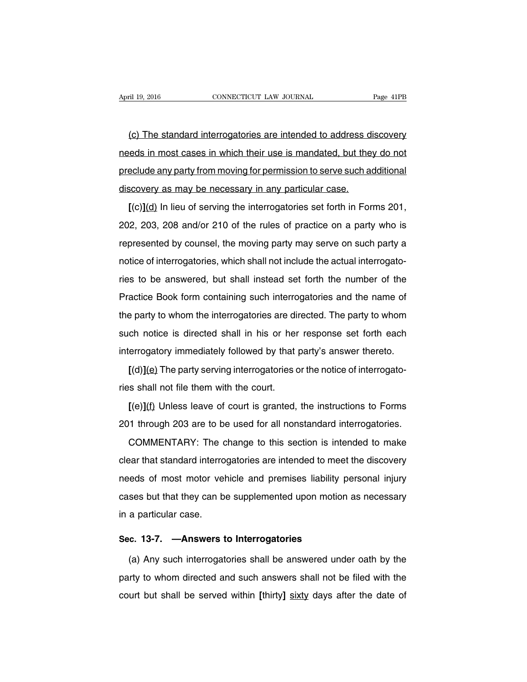(c) The standard interrogatories are intended to address discovery needs in most cases in which their use is mandated, but they do not preclude any party from moving for permission to serve such additional discovery as may be necessary in any particular case.

**[**(c)**]**(d) In lieu of serving the interrogatories set forth in Forms 201, 202, 203, 208 and/or 210 of the rules of practice on a party who is represented by counsel, the moving party may serve on such party a notice of interrogatories, which shall not include the actual interrogatories to be answered, but shall instead set forth the number of the Practice Book form containing such interrogatories and the name of the party to whom the interrogatories are directed. The party to whom such notice is directed shall in his or her response set forth each interrogatory immediately followed by that party's answer thereto.

**[**(d)**]**(e) The party serving interrogatories or the notice of interrogatories shall not file them with the court.

**[**(e)**]**(f) Unless leave of court is granted, the instructions to Forms 201 through 203 are to be used for all nonstandard interrogatories.

COMMENTARY: The change to this section is intended to make clear that standard interrogatories are intended to meet the discovery needs of most motor vehicle and premises liability personal injury cases but that they can be supplemented upon motion as necessary in a particular case.

### **Sec. 13-7. —Answers to Interrogatories**

(a) Any such interrogatories shall be answered under oath by the party to whom directed and such answers shall not be filed with the court but shall be served within **[**thirty**]** sixty days after the date of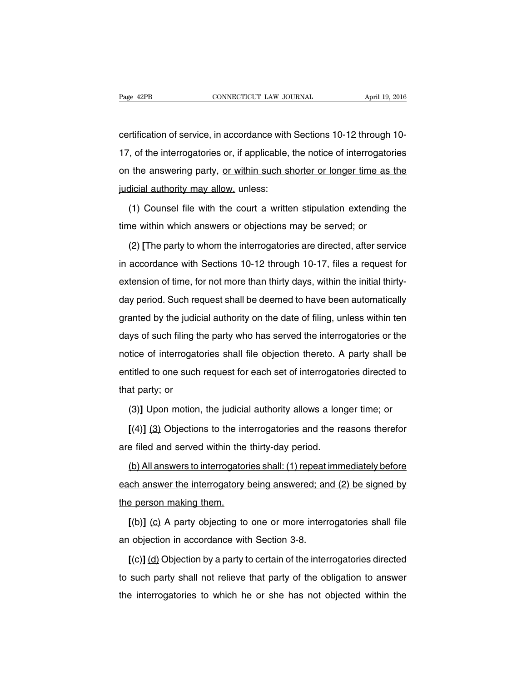certification of service, in accordance with Sections 10-12 through 10- 17, of the interrogatories or, if applicable, the notice of interrogatories on the answering party, or within such shorter or longer time as the judicial authority may allow, unless:

(1) Counsel file with the court a written stipulation extending the time within which answers or objections may be served; or

(2) **[**The party to whom the interrogatories are directed, after service in accordance with Sections 10-12 through 10-17, files a request for extension of time, for not more than thirty days, within the initial thirtyday period. Such request shall be deemed to have been automatically granted by the judicial authority on the date of filing, unless within ten days of such filing the party who has served the interrogatories or the notice of interrogatories shall file objection thereto. A party shall be entitled to one such request for each set of interrogatories directed to that party; or

(3)**]** Upon motion, the judicial authority allows a longer time; or

**[**(4)**]** (3) Objections to the interrogatories and the reasons therefor are filed and served within the thirty-day period.

(b) All answers to interrogatories shall: (1) repeat immediately before each answer the interrogatory being answered; and (2) be signed by the person making them.

**[**(b)**]** (c) A party objecting to one or more interrogatories shall file an objection in accordance with Section 3-8.

**[**(c)**]** (d) Objection by a party to certain of the interrogatories directed to such party shall not relieve that party of the obligation to answer the interrogatories to which he or she has not objected within the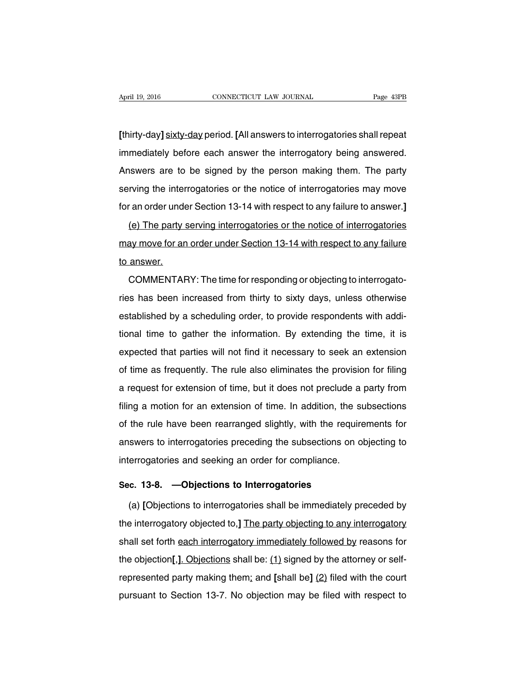**[**thirty-day**]** sixty-day period. **[**All answers to interrogatories shall repeat immediately before each answer the interrogatory being answered. Answers are to be signed by the person making them. The party serving the interrogatories or the notice of interrogatories may move for an order under Section 13-14 with respect to any failure to answer.**]**

(e) The party serving interrogatories or the notice of interrogatories may move for an order under Section 13-14 with respect to any failure to answer.

COMMENTARY: The time for responding or objecting to interrogatories has been increased from thirty to sixty days, unless otherwise established by a scheduling order, to provide respondents with additional time to gather the information. By extending the time, it is expected that parties will not find it necessary to seek an extension of time as frequently. The rule also eliminates the provision for filing a request for extension of time, but it does not preclude a party from filing a motion for an extension of time. In addition, the subsections of the rule have been rearranged slightly, with the requirements for answers to interrogatories preceding the subsections on objecting to interrogatories and seeking an order for compliance.

### **Sec. 13-8. —Objections to Interrogatories**

(a) **[**Objections to interrogatories shall be immediately preceded by the interrogatory objected to,**]** The party objecting to any interrogatory shall set forth each interrogatory immediately followed by reasons for the objection**[**,**]**. Objections shall be: (1) signed by the attorney or selfrepresented party making them; and **[**shall be**]** (2) filed with the court pursuant to Section 13-7. No objection may be filed with respect to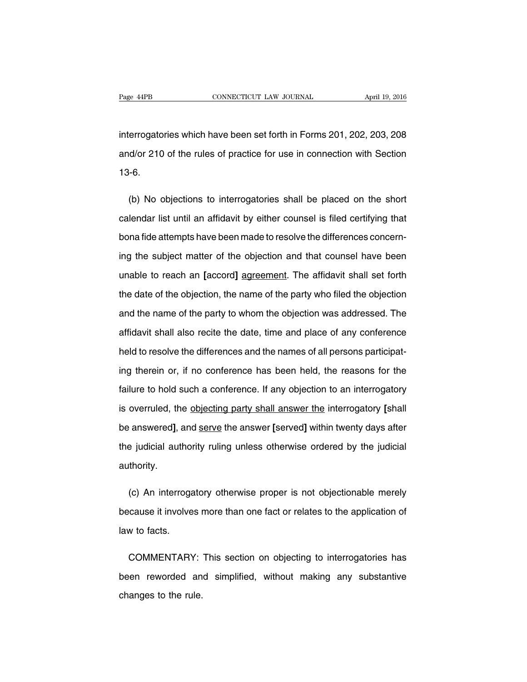interrogatories which have been set forth in Forms 201, 202, 203, 208 and/or 210 of the rules of practice for use in connection with Section 13-6.

(b) No objections to interrogatories shall be placed on the short calendar list until an affidavit by either counsel is filed certifying that bona fide attempts have been made to resolve the differences concerning the subject matter of the objection and that counsel have been unable to reach an **[**accord**]** agreement. The affidavit shall set forth the date of the objection, the name of the party who filed the objection and the name of the party to whom the objection was addressed. The affidavit shall also recite the date, time and place of any conference held to resolve the differences and the names of all persons participating therein or, if no conference has been held, the reasons for the failure to hold such a conference. If any objection to an interrogatory is overruled, the objecting party shall answer the interrogatory **[**shall be answered**]**, and serve the answer **[**served**]** within twenty days after the judicial authority ruling unless otherwise ordered by the judicial authority.

(c) An interrogatory otherwise proper is not objectionable merely because it involves more than one fact or relates to the application of law to facts.

COMMENTARY: This section on objecting to interrogatories has been reworded and simplified, without making any substantive changes to the rule.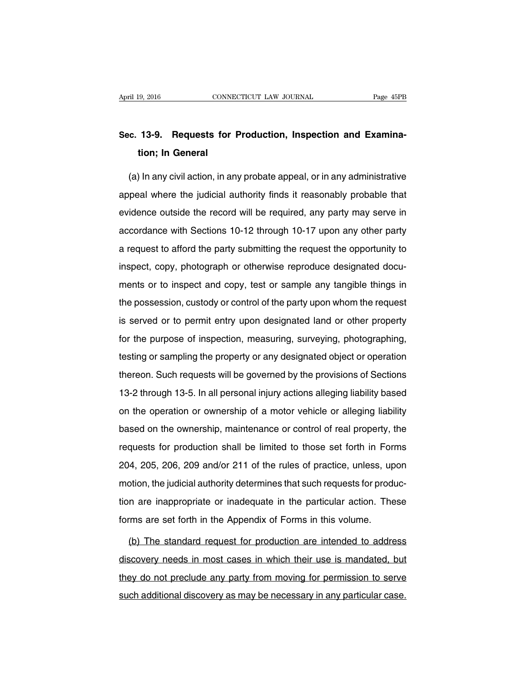## **Sec. 13-9. Requests for Production, Inspection and Examination; In General**

(a) In any civil action, in any probate appeal, or in any administrative appeal where the judicial authority finds it reasonably probable that evidence outside the record will be required, any party may serve in accordance with Sections 10-12 through 10-17 upon any other party a request to afford the party submitting the request the opportunity to inspect, copy, photograph or otherwise reproduce designated documents or to inspect and copy, test or sample any tangible things in the possession, custody or control of the party upon whom the request is served or to permit entry upon designated land or other property for the purpose of inspection, measuring, surveying, photographing, testing or sampling the property or any designated object or operation thereon. Such requests will be governed by the provisions of Sections 13-2 through 13-5. In all personal injury actions alleging liability based on the operation or ownership of a motor vehicle or alleging liability based on the ownership, maintenance or control of real property, the requests for production shall be limited to those set forth in Forms 204, 205, 206, 209 and/or 211 of the rules of practice, unless, upon motion, the judicial authority determines that such requests for production are inappropriate or inadequate in the particular action. These forms are set forth in the Appendix of Forms in this volume.

(b) The standard request for production are intended to address discovery needs in most cases in which their use is mandated, but they do not preclude any party from moving for permission to serve such additional discovery as may be necessary in any particular case.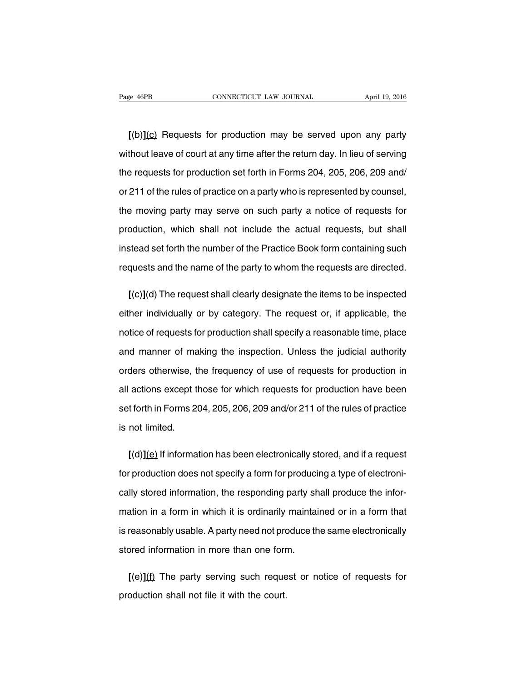**[**(b)**]**(c) Requests for production may be served upon any party without leave of court at any time after the return day. In lieu of serving the requests for production set forth in Forms 204, 205, 206, 209 and/ or 211 of the rules of practice on a party who is represented by counsel, the moving party may serve on such party a notice of requests for production, which shall not include the actual requests, but shall instead set forth the number of the Practice Book form containing such requests and the name of the party to whom the requests are directed.

**[**(c)**]**(d) The request shall clearly designate the items to be inspected either individually or by category. The request or, if applicable, the notice of requests for production shall specify a reasonable time, place and manner of making the inspection. Unless the judicial authority orders otherwise, the frequency of use of requests for production in all actions except those for which requests for production have been set forth in Forms 204, 205, 206, 209 and/or 211 of the rules of practice is not limited.

**[**(d)**]**(e) If information has been electronically stored, and if a request for production does not specify a form for producing a type of electronically stored information, the responding party shall produce the information in a form in which it is ordinarily maintained or in a form that is reasonably usable. A party need not produce the same electronically stored information in more than one form.

**[**(e)**]**(f) The party serving such request or notice of requests for production shall not file it with the court.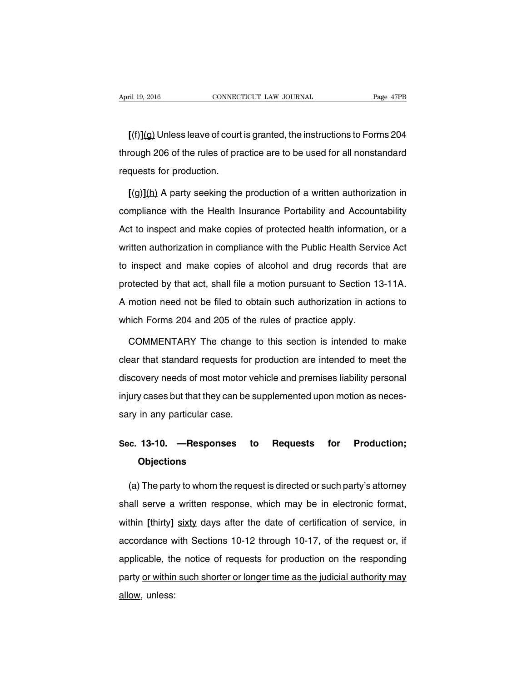**[**(f)**]**(g) Unless leave of court is granted, the instructions to Forms 204 through 206 of the rules of practice are to be used for all nonstandard requests for production.

**[**(g)**]**(h) A party seeking the production of a written authorization in compliance with the Health Insurance Portability and Accountability Act to inspect and make copies of protected health information, or a written authorization in compliance with the Public Health Service Act to inspect and make copies of alcohol and drug records that are protected by that act, shall file a motion pursuant to Section 13-11A. A motion need not be filed to obtain such authorization in actions to which Forms 204 and 205 of the rules of practice apply.

COMMENTARY The change to this section is intended to make clear that standard requests for production are intended to meet the discovery needs of most motor vehicle and premises liability personal injury cases but that they can be supplemented upon motion as necessary in any particular case.

## **Sec. 13-10. —Responses to Requests for Production; Objections**

(a) The party to whom the request is directed or such party's attorney shall serve a written response, which may be in electronic format, within **[**thirty**]** sixty days after the date of certification of service, in accordance with Sections 10-12 through 10-17, of the request or, if applicable, the notice of requests for production on the responding party or within such shorter or longer time as the judicial authority may allow, unless: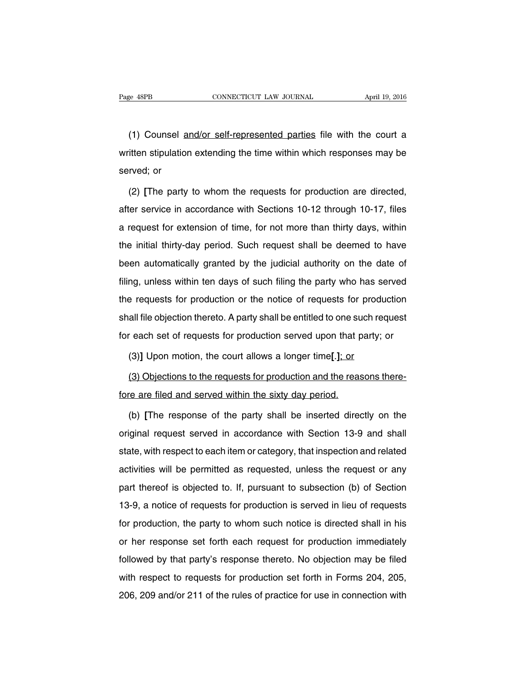(1) Counsel and/or self-represented parties file with the court a written stipulation extending the time within which responses may be served; or

(2) **[**The party to whom the requests for production are directed, after service in accordance with Sections 10-12 through 10-17, files a request for extension of time, for not more than thirty days, within the initial thirty-day period. Such request shall be deemed to have been automatically granted by the judicial authority on the date of filing, unless within ten days of such filing the party who has served the requests for production or the notice of requests for production shall file objection thereto. A party shall be entitled to one such request for each set of requests for production served upon that party; or

(3)**]** Upon motion, the court allows a longer time**[**.**]**; or

(3) Objections to the requests for production and the reasons therefore are filed and served within the sixty day period.

(b) **[**The response of the party shall be inserted directly on the original request served in accordance with Section 13-9 and shall state, with respect to each item or category, that inspection and related activities will be permitted as requested, unless the request or any part thereof is objected to. If, pursuant to subsection (b) of Section 13-9, a notice of requests for production is served in lieu of requests for production, the party to whom such notice is directed shall in his or her response set forth each request for production immediately followed by that party's response thereto. No objection may be filed with respect to requests for production set forth in Forms 204, 205, 206, 209 and/or 211 of the rules of practice for use in connection with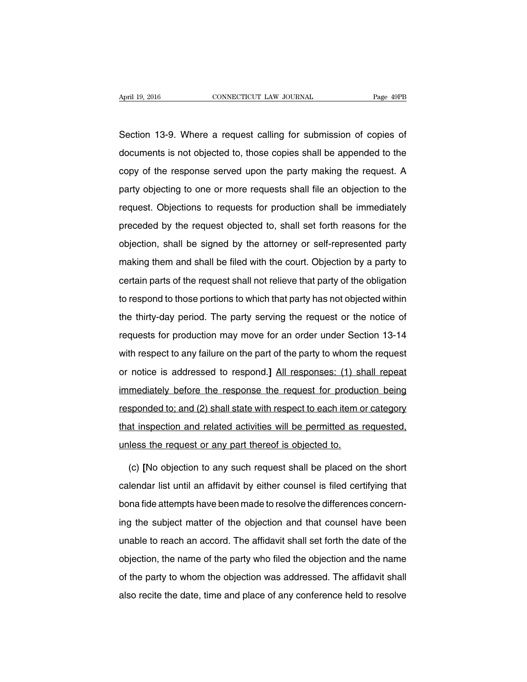Section 13-9. Where a request calling for submission of copies of documents is not objected to, those copies shall be appended to the copy of the response served upon the party making the request. A party objecting to one or more requests shall file an objection to the request. Objections to requests for production shall be immediately preceded by the request objected to, shall set forth reasons for the objection, shall be signed by the attorney or self-represented party making them and shall be filed with the court. Objection by a party to certain parts of the request shall not relieve that party of the obligation to respond to those portions to which that party has not objected within the thirty-day period. The party serving the request or the notice of requests for production may move for an order under Section 13-14 with respect to any failure on the part of the party to whom the request or notice is addressed to respond.**]** All responses: (1) shall repeat immediately before the response the request for production being responded to; and (2) shall state with respect to each item or category that inspection and related activities will be permitted as requested, unless the request or any part thereof is objected to.

(c) **[**No objection to any such request shall be placed on the short calendar list until an affidavit by either counsel is filed certifying that bona fide attempts have been made to resolve the differences concerning the subject matter of the objection and that counsel have been unable to reach an accord. The affidavit shall set forth the date of the objection, the name of the party who filed the objection and the name of the party to whom the objection was addressed. The affidavit shall also recite the date, time and place of any conference held to resolve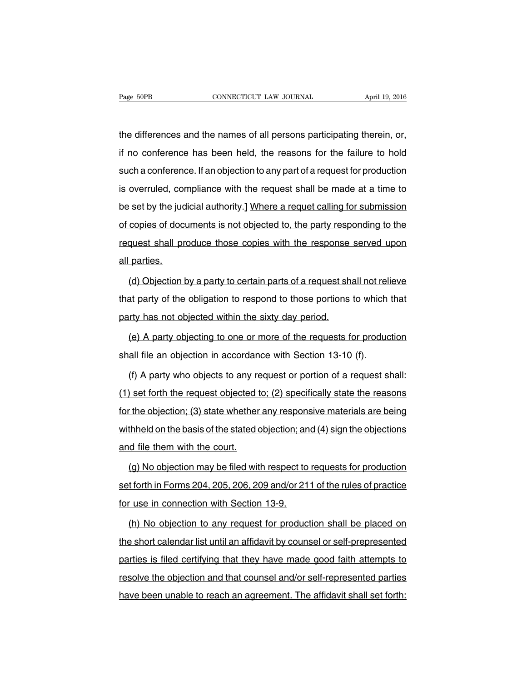the differences and the names of all persons participating therein, or, if no conference has been held, the reasons for the failure to hold such a conference. If an objection to any part of a request for production is overruled, compliance with the request shall be made at a time to be set by the judicial authority.**]** Where a requet calling for submission of copies of documents is not objected to, the party responding to the request shall produce those copies with the response served upon all parties.

(d) Objection by a party to certain parts of a request shall not relieve that party of the obligation to respond to those portions to which that party has not objected within the sixty day period.

(e) A party objecting to one or more of the requests for production shall file an objection in accordance with Section 13-10 (f).

(f) A party who objects to any request or portion of a request shall: (1) set forth the request objected to; (2) specifically state the reasons for the objection; (3) state whether any responsive materials are being withheld on the basis of the stated objection; and (4) sign the objections and file them with the court.

(g) No objection may be filed with respect to requests for production set forth in Forms 204, 205, 206, 209 and/or 211 of the rules of practice for use in connection with Section 13-9.

(h) No objection to any request for production shall be placed on the short calendar list until an affidavit by counsel or self-prepresented parties is filed certifying that they have made good faith attempts to resolve the objection and that counsel and/or self-represented parties have been unable to reach an agreement. The affidavit shall set forth: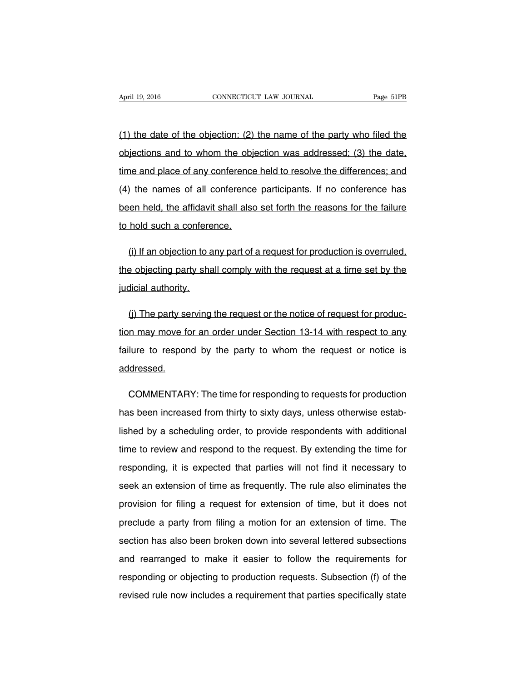(1) the date of the objection; (2) the name of the party who filed the objections and to whom the objection was addressed; (3) the date, time and place of any conference held to resolve the differences; and (4) the names of all conference participants. If no conference has been held, the affidavit shall also set forth the reasons for the failure to hold such a conference.

(i) If an objection to any part of a request for production is overruled, the objecting party shall comply with the request at a time set by the judicial authority.

(j) The party serving the request or the notice of request for production may move for an order under Section 13-14 with respect to any failure to respond by the party to whom the request or notice is addressed.

COMMENTARY: The time for responding to requests for production has been increased from thirty to sixty days, unless otherwise established by a scheduling order, to provide respondents with additional time to review and respond to the request. By extending the time for responding, it is expected that parties will not find it necessary to seek an extension of time as frequently. The rule also eliminates the provision for filing a request for extension of time, but it does not preclude a party from filing a motion for an extension of time. The section has also been broken down into several lettered subsections and rearranged to make it easier to follow the requirements for responding or objecting to production requests. Subsection (f) of the revised rule now includes a requirement that parties specifically state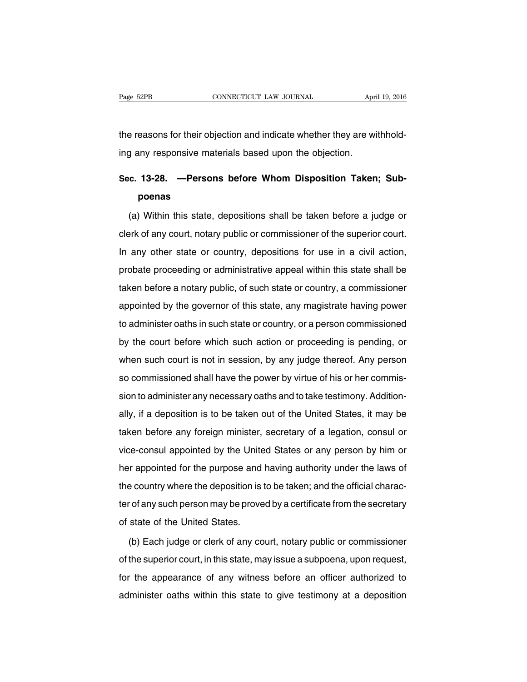the reasons for their objection and indicate whether they are withholding any responsive materials based upon the objection.

# **Sec. 13-28. —Persons before Whom Disposition Taken; Subpoenas**

(a) Within this state, depositions shall be taken before a judge or clerk of any court, notary public or commissioner of the superior court. In any other state or country, depositions for use in a civil action, probate proceeding or administrative appeal within this state shall be taken before a notary public, of such state or country, a commissioner appointed by the governor of this state, any magistrate having power to administer oaths in such state or country, or a person commissioned by the court before which such action or proceeding is pending, or when such court is not in session, by any judge thereof. Any person so commissioned shall have the power by virtue of his or her commission to administer any necessary oaths and to take testimony. Additionally, if a deposition is to be taken out of the United States, it may be taken before any foreign minister, secretary of a legation, consul or vice-consul appointed by the United States or any person by him or her appointed for the purpose and having authority under the laws of the country where the deposition is to be taken; and the official character of any such person may be proved by a certificate from the secretary of state of the United States.

(b) Each judge or clerk of any court, notary public or commissioner of the superior court, in this state, may issue a subpoena, upon request, for the appearance of any witness before an officer authorized to administer oaths within this state to give testimony at a deposition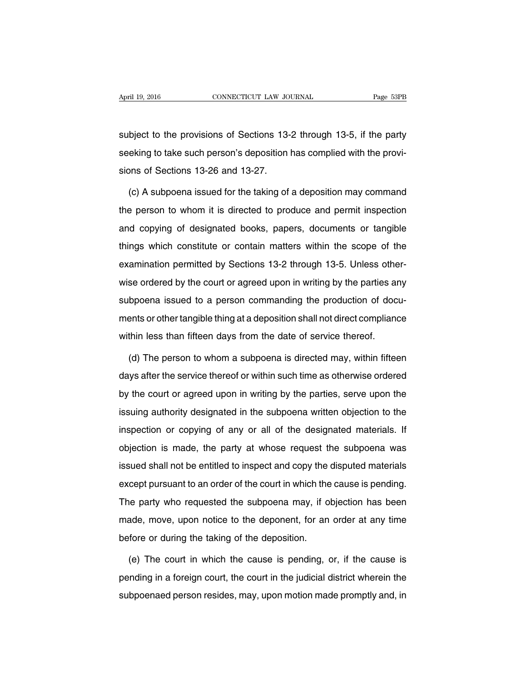subject to the provisions of Sections 13-2 through 13-5, if the party seeking to take such person's deposition has complied with the provisions of Sections 13-26 and 13-27.

(c) A subpoena issued for the taking of a deposition may command the person to whom it is directed to produce and permit inspection and copying of designated books, papers, documents or tangible things which constitute or contain matters within the scope of the examination permitted by Sections 13-2 through 13-5. Unless otherwise ordered by the court or agreed upon in writing by the parties any subpoena issued to a person commanding the production of documents or other tangible thing at a deposition shall not direct compliance within less than fifteen days from the date of service thereof.

(d) The person to whom a subpoena is directed may, within fifteen days after the service thereof or within such time as otherwise ordered by the court or agreed upon in writing by the parties, serve upon the issuing authority designated in the subpoena written objection to the inspection or copying of any or all of the designated materials. If objection is made, the party at whose request the subpoena was issued shall not be entitled to inspect and copy the disputed materials except pursuant to an order of the court in which the cause is pending. The party who requested the subpoena may, if objection has been made, move, upon notice to the deponent, for an order at any time before or during the taking of the deposition.

(e) The court in which the cause is pending, or, if the cause is pending in a foreign court, the court in the judicial district wherein the subpoenaed person resides, may, upon motion made promptly and, in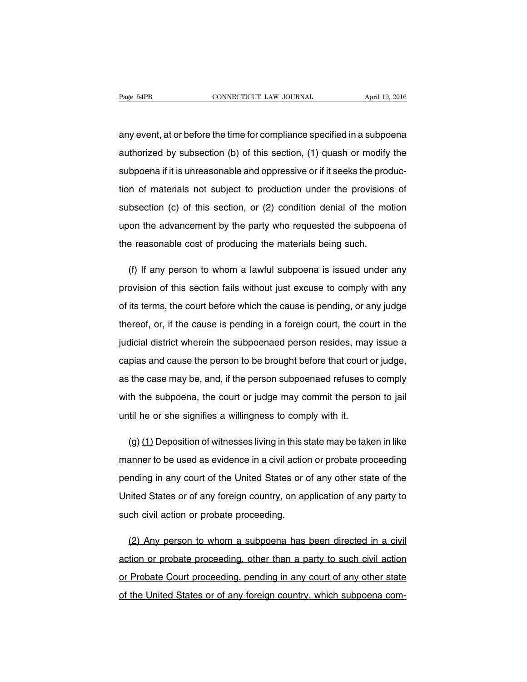any event, at or before the time for compliance specified in a subpoena authorized by subsection (b) of this section, (1) quash or modify the subpoena if it is unreasonable and oppressive or if it seeks the production of materials not subject to production under the provisions of subsection (c) of this section, or (2) condition denial of the motion upon the advancement by the party who requested the subpoena of the reasonable cost of producing the materials being such.

(f) If any person to whom a lawful subpoena is issued under any provision of this section fails without just excuse to comply with any of its terms, the court before which the cause is pending, or any judge thereof, or, if the cause is pending in a foreign court, the court in the judicial district wherein the subpoenaed person resides, may issue a capias and cause the person to be brought before that court or judge, as the case may be, and, if the person subpoenaed refuses to comply with the subpoena, the court or judge may commit the person to jail until he or she signifies a willingness to comply with it.

 $(q)$   $(1)$  Deposition of witnesses living in this state may be taken in like manner to be used as evidence in a civil action or probate proceeding pending in any court of the United States or of any other state of the United States or of any foreign country, on application of any party to such civil action or probate proceeding.

(2) Any person to whom a subpoena has been directed in a civil action or probate proceeding, other than a party to such civil action or Probate Court proceeding, pending in any court of any other state of the United States or of any foreign country, which subpoena com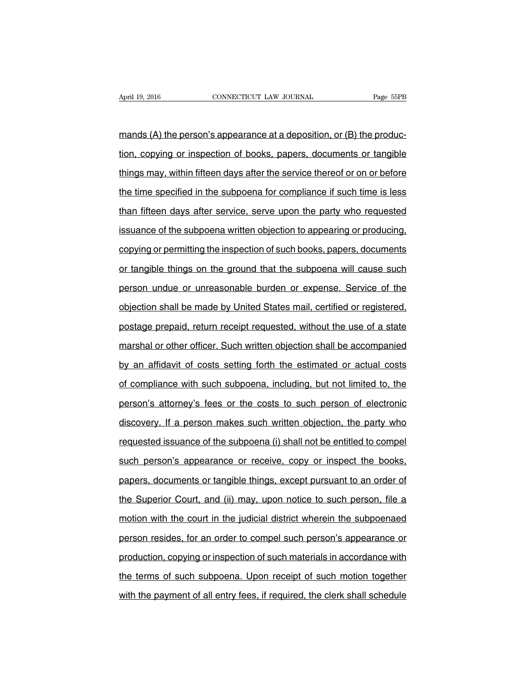mands (A) the person's appearance at a deposition, or (B) the production, copying or inspection of books, papers, documents or tangible things may, within fifteen days after the service thereof or on or before the time specified in the subpoena for compliance if such time is less than fifteen days after service, serve upon the party who requested issuance of the subpoena written objection to appearing or producing, copying or permitting the inspection of such books, papers, documents or tangible things on the ground that the subpoena will cause such person undue or unreasonable burden or expense. Service of the objection shall be made by United States mail, certified or registered, postage prepaid, return receipt requested, without the use of a state marshal or other officer. Such written objection shall be accompanied by an affidavit of costs setting forth the estimated or actual costs of compliance with such subpoena, including, but not limited to, the person's attorney's fees or the costs to such person of electronic discovery. If a person makes such written objection, the party who requested issuance of the subpoena (i) shall not be entitled to compel such person's appearance or receive, copy or inspect the books, papers, documents or tangible things, except pursuant to an order of the Superior Court, and (ii) may, upon notice to such person, file a motion with the court in the judicial district wherein the subpoenaed person resides, for an order to compel such person's appearance or production, copying or inspection of such materials in accordance with the terms of such subpoena. Upon receipt of such motion together with the payment of all entry fees, if required, the clerk shall schedule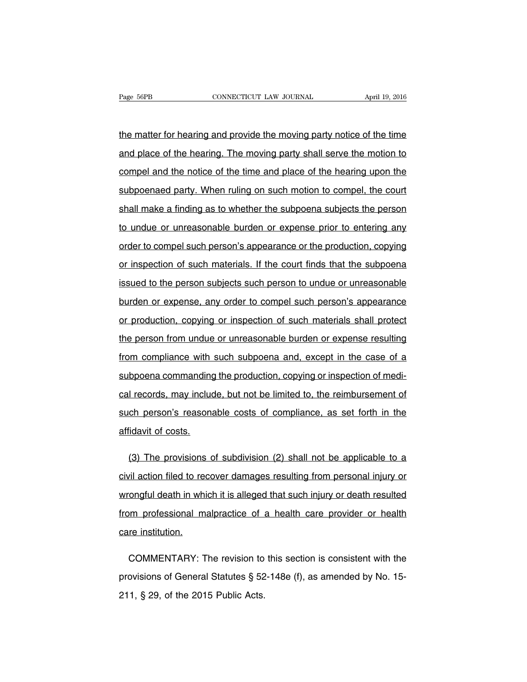the matter for hearing and provide the moving party notice of the time and place of the hearing. The moving party shall serve the motion to compel and the notice of the time and place of the hearing upon the subpoenaed party. When ruling on such motion to compel, the court shall make a finding as to whether the subpoena subjects the person to undue or unreasonable burden or expense prior to entering any order to compel such person's appearance or the production, copying or inspection of such materials. If the court finds that the subpoena issued to the person subjects such person to undue or unreasonable burden or expense, any order to compel such person's appearance or production, copying or inspection of such materials shall protect the person from undue or unreasonable burden or expense resulting from compliance with such subpoena and, except in the case of a subpoena commanding the production, copying or inspection of medical records, may include, but not be limited to, the reimbursement of such person's reasonable costs of compliance, as set forth in the affidavit of costs.

(3) The provisions of subdivision (2) shall not be applicable to a civil action filed to recover damages resulting from personal injury or wrongful death in which it is alleged that such injury or death resulted from professional malpractice of a health care provider or health care institution.

COMMENTARY: The revision to this section is consistent with the provisions of General Statutes § 52-148e (f), as amended by No. 15- 211, § 29, of the 2015 Public Acts.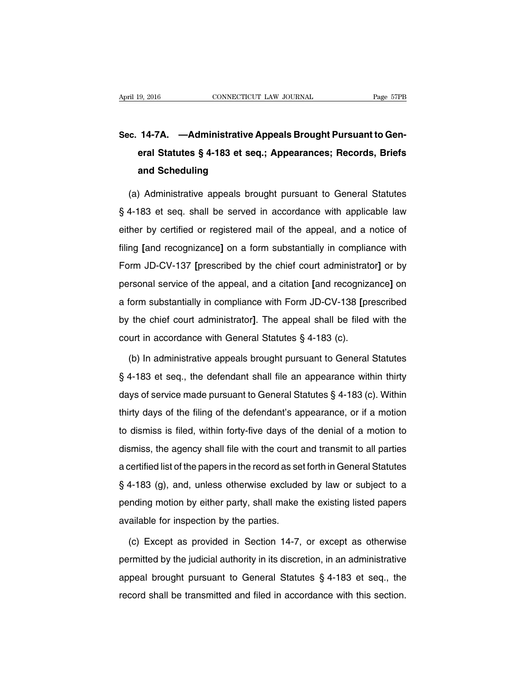# **Sec. 14-7A. —Administrative Appeals Brought Pursuant to General Statutes § 4-183 et seq.; Appearances; Records, Briefs and Scheduling**

(a) Administrative appeals brought pursuant to General Statutes § 4-183 et seq. shall be served in accordance with applicable law either by certified or registered mail of the appeal, and a notice of filing **[**and recognizance**]** on a form substantially in compliance with Form JD-CV-137 **[**prescribed by the chief court administrator**]** or by personal service of the appeal, and a citation **[**and recognizance**]** on a form substantially in compliance with Form JD-CV-138 **[**prescribed by the chief court administrator**]**. The appeal shall be filed with the court in accordance with General Statutes § 4-183 (c).

(b) In administrative appeals brought pursuant to General Statutes § 4-183 et seq., the defendant shall file an appearance within thirty days of service made pursuant to General Statutes § 4-183 (c). Within thirty days of the filing of the defendant's appearance, or if a motion to dismiss is filed, within forty-five days of the denial of a motion to dismiss, the agency shall file with the court and transmit to all parties a certified list of the papers in the record as set forth in General Statutes § 4-183 (g), and, unless otherwise excluded by law or subject to a pending motion by either party, shall make the existing listed papers available for inspection by the parties.

(c) Except as provided in Section 14-7, or except as otherwise permitted by the judicial authority in its discretion, in an administrative appeal brought pursuant to General Statutes § 4-183 et seq., the record shall be transmitted and filed in accordance with this section.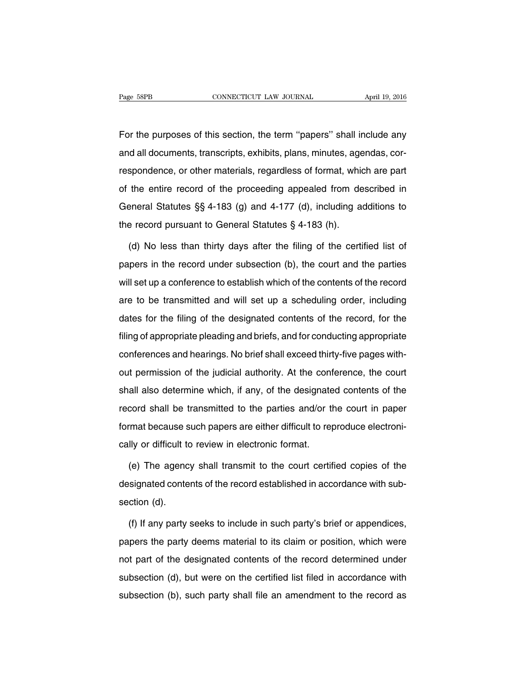For the purposes of this section, the term ''papers'' shall include any and all documents, transcripts, exhibits, plans, minutes, agendas, correspondence, or other materials, regardless of format, which are part of the entire record of the proceeding appealed from described in General Statutes §§ 4-183 (g) and 4-177 (d), including additions to the record pursuant to General Statutes § 4-183 (h).

(d) No less than thirty days after the filing of the certified list of papers in the record under subsection (b), the court and the parties will set up a conference to establish which of the contents of the record are to be transmitted and will set up a scheduling order, including dates for the filing of the designated contents of the record, for the filing of appropriate pleading and briefs, and for conducting appropriate conferences and hearings. No brief shall exceed thirty-five pages without permission of the judicial authority. At the conference, the court shall also determine which, if any, of the designated contents of the record shall be transmitted to the parties and/or the court in paper format because such papers are either difficult to reproduce electronically or difficult to review in electronic format.

(e) The agency shall transmit to the court certified copies of the designated contents of the record established in accordance with subsection (d).

(f) If any party seeks to include in such party's brief or appendices, papers the party deems material to its claim or position, which were not part of the designated contents of the record determined under subsection (d), but were on the certified list filed in accordance with subsection (b), such party shall file an amendment to the record as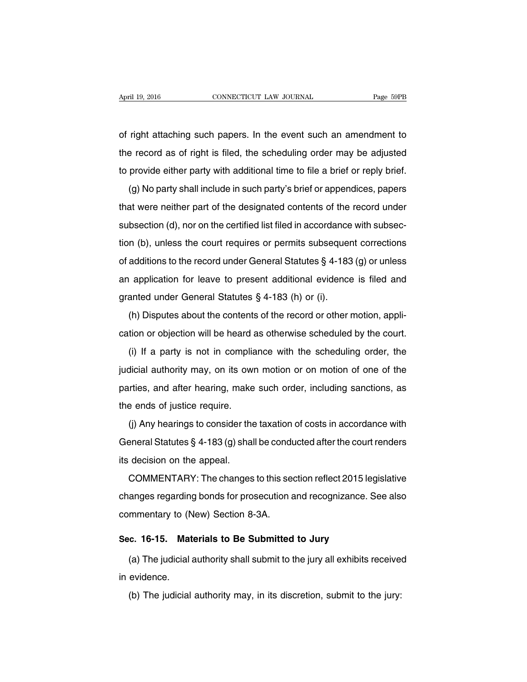of right attaching such papers. In the event such an amendment to the record as of right is filed, the scheduling order may be adjusted to provide either party with additional time to file a brief or reply brief.

(g) No party shall include in such party's brief or appendices, papers that were neither part of the designated contents of the record under subsection (d), nor on the certified list filed in accordance with subsection (b), unless the court requires or permits subsequent corrections of additions to the record under General Statutes § 4-183 (g) or unless an application for leave to present additional evidence is filed and granted under General Statutes § 4-183 (h) or (i).

(h) Disputes about the contents of the record or other motion, application or objection will be heard as otherwise scheduled by the court.

(i) If a party is not in compliance with the scheduling order, the judicial authority may, on its own motion or on motion of one of the parties, and after hearing, make such order, including sanctions, as the ends of justice require.

(j) Any hearings to consider the taxation of costs in accordance with General Statutes § 4-183 (g) shall be conducted after the court renders its decision on the appeal.

COMMENTARY: The changes to this section reflect 2015 legislative changes regarding bonds for prosecution and recognizance. See also commentary to (New) Section 8-3A.

#### **Sec. 16-15. Materials to Be Submitted to Jury**

(a) The judicial authority shall submit to the jury all exhibits received in evidence.

(b) The judicial authority may, in its discretion, submit to the jury: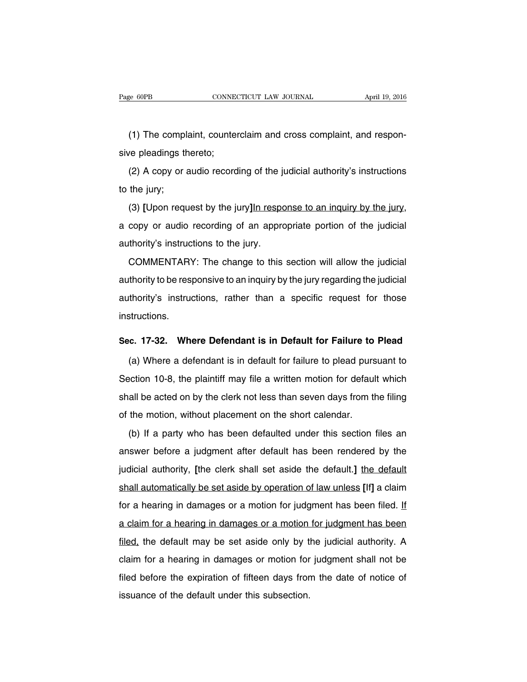(1) The complaint, counterclaim and cross complaint, and responsive pleadings thereto;

(2) A copy or audio recording of the judicial authority's instructions to the jury;

(3) **[**Upon request by the jury**]**In response to an inquiry by the jury, a copy or audio recording of an appropriate portion of the judicial authority's instructions to the jury.

COMMENTARY: The change to this section will allow the judicial authority to be responsive to an inquiry by the jury regarding the judicial authority's instructions, rather than a specific request for those instructions.

### **Sec. 17-32. Where Defendant is in Default for Failure to Plead**

(a) Where a defendant is in default for failure to plead pursuant to Section 10-8, the plaintiff may file a written motion for default which shall be acted on by the clerk not less than seven days from the filing of the motion, without placement on the short calendar.

(b) If a party who has been defaulted under this section files an answer before a judgment after default has been rendered by the judicial authority, **[**the clerk shall set aside the default.**]** the default shall automatically be set aside by operation of law unless **[**If**]** a claim for a hearing in damages or a motion for judgment has been filed. If a claim for a hearing in damages or a motion for judgment has been filed, the default may be set aside only by the judicial authority. A claim for a hearing in damages or motion for judgment shall not be filed before the expiration of fifteen days from the date of notice of issuance of the default under this subsection.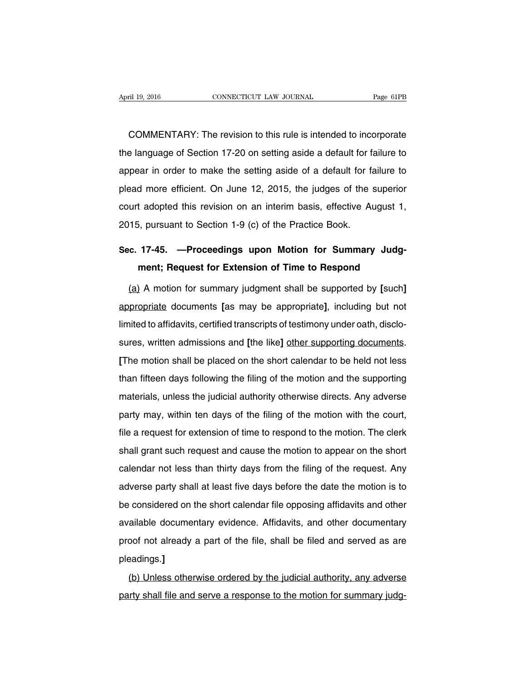COMMENTARY: The revision to this rule is intended to incorporate the language of Section 17-20 on setting aside a default for failure to appear in order to make the setting aside of a default for failure to plead more efficient. On June 12, 2015, the judges of the superior court adopted this revision on an interim basis, effective August 1, 2015, pursuant to Section 1-9 (c) of the Practice Book.

# **Sec. 17-45. —Proceedings upon Motion for Summary Judgment; Request for Extension of Time to Respond**

(a) A motion for summary judgment shall be supported by **[**such**]** appropriate documents **[**as may be appropriate**]**, including but not limited to affidavits, certified transcripts of testimony under oath, disclosures, written admissions and **[**the like**]** other supporting documents. **[**The motion shall be placed on the short calendar to be held not less than fifteen days following the filing of the motion and the supporting materials, unless the judicial authority otherwise directs. Any adverse party may, within ten days of the filing of the motion with the court, file a request for extension of time to respond to the motion. The clerk shall grant such request and cause the motion to appear on the short calendar not less than thirty days from the filing of the request. Any adverse party shall at least five days before the date the motion is to be considered on the short calendar file opposing affidavits and other available documentary evidence. Affidavits, and other documentary proof not already a part of the file, shall be filed and served as are pleadings.**]**

(b) Unless otherwise ordered by the judicial authority, any adverse party shall file and serve a response to the motion for summary judg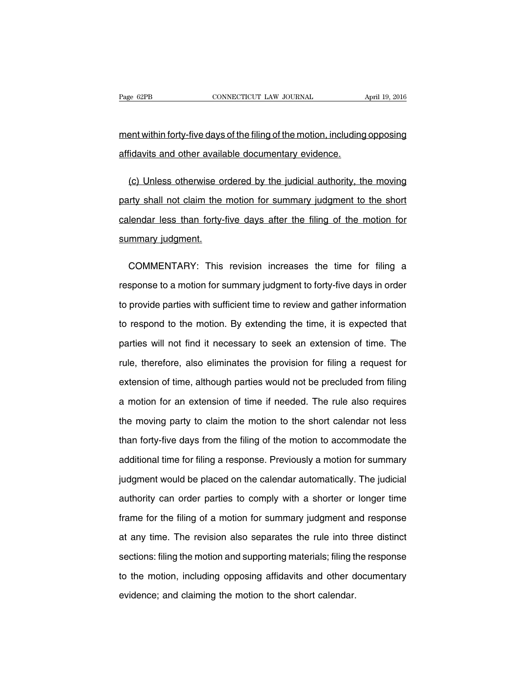ment within forty-five days of the filing of the motion, including opposing affidavits and other available documentary evidence.

(c) Unless otherwise ordered by the judicial authority, the moving party shall not claim the motion for summary judgment to the short calendar less than forty-five days after the filing of the motion for summary judgment.

COMMENTARY: This revision increases the time for filing a response to a motion for summary judgment to forty-five days in order to provide parties with sufficient time to review and gather information to respond to the motion. By extending the time, it is expected that parties will not find it necessary to seek an extension of time. The rule, therefore, also eliminates the provision for filing a request for extension of time, although parties would not be precluded from filing a motion for an extension of time if needed. The rule also requires the moving party to claim the motion to the short calendar not less than forty-five days from the filing of the motion to accommodate the additional time for filing a response. Previously a motion for summary judgment would be placed on the calendar automatically. The judicial authority can order parties to comply with a shorter or longer time frame for the filing of a motion for summary judgment and response at any time. The revision also separates the rule into three distinct sections: filing the motion and supporting materials; filing the response to the motion, including opposing affidavits and other documentary evidence; and claiming the motion to the short calendar.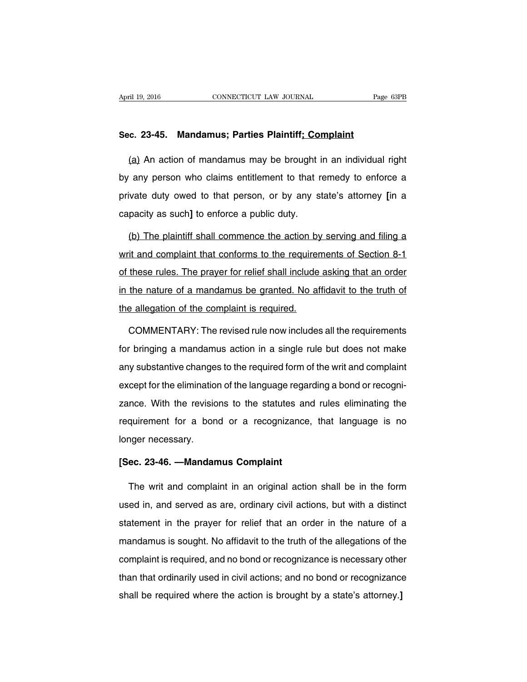### **Sec. 23-45. Mandamus; Parties Plaintiff; Complaint**

(a) An action of mandamus may be brought in an individual right by any person who claims entitlement to that remedy to enforce a private duty owed to that person, or by any state's attorney **[**in a capacity as such**]** to enforce a public duty.

(b) The plaintiff shall commence the action by serving and filing a writ and complaint that conforms to the requirements of Section 8-1 of these rules. The prayer for relief shall include asking that an order in the nature of a mandamus be granted. No affidavit to the truth of the allegation of the complaint is required.

COMMENTARY: The revised rule now includes all the requirements for bringing a mandamus action in a single rule but does not make any substantive changes to the required form of the writ and complaint except for the elimination of the language regarding a bond or recognizance. With the revisions to the statutes and rules eliminating the requirement for a bond or a recognizance, that language is no longer necessary.

### **[Sec. 23-46. —Mandamus Complaint**

The writ and complaint in an original action shall be in the form used in, and served as are, ordinary civil actions, but with a distinct statement in the prayer for relief that an order in the nature of a mandamus is sought. No affidavit to the truth of the allegations of the complaint is required, and no bond or recognizance is necessary other than that ordinarily used in civil actions; and no bond or recognizance shall be required where the action is brought by a state's attorney.**]**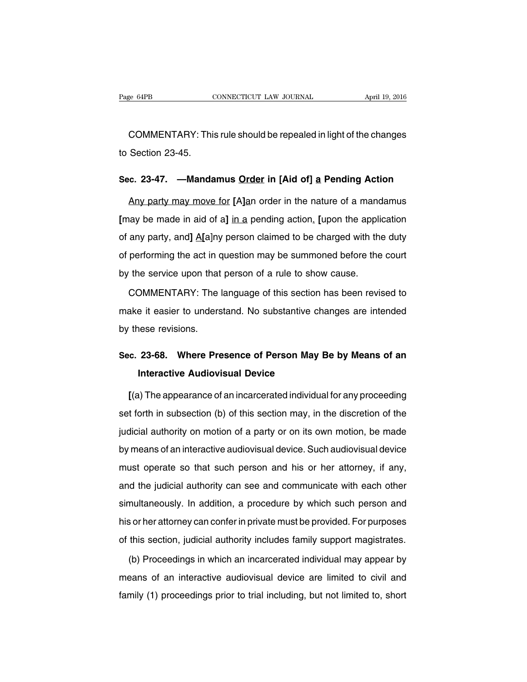COMMENTARY: This rule should be repealed in light of the changes to Section 23-45.

### **Sec. 23-47. —Mandamus Order in [Aid of] a Pending Action**

Any party may move for **[**A**]**an order in the nature of a mandamus **[**may be made in aid of a**]** in a pending action. **[**upon the application of any party, and**]** A**[**a]ny person claimed to be charged with the duty of performing the act in question may be summoned before the court by the service upon that person of a rule to show cause.

COMMENTARY: The language of this section has been revised to make it easier to understand. No substantive changes are intended by these revisions.

### **Sec. 23-68. Where Presence of Person May Be by Means of an Interactive Audiovisual Device**

**[**(a) The appearance of an incarcerated individual for any proceeding set forth in subsection (b) of this section may, in the discretion of the judicial authority on motion of a party or on its own motion, be made by means of an interactive audiovisual device. Such audiovisual device must operate so that such person and his or her attorney, if any, and the judicial authority can see and communicate with each other simultaneously. In addition, a procedure by which such person and his or her attorney can confer in private must be provided. For purposes of this section, judicial authority includes family support magistrates.

(b) Proceedings in which an incarcerated individual may appear by means of an interactive audiovisual device are limited to civil and family (1) proceedings prior to trial including, but not limited to, short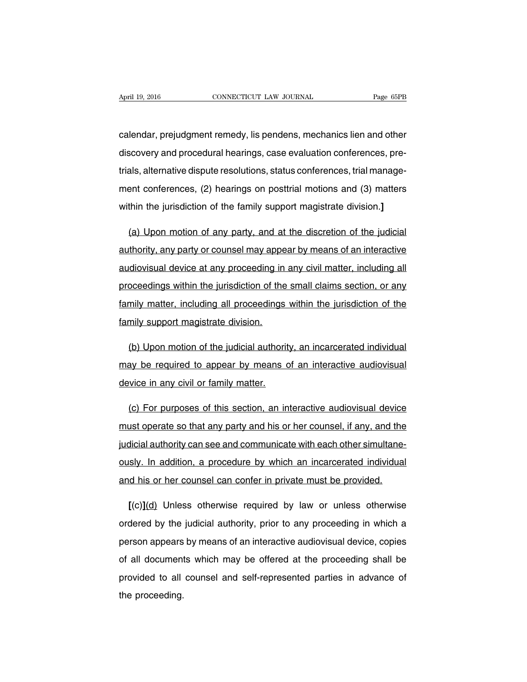calendar, prejudgment remedy, lis pendens, mechanics lien and other discovery and procedural hearings, case evaluation conferences, pretrials, alternative dispute resolutions, status conferences, trial management conferences, (2) hearings on posttrial motions and (3) matters within the jurisdiction of the family support magistrate division.**]**

(a) Upon motion of any party, and at the discretion of the judicial authority, any party or counsel may appear by means of an interactive audiovisual device at any proceeding in any civil matter, including all proceedings within the jurisdiction of the small claims section, or any family matter, including all proceedings within the jurisdiction of the family support magistrate division.

(b) Upon motion of the judicial authority, an incarcerated individual may be required to appear by means of an interactive audiovisual device in any civil or family matter.

(c) For purposes of this section, an interactive audiovisual device must operate so that any party and his or her counsel, if any, and the judicial authority can see and communicate with each other simultaneously. In addition, a procedure by which an incarcerated individual and his or her counsel can confer in private must be provided.

**[**(c)**]**(d) Unless otherwise required by law or unless otherwise ordered by the judicial authority, prior to any proceeding in which a person appears by means of an interactive audiovisual device, copies of all documents which may be offered at the proceeding shall be provided to all counsel and self-represented parties in advance of the proceeding.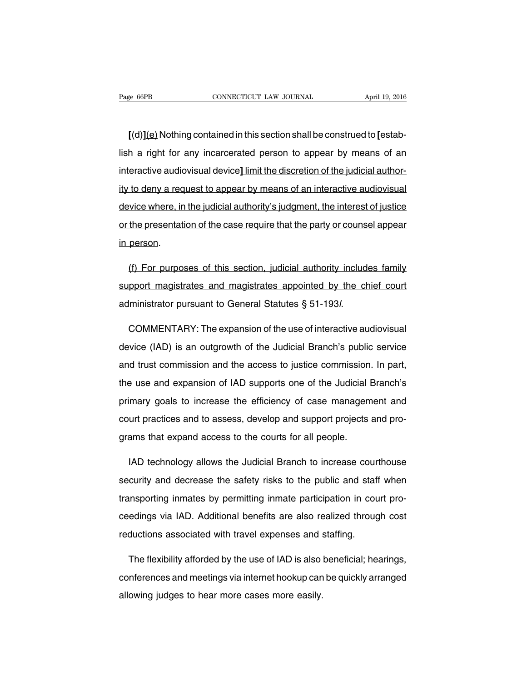**[**(d)**]**(e) Nothing contained in this section shall be construed to **[**establish a right for any incarcerated person to appear by means of an interactive audiovisual device**]** limit the discretion of the judicial authority to deny a request to appear by means of an interactive audiovisual device where, in the judicial authority's judgment, the interest of justice or the presentation of the case require that the party or counsel appear in person.

(f) For purposes of this section, judicial authority includes family support magistrates and magistrates appointed by the chief court administrator pursuant to General Statutes § 51-193l.

COMMENTARY: The expansion of the use of interactive audiovisual device (IAD) is an outgrowth of the Judicial Branch's public service and trust commission and the access to justice commission. In part, the use and expansion of IAD supports one of the Judicial Branch's primary goals to increase the efficiency of case management and court practices and to assess, develop and support projects and programs that expand access to the courts for all people.

IAD technology allows the Judicial Branch to increase courthouse security and decrease the safety risks to the public and staff when transporting inmates by permitting inmate participation in court proceedings via IAD. Additional benefits are also realized through cost reductions associated with travel expenses and staffing.

The flexibility afforded by the use of IAD is also beneficial; hearings, conferences and meetings via internet hookup can be quickly arranged allowing judges to hear more cases more easily.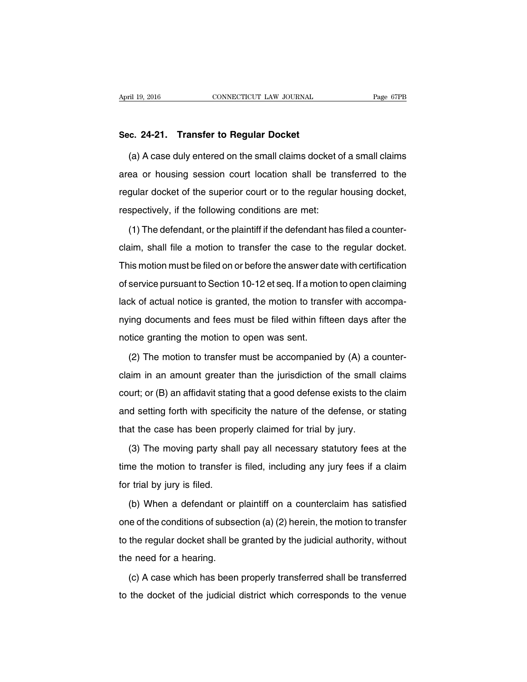### **Sec. 24-21. Transfer to Regular Docket**

(a) A case duly entered on the small claims docket of a small claims area or housing session court location shall be transferred to the regular docket of the superior court or to the regular housing docket, respectively, if the following conditions are met:

(1) The defendant, or the plaintiff if the defendant has filed a counterclaim, shall file a motion to transfer the case to the regular docket. This motion must be filed on or before the answer date with certification of service pursuant to Section 10-12 et seq. If a motion to open claiming lack of actual notice is granted, the motion to transfer with accompanying documents and fees must be filed within fifteen days after the notice granting the motion to open was sent.

(2) The motion to transfer must be accompanied by (A) a counterclaim in an amount greater than the jurisdiction of the small claims court; or (B) an affidavit stating that a good defense exists to the claim and setting forth with specificity the nature of the defense, or stating that the case has been properly claimed for trial by jury.

(3) The moving party shall pay all necessary statutory fees at the time the motion to transfer is filed, including any jury fees if a claim for trial by jury is filed.

(b) When a defendant or plaintiff on a counterclaim has satisfied one of the conditions of subsection (a) (2) herein, the motion to transfer to the regular docket shall be granted by the judicial authority, without the need for a hearing.

(c) A case which has been properly transferred shall be transferred to the docket of the judicial district which corresponds to the venue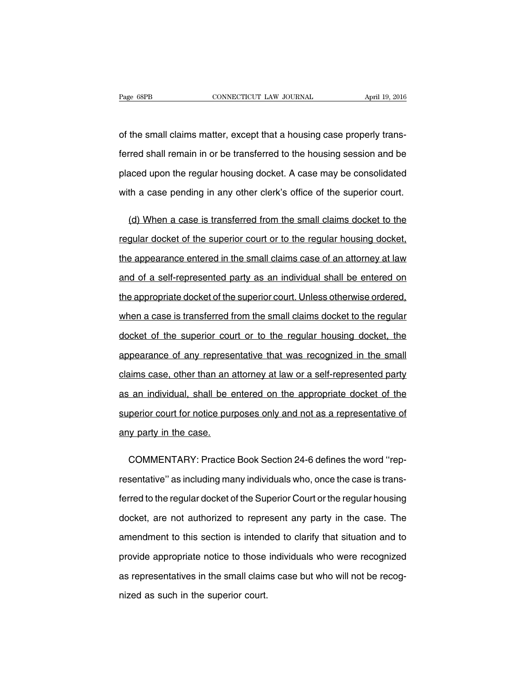of the small claims matter, except that a housing case properly transferred shall remain in or be transferred to the housing session and be placed upon the regular housing docket. A case may be consolidated with a case pending in any other clerk's office of the superior court.

(d) When a case is transferred from the small claims docket to the regular docket of the superior court or to the regular housing docket, the appearance entered in the small claims case of an attorney at law and of a self-represented party as an individual shall be entered on the appropriate docket of the superior court. Unless otherwise ordered, when a case is transferred from the small claims docket to the regular docket of the superior court or to the regular housing docket, the appearance of any representative that was recognized in the small claims case, other than an attorney at law or a self-represented party as an individual, shall be entered on the appropriate docket of the superior court for notice purposes only and not as a representative of any party in the case.

COMMENTARY: Practice Book Section 24-6 defines the word ''representative'' as including many individuals who, once the case is transferred to the regular docket of the Superior Court or the regular housing docket, are not authorized to represent any party in the case. The amendment to this section is intended to clarify that situation and to provide appropriate notice to those individuals who were recognized as representatives in the small claims case but who will not be recognized as such in the superior court.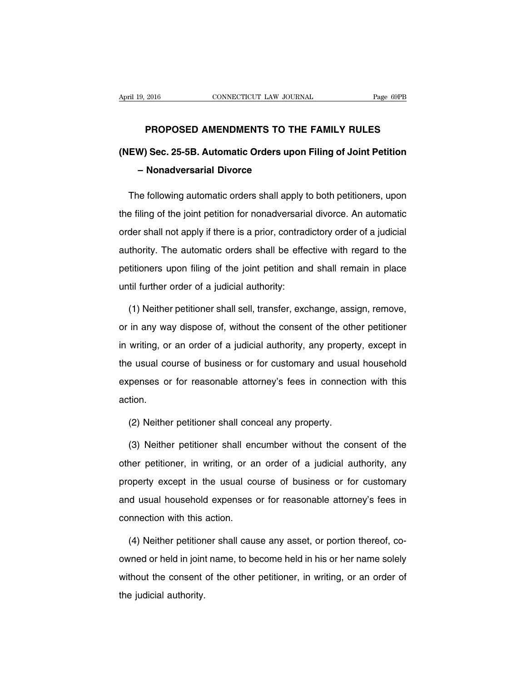### **PROPOSED AMENDMENTS TO THE FAMILY RULES**

# **(NEW) Sec. 25-5B. Automatic Orders upon Filing of Joint Petition – Nonadversarial Divorce**

The following automatic orders shall apply to both petitioners, upon the filing of the joint petition for nonadversarial divorce. An automatic order shall not apply if there is a prior, contradictory order of a judicial authority. The automatic orders shall be effective with regard to the petitioners upon filing of the joint petition and shall remain in place until further order of a judicial authority:

(1) Neither petitioner shall sell, transfer, exchange, assign, remove, or in any way dispose of, without the consent of the other petitioner in writing, or an order of a judicial authority, any property, except in the usual course of business or for customary and usual household expenses or for reasonable attorney's fees in connection with this action.

(2) Neither petitioner shall conceal any property.

(3) Neither petitioner shall encumber without the consent of the other petitioner, in writing, or an order of a judicial authority, any property except in the usual course of business or for customary and usual household expenses or for reasonable attorney's fees in connection with this action.

(4) Neither petitioner shall cause any asset, or portion thereof, coowned or held in joint name, to become held in his or her name solely without the consent of the other petitioner, in writing, or an order of the judicial authority.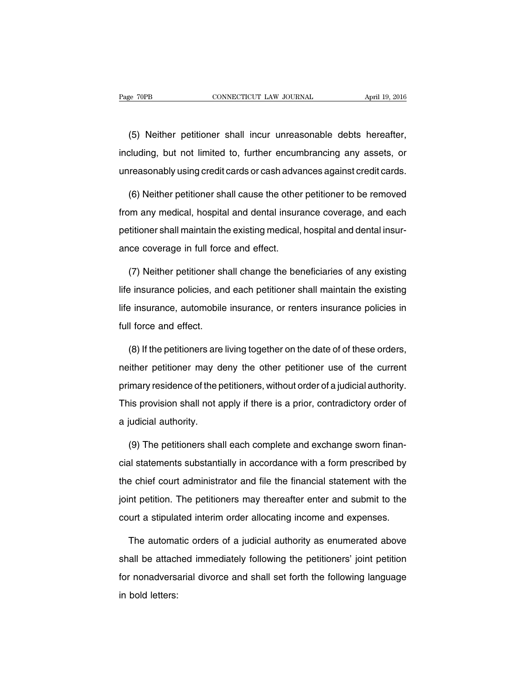(5) Neither petitioner shall incur unreasonable debts hereafter, including, but not limited to, further encumbrancing any assets, or unreasonably using credit cards or cash advances against credit cards.

(6) Neither petitioner shall cause the other petitioner to be removed from any medical, hospital and dental insurance coverage, and each petitioner shall maintain the existing medical, hospital and dental insurance coverage in full force and effect.

(7) Neither petitioner shall change the beneficiaries of any existing life insurance policies, and each petitioner shall maintain the existing life insurance, automobile insurance, or renters insurance policies in full force and effect.

(8) If the petitioners are living together on the date of of these orders, neither petitioner may deny the other petitioner use of the current primary residence of the petitioners, without order of a judicial authority. This provision shall not apply if there is a prior, contradictory order of a judicial authority.

(9) The petitioners shall each complete and exchange sworn financial statements substantially in accordance with a form prescribed by the chief court administrator and file the financial statement with the joint petition. The petitioners may thereafter enter and submit to the court a stipulated interim order allocating income and expenses.

The automatic orders of a judicial authority as enumerated above shall be attached immediately following the petitioners' joint petition for nonadversarial divorce and shall set forth the following language in bold letters: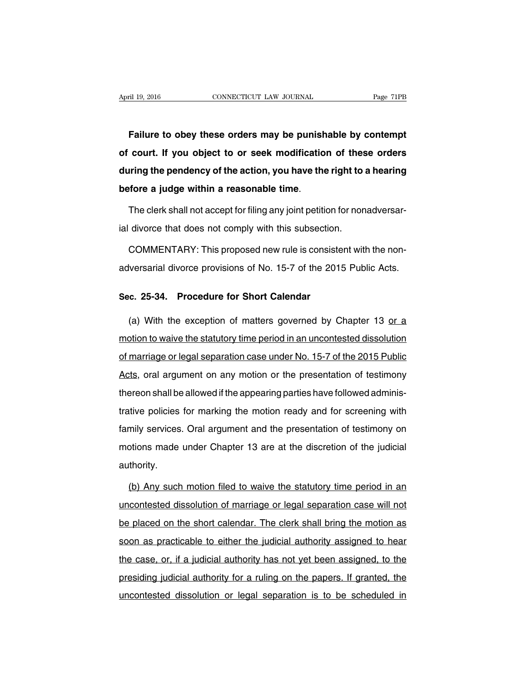**Failure to obey these orders may be punishable by contempt of court. If you object to or seek modification of these orders during the pendency of the action, you have the right to a hearing before a judge within a reasonable time**.

The clerk shall not accept for filing any joint petition for nonadversarial divorce that does not comply with this subsection.

COMMENTARY: This proposed new rule is consistent with the nonadversarial divorce provisions of No. 15-7 of the 2015 Public Acts.

### **Sec. 25-34. Procedure for Short Calendar**

(a) With the exception of matters governed by Chapter 13 or a motion to waive the statutory time period in an uncontested dissolution of marriage or legal separation case under No. 15-7 of the 2015 Public Acts, oral argument on any motion or the presentation of testimony thereon shall be allowed if the appearing parties have followed administrative policies for marking the motion ready and for screening with family services. Oral argument and the presentation of testimony on motions made under Chapter 13 are at the discretion of the judicial authority.

(b) Any such motion filed to waive the statutory time period in an uncontested dissolution of marriage or legal separation case will not be placed on the short calendar. The clerk shall bring the motion as soon as practicable to either the judicial authority assigned to hear the case, or, if a judicial authority has not yet been assigned, to the presiding judicial authority for a ruling on the papers. If granted, the uncontested dissolution or legal separation is to be scheduled in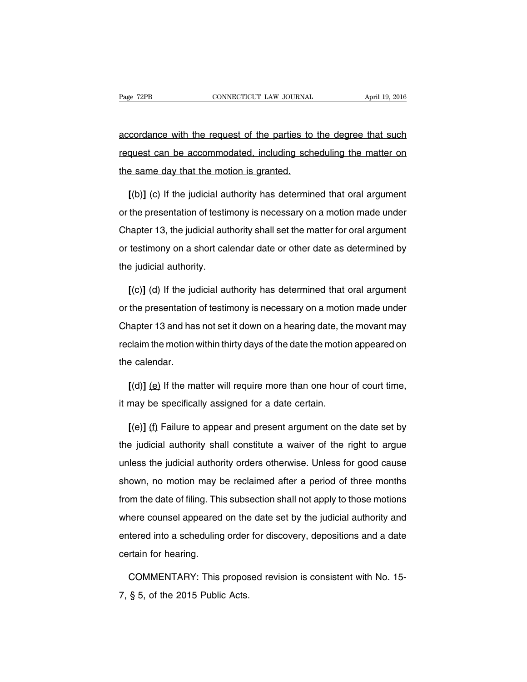accordance with the request of the parties to the degree that such request can be accommodated, including scheduling the matter on the same day that the motion is granted.

**[**(b)**]** (c) If the judicial authority has determined that oral argument or the presentation of testimony is necessary on a motion made under Chapter 13, the judicial authority shall set the matter for oral argument or testimony on a short calendar date or other date as determined by the judicial authority.

**[**(c)**]** (d) If the judicial authority has determined that oral argument or the presentation of testimony is necessary on a motion made under Chapter 13 and has not set it down on a hearing date, the movant may reclaim the motion within thirty days of the date the motion appeared on the calendar.

**[**(d)**]** (e) If the matter will require more than one hour of court time, it may be specifically assigned for a date certain.

**[**(e)**]** (f) Failure to appear and present argument on the date set by the judicial authority shall constitute a waiver of the right to argue unless the judicial authority orders otherwise. Unless for good cause shown, no motion may be reclaimed after a period of three months from the date of filing. This subsection shall not apply to those motions where counsel appeared on the date set by the judicial authority and entered into a scheduling order for discovery, depositions and a date certain for hearing.

COMMENTARY: This proposed revision is consistent with No. 15- 7, § 5, of the 2015 Public Acts.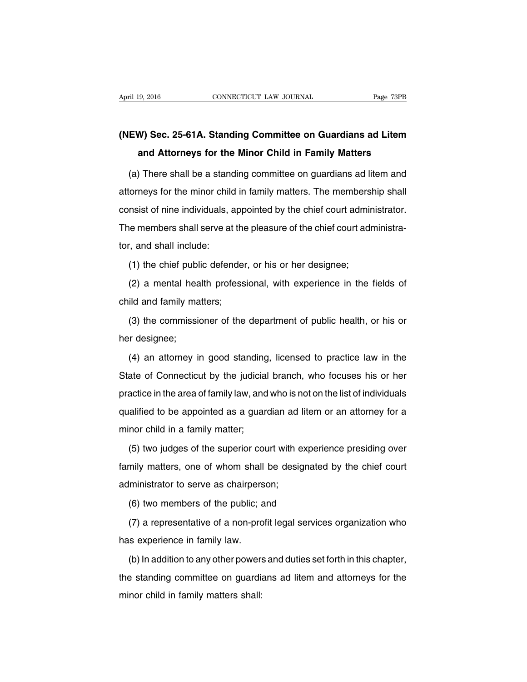## **(NEW) Sec. 25-61A. Standing Committee on Guardians ad Litem and Attorneys for the Minor Child in Family Matters**

(a) There shall be a standing committee on guardians ad litem and attorneys for the minor child in family matters. The membership shall consist of nine individuals, appointed by the chief court administrator. The members shall serve at the pleasure of the chief court administrator, and shall include:

(1) the chief public defender, or his or her designee;

(2) a mental health professional, with experience in the fields of child and family matters;

(3) the commissioner of the department of public health, or his or her designee;

(4) an attorney in good standing, licensed to practice law in the State of Connecticut by the judicial branch, who focuses his or her practice in the area of family law, and who is not on the list of individuals qualified to be appointed as a guardian ad litem or an attorney for a minor child in a family matter;

(5) two judges of the superior court with experience presiding over family matters, one of whom shall be designated by the chief court administrator to serve as chairperson;

(6) two members of the public; and

(7) a representative of a non-profit legal services organization who has experience in family law.

(b) In addition to any other powers and duties set forth in this chapter, the standing committee on guardians ad litem and attorneys for the minor child in family matters shall: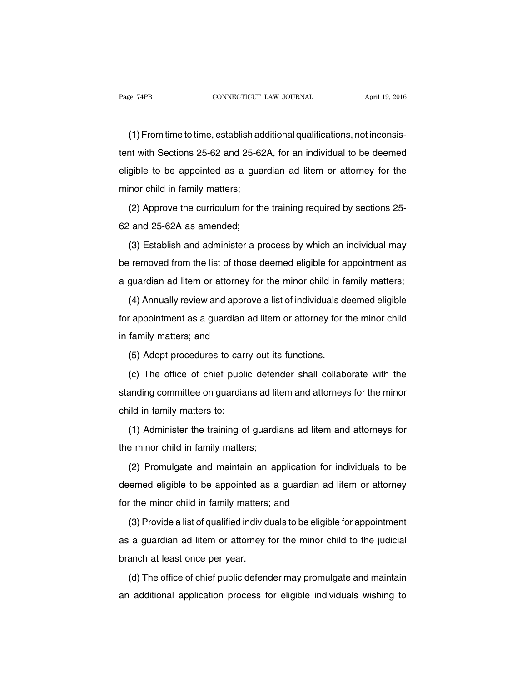(1) From time to time, establish additional qualifications, not inconsistent with Sections 25-62 and 25-62A, for an individual to be deemed eligible to be appointed as a guardian ad litem or attorney for the minor child in family matters;

(2) Approve the curriculum for the training required by sections 25- 62 and 25-62A as amended;

(3) Establish and administer a process by which an individual may be removed from the list of those deemed eligible for appointment as a guardian ad litem or attorney for the minor child in family matters;

(4) Annually review and approve a list of individuals deemed eligible for appointment as a guardian ad litem or attorney for the minor child in family matters; and

(5) Adopt procedures to carry out its functions.

(c) The office of chief public defender shall collaborate with the standing committee on guardians ad litem and attorneys for the minor child in family matters to:

(1) Administer the training of guardians ad litem and attorneys for the minor child in family matters;

(2) Promulgate and maintain an application for individuals to be deemed eligible to be appointed as a guardian ad litem or attorney for the minor child in family matters; and

(3) Provide a list of qualified individuals to be eligible for appointment as a guardian ad litem or attorney for the minor child to the judicial branch at least once per year.

(d) The office of chief public defender may promulgate and maintain an additional application process for eligible individuals wishing to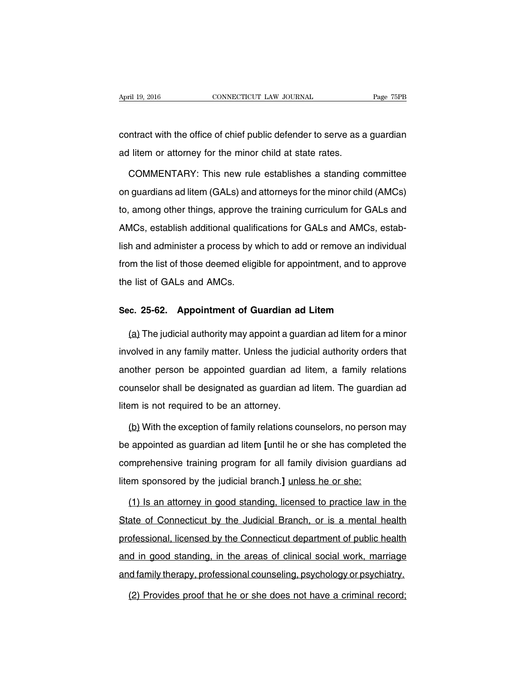contract with the office of chief public defender to serve as a guardian ad litem or attorney for the minor child at state rates.

COMMENTARY: This new rule establishes a standing committee on guardians ad litem (GALs) and attorneys for the minor child (AMCs) to, among other things, approve the training curriculum for GALs and AMCs, establish additional qualifications for GALs and AMCs, establish and administer a process by which to add or remove an individual from the list of those deemed eligible for appointment, and to approve the list of GALs and AMCs.

#### **Sec. 25-62. Appointment of Guardian ad Litem**

(a) The judicial authority may appoint a guardian ad litem for a minor involved in any family matter. Unless the judicial authority orders that another person be appointed guardian ad litem, a family relations counselor shall be designated as guardian ad litem. The guardian ad litem is not required to be an attorney.

(b) With the exception of family relations counselors, no person may be appointed as guardian ad litem **[**until he or she has completed the comprehensive training program for all family division guardians ad litem sponsored by the judicial branch.**]** unless he or she:

(1) Is an attorney in good standing, licensed to practice law in the State of Connecticut by the Judicial Branch, or is a mental health professional, licensed by the Connecticut department of public health and in good standing, in the areas of clinical social work, marriage and family therapy, professional counseling, psychology or psychiatry.

(2) Provides proof that he or she does not have a criminal record;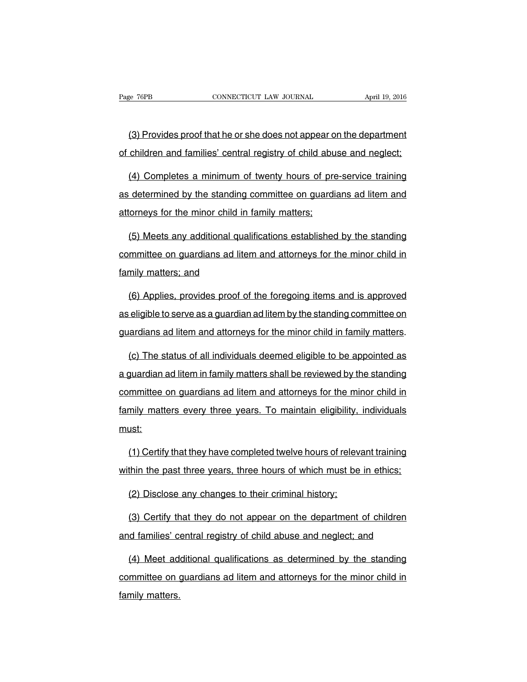(3) Provides proof that he or she does not appear on the department of children and families' central registry of child abuse and neglect;

(4) Completes a minimum of twenty hours of pre-service training as determined by the standing committee on guardians ad litem and attorneys for the minor child in family matters;

(5) Meets any additional qualifications established by the standing committee on guardians ad litem and attorneys for the minor child in family matters; and

(6) Applies, provides proof of the foregoing items and is approved as eligible to serve as a guardian ad litem by the standing committee on guardians ad litem and attorneys for the minor child in family matters.

(c) The status of all individuals deemed eligible to be appointed as a guardian ad litem in family matters shall be reviewed by the standing committee on guardians ad litem and attorneys for the minor child in family matters every three years. To maintain eligibility, individuals must:

(1) Certify that they have completed twelve hours of relevant training within the past three years, three hours of which must be in ethics;

(2) Disclose any changes to their criminal history;

(3) Certify that they do not appear on the department of children and families' central registry of child abuse and neglect; and

(4) Meet additional qualifications as determined by the standing committee on guardians ad litem and attorneys for the minor child in family matters.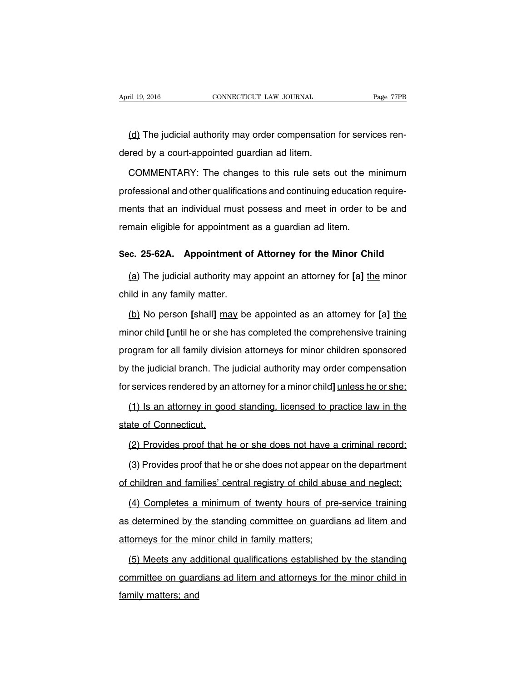(d) The judicial authority may order compensation for services rendered by a court-appointed guardian ad litem.

COMMENTARY: The changes to this rule sets out the minimum professional and other qualifications and continuing education requirements that an individual must possess and meet in order to be and remain eligible for appointment as a guardian ad litem.

### **Sec. 25-62A. Appointment of Attorney for the Minor Child**

(a) The judicial authority may appoint an attorney for **[**a**]** the minor child in any family matter.

(b) No person **[**shall**]** may be appointed as an attorney for **[**a**]** the minor child **[**until he or she has completed the comprehensive training program for all family division attorneys for minor children sponsored by the judicial branch. The judicial authority may order compensation for services rendered by an attorney for a minor child**]** unless he or she:

(1) Is an attorney in good standing, licensed to practice law in the state of Connecticut.

(2) Provides proof that he or she does not have a criminal record;

(3) Provides proof that he or she does not appear on the department of children and families' central registry of child abuse and neglect;

(4) Completes a minimum of twenty hours of pre-service training as determined by the standing committee on guardians ad litem and attorneys for the minor child in family matters;

(5) Meets any additional qualifications established by the standing committee on guardians ad litem and attorneys for the minor child in family matters; and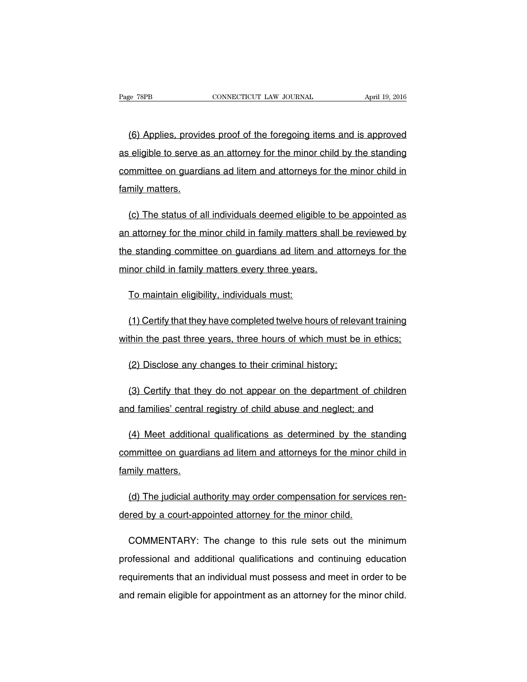(6) Applies, provides proof of the foregoing items and is approved as eligible to serve as an attorney for the minor child by the standing committee on guardians ad litem and attorneys for the minor child in family matters.

(c) The status of all individuals deemed eligible to be appointed as an attorney for the minor child in family matters shall be reviewed by the standing committee on guardians ad litem and attorneys for the minor child in family matters every three years.

To maintain eligibility, individuals must:

(1) Certify that they have completed twelve hours of relevant training within the past three years, three hours of which must be in ethics;

(2) Disclose any changes to their criminal history;

(3) Certify that they do not appear on the department of children and families' central registry of child abuse and neglect; and

(4) Meet additional qualifications as determined by the standing committee on guardians ad litem and attorneys for the minor child in family matters.

(d) The judicial authority may order compensation for services rendered by a court-appointed attorney for the minor child.

COMMENTARY: The change to this rule sets out the minimum professional and additional qualifications and continuing education requirements that an individual must possess and meet in order to be and remain eligible for appointment as an attorney for the minor child.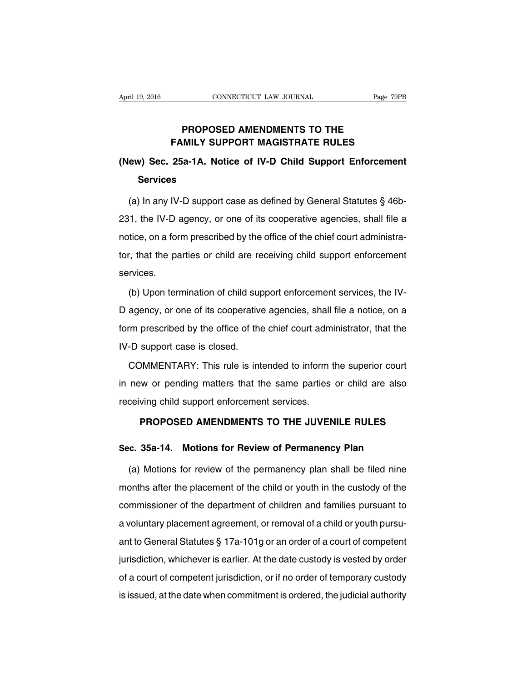### **PROPOSED AMENDMENTS TO THE FAMILY SUPPORT MAGISTRATE RULES**

## **(New) Sec. 25a-1A. Notice of IV-D Child Support Enforcement Services**

(a) In any IV-D support case as defined by General Statutes § 46b-231, the IV-D agency, or one of its cooperative agencies, shall file a notice, on a form prescribed by the office of the chief court administrator, that the parties or child are receiving child support enforcement services.

(b) Upon termination of child support enforcement services, the IV-D agency, or one of its cooperative agencies, shall file a notice, on a form prescribed by the office of the chief court administrator, that the IV-D support case is closed.

COMMENTARY: This rule is intended to inform the superior court in new or pending matters that the same parties or child are also receiving child support enforcement services.

### **PROPOSED AMENDMENTS TO THE JUVENILE RULES**

### **Sec. 35a-14. Motions for Review of Permanency Plan**

(a) Motions for review of the permanency plan shall be filed nine months after the placement of the child or youth in the custody of the commissioner of the department of children and families pursuant to a voluntary placement agreement, or removal of a child or youth pursuant to General Statutes § 17a-101g or an order of a court of competent jurisdiction, whichever is earlier. At the date custody is vested by order of a court of competent jurisdiction, or if no order of temporary custody is issued, at the date when commitment is ordered, the judicial authority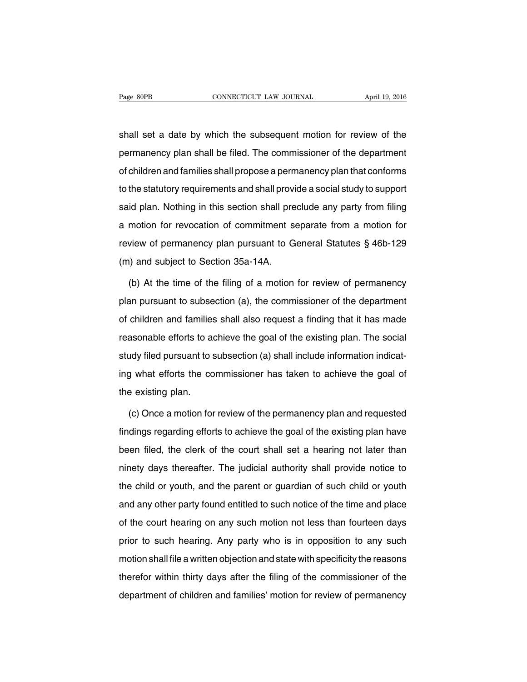shall set a date by which the subsequent motion for review of the permanency plan shall be filed. The commissioner of the department of children and families shall propose a permanency plan that conforms to the statutory requirements and shall provide a social study to support said plan. Nothing in this section shall preclude any party from filing a motion for revocation of commitment separate from a motion for review of permanency plan pursuant to General Statutes § 46b-129 (m) and subject to Section 35a-14A.

(b) At the time of the filing of a motion for review of permanency plan pursuant to subsection (a), the commissioner of the department of children and families shall also request a finding that it has made reasonable efforts to achieve the goal of the existing plan. The social study filed pursuant to subsection (a) shall include information indicating what efforts the commissioner has taken to achieve the goal of the existing plan.

(c) Once a motion for review of the permanency plan and requested findings regarding efforts to achieve the goal of the existing plan have been filed, the clerk of the court shall set a hearing not later than ninety days thereafter. The judicial authority shall provide notice to the child or youth, and the parent or guardian of such child or youth and any other party found entitled to such notice of the time and place of the court hearing on any such motion not less than fourteen days prior to such hearing. Any party who is in opposition to any such motion shall file a written objection and state with specificity the reasons therefor within thirty days after the filing of the commissioner of the department of children and families' motion for review of permanency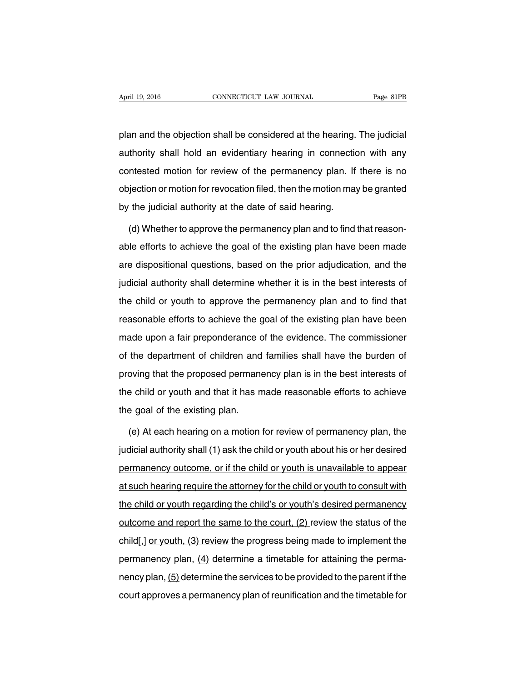plan and the objection shall be considered at the hearing. The judicial authority shall hold an evidentiary hearing in connection with any contested motion for review of the permanency plan. If there is no objection or motion for revocation filed, then the motion may be granted by the judicial authority at the date of said hearing.

(d) Whether to approve the permanency plan and to find that reasonable efforts to achieve the goal of the existing plan have been made are dispositional questions, based on the prior adjudication, and the judicial authority shall determine whether it is in the best interests of the child or youth to approve the permanency plan and to find that reasonable efforts to achieve the goal of the existing plan have been made upon a fair preponderance of the evidence. The commissioner of the department of children and families shall have the burden of proving that the proposed permanency plan is in the best interests of the child or youth and that it has made reasonable efforts to achieve the goal of the existing plan.

(e) At each hearing on a motion for review of permanency plan, the judicial authority shall (1) ask the child or youth about his or her desired permanency outcome, or if the child or youth is unavailable to appear at such hearing require the attorney for the child or youth to consult with the child or youth regarding the child's or youth's desired permanency outcome and report the same to the court, (2) review the status of the child[,] or youth, (3) review the progress being made to implement the permanency plan,  $(4)$  determine a timetable for attaining the permanency plan, (5) determine the services to be provided to the parent if the court approves a permanency plan of reunification and the timetable for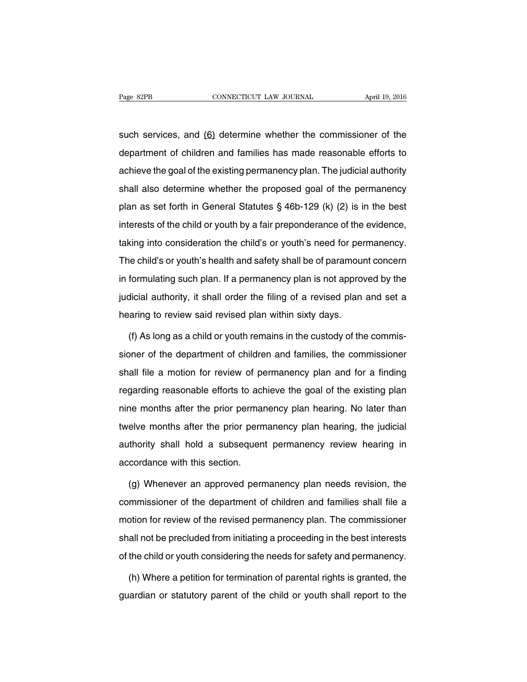such services, and (6) determine whether the commissioner of the department of children and families has made reasonable efforts to achieve the goal of the existing permanency plan. The judicial authority shall also determine whether the proposed goal of the permanency plan as set forth in General Statutes § 46b-129 (k) (2) is in the best interests of the child or youth by a fair preponderance of the evidence, taking into consideration the child's or youth's need for permanency. The child's or youth's health and safety shall be of paramount concern in formulating such plan. If a permanency plan is not approved by the judicial authority, it shall order the filing of a revised plan and set a hearing to review said revised plan within sixty days.

(f) As long as a child or youth remains in the custody of the commissioner of the department of children and families, the commissioner shall file a motion for review of permanency plan and for a finding regarding reasonable efforts to achieve the goal of the existing plan nine months after the prior permanency plan hearing. No later than twelve months after the prior permanency plan hearing, the judicial authority shall hold a subsequent permanency review hearing in accordance with this section.

(g) Whenever an approved permanency plan needs revision, the commissioner of the department of children and families shall file a motion for review of the revised permanency plan. The commissioner shall not be precluded from initiating a proceeding in the best interests of the child or youth considering the needs for safety and permanency.

(h) Where a petition for termination of parental rights is granted, the guardian or statutory parent of the child or youth shall report to the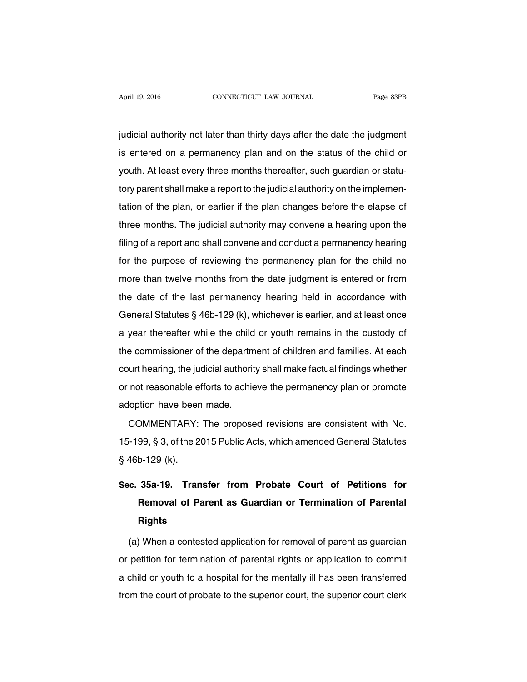judicial authority not later than thirty days after the date the judgment is entered on a permanency plan and on the status of the child or youth. At least every three months thereafter, such guardian or statutory parent shall make a report to the judicial authority on the implementation of the plan, or earlier if the plan changes before the elapse of three months. The judicial authority may convene a hearing upon the filing of a report and shall convene and conduct a permanency hearing for the purpose of reviewing the permanency plan for the child no more than twelve months from the date judgment is entered or from the date of the last permanency hearing held in accordance with General Statutes § 46b-129 (k), whichever is earlier, and at least once a year thereafter while the child or youth remains in the custody of the commissioner of the department of children and families. At each court hearing, the judicial authority shall make factual findings whether or not reasonable efforts to achieve the permanency plan or promote adoption have been made.

COMMENTARY: The proposed revisions are consistent with No. 15-199, § 3, of the 2015 Public Acts, which amended General Statutes § 46b-129 (k).

# **Sec. 35a-19. Transfer from Probate Court of Petitions for Removal of Parent as Guardian or Termination of Parental Rights**

(a) When a contested application for removal of parent as guardian or petition for termination of parental rights or application to commit a child or youth to a hospital for the mentally ill has been transferred from the court of probate to the superior court, the superior court clerk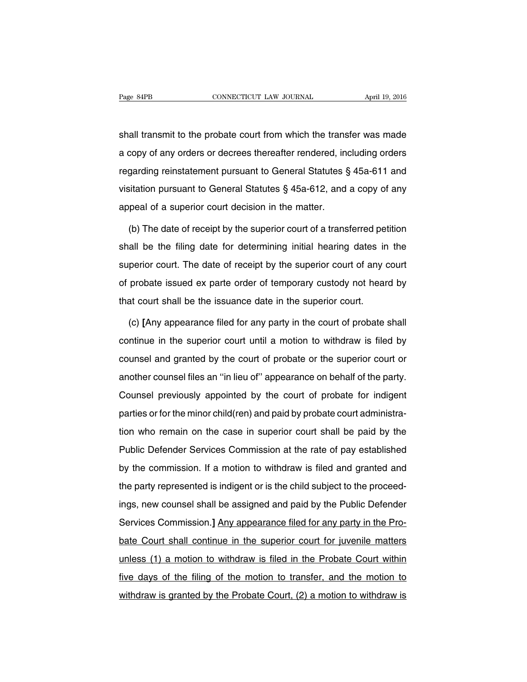shall transmit to the probate court from which the transfer was made a copy of any orders or decrees thereafter rendered, including orders regarding reinstatement pursuant to General Statutes § 45a-611 and visitation pursuant to General Statutes § 45a-612, and a copy of any appeal of a superior court decision in the matter.

(b) The date of receipt by the superior court of a transferred petition shall be the filing date for determining initial hearing dates in the superior court. The date of receipt by the superior court of any court of probate issued ex parte order of temporary custody not heard by that court shall be the issuance date in the superior court.

(c) **[**Any appearance filed for any party in the court of probate shall continue in the superior court until a motion to withdraw is filed by counsel and granted by the court of probate or the superior court or another counsel files an ''in lieu of'' appearance on behalf of the party. Counsel previously appointed by the court of probate for indigent parties or for the minor child(ren) and paid by probate court administration who remain on the case in superior court shall be paid by the Public Defender Services Commission at the rate of pay established by the commission. If a motion to withdraw is filed and granted and the party represented is indigent or is the child subject to the proceedings, new counsel shall be assigned and paid by the Public Defender Services Commission.**]** Any appearance filed for any party in the Probate Court shall continue in the superior court for juvenile matters unless (1) a motion to withdraw is filed in the Probate Court within five days of the filing of the motion to transfer, and the motion to withdraw is granted by the Probate Court, (2) a motion to withdraw is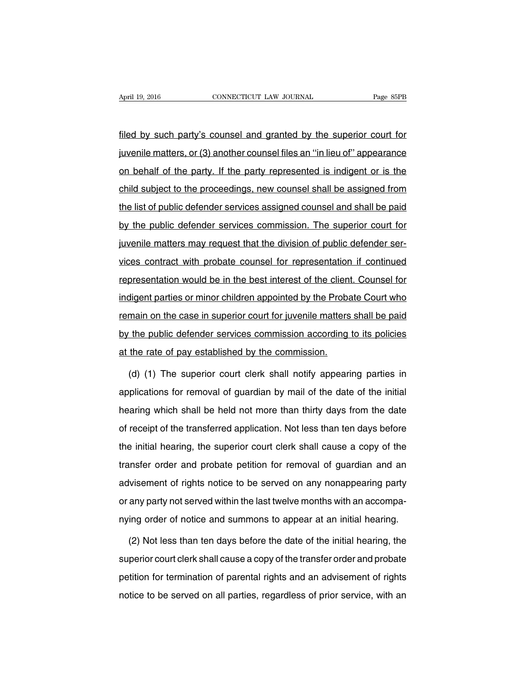filed by such party's counsel and granted by the superior court for juvenile matters, or (3) another counsel files an ''in lieu of'' appearance on behalf of the party. If the party represented is indigent or is the child subject to the proceedings, new counsel shall be assigned from the list of public defender services assigned counsel and shall be paid by the public defender services commission. The superior court for juvenile matters may request that the division of public defender services contract with probate counsel for representation if continued representation would be in the best interest of the client. Counsel for indigent parties or minor children appointed by the Probate Court who remain on the case in superior court for juvenile matters shall be paid by the public defender services commission according to its policies at the rate of pay established by the commission.

(d) (1) The superior court clerk shall notify appearing parties in applications for removal of guardian by mail of the date of the initial hearing which shall be held not more than thirty days from the date of receipt of the transferred application. Not less than ten days before the initial hearing, the superior court clerk shall cause a copy of the transfer order and probate petition for removal of guardian and an advisement of rights notice to be served on any nonappearing party or any party not served within the last twelve months with an accompanying order of notice and summons to appear at an initial hearing.

(2) Not less than ten days before the date of the initial hearing, the superior court clerk shall cause a copy of the transfer order and probate petition for termination of parental rights and an advisement of rights notice to be served on all parties, regardless of prior service, with an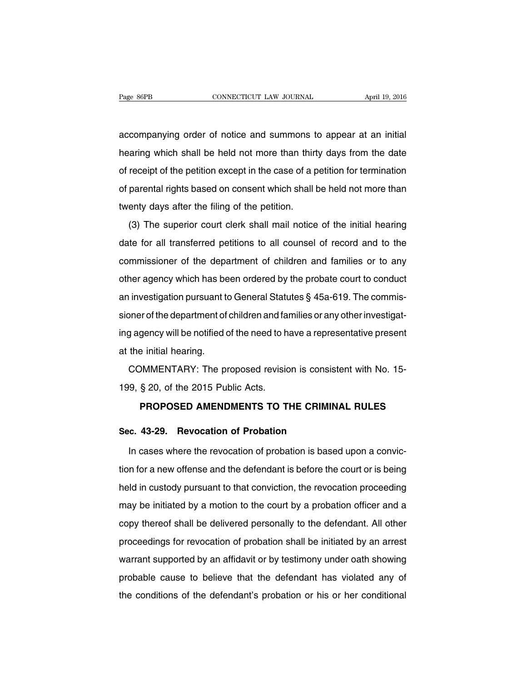accompanying order of notice and summons to appear at an initial hearing which shall be held not more than thirty days from the date of receipt of the petition except in the case of a petition for termination of parental rights based on consent which shall be held not more than twenty days after the filing of the petition.

(3) The superior court clerk shall mail notice of the initial hearing date for all transferred petitions to all counsel of record and to the commissioner of the department of children and families or to any other agency which has been ordered by the probate court to conduct an investigation pursuant to General Statutes § 45a-619. The commissioner of the department of children and families or any other investigating agency will be notified of the need to have a representative present at the initial hearing.

COMMENTARY: The proposed revision is consistent with No. 15- 199, § 20, of the 2015 Public Acts.

### **PROPOSED AMENDMENTS TO THE CRIMINAL RULES**

### **Sec. 43-29. Revocation of Probation**

In cases where the revocation of probation is based upon a conviction for a new offense and the defendant is before the court or is being held in custody pursuant to that conviction, the revocation proceeding may be initiated by a motion to the court by a probation officer and a copy thereof shall be delivered personally to the defendant. All other proceedings for revocation of probation shall be initiated by an arrest warrant supported by an affidavit or by testimony under oath showing probable cause to believe that the defendant has violated any of the conditions of the defendant's probation or his or her conditional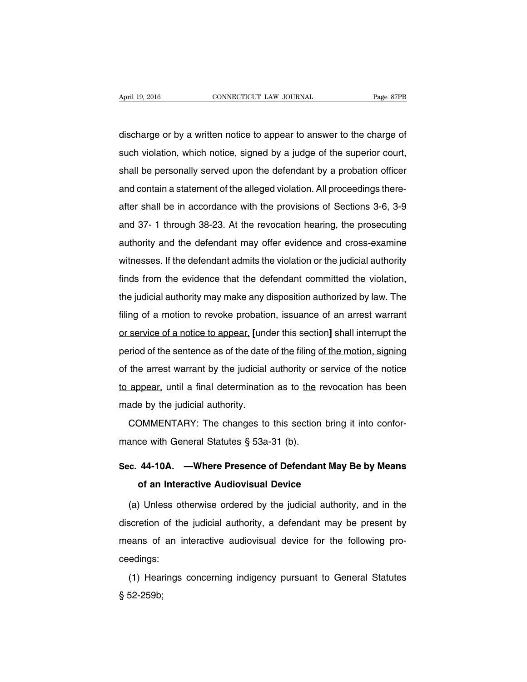discharge or by a written notice to appear to answer to the charge of such violation, which notice, signed by a judge of the superior court, shall be personally served upon the defendant by a probation officer and contain a statement of the alleged violation. All proceedings thereafter shall be in accordance with the provisions of Sections 3-6, 3-9 and 37- 1 through 38-23. At the revocation hearing, the prosecuting authority and the defendant may offer evidence and cross-examine witnesses. If the defendant admits the violation or the judicial authority finds from the evidence that the defendant committed the violation, the judicial authority may make any disposition authorized by law. The filing of a motion to revoke probation, issuance of an arrest warrant or service of a notice to appear, **[**under this section**]** shall interrupt the period of the sentence as of the date of the filing of the motion, signing of the arrest warrant by the judicial authority or service of the notice to appear, until a final determination as to the revocation has been made by the judicial authority.

COMMENTARY: The changes to this section bring it into conformance with General Statutes § 53a-31 (b).

### **Sec. 44-10A. —Where Presence of Defendant May Be by Means of an Interactive Audiovisual Device**

(a) Unless otherwise ordered by the judicial authority, and in the discretion of the judicial authority, a defendant may be present by means of an interactive audiovisual device for the following proceedings:

(1) Hearings concerning indigency pursuant to General Statutes § 52-259b;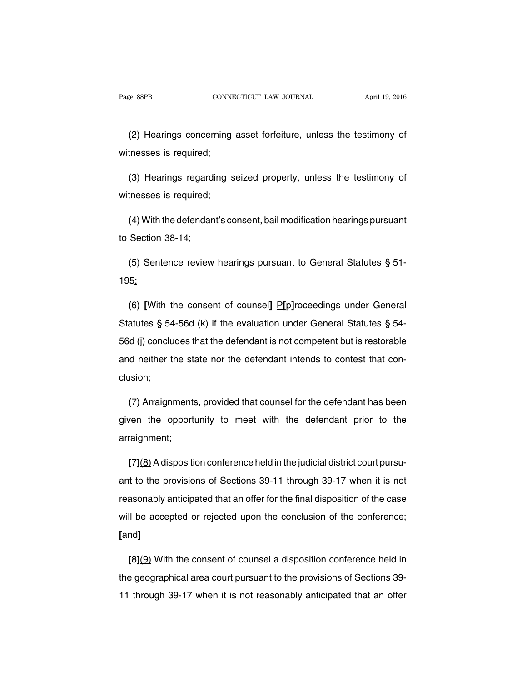(2) Hearings concerning asset forfeiture, unless the testimony of witnesses is required;

(3) Hearings regarding seized property, unless the testimony of witnesses is required;

(4) With the defendant's consent, bail modification hearings pursuant to Section 38-14;

(5) Sentence review hearings pursuant to General Statutes § 51- 195;

(6) **[**With the consent of counsel**]** P**[**p**]**roceedings under General Statutes § 54-56d (k) if the evaluation under General Statutes § 54- 56d (j) concludes that the defendant is not competent but is restorable and neither the state nor the defendant intends to contest that conclusion;

(7) Arraignments, provided that counsel for the defendant has been given the opportunity to meet with the defendant prior to the arraignment;

**[**7**]**(8) Adisposition conference held in the judicial district court pursuant to the provisions of Sections 39-11 through 39-17 when it is not reasonably anticipated that an offer for the final disposition of the case will be accepted or rejected upon the conclusion of the conference; **[**and**]**

**[**8**]**(9) With the consent of counsel a disposition conference held in the geographical area court pursuant to the provisions of Sections 39- 11 through 39-17 when it is not reasonably anticipated that an offer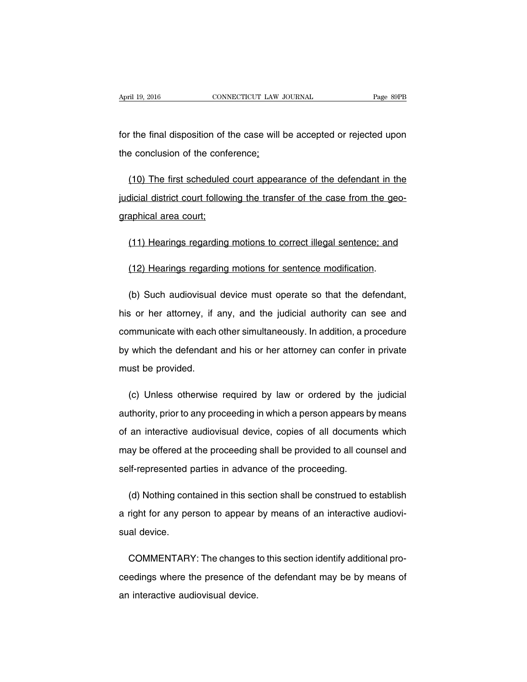for the final disposition of the case will be accepted or rejected upon the conclusion of the conference;

(10) The first scheduled court appearance of the defendant in the judicial district court following the transfer of the case from the geographical area court;

(11) Hearings regarding motions to correct illegal sentence; and

(12) Hearings regarding motions for sentence modification.

(b) Such audiovisual device must operate so that the defendant, his or her attorney, if any, and the judicial authority can see and communicate with each other simultaneously. In addition, a procedure by which the defendant and his or her attorney can confer in private must be provided.

(c) Unless otherwise required by law or ordered by the judicial authority, prior to any proceeding in which a person appears by means of an interactive audiovisual device, copies of all documents which may be offered at the proceeding shall be provided to all counsel and self-represented parties in advance of the proceeding.

(d) Nothing contained in this section shall be construed to establish a right for any person to appear by means of an interactive audiovisual device.

COMMENTARY: The changes to this section identify additional proceedings where the presence of the defendant may be by means of an interactive audiovisual device.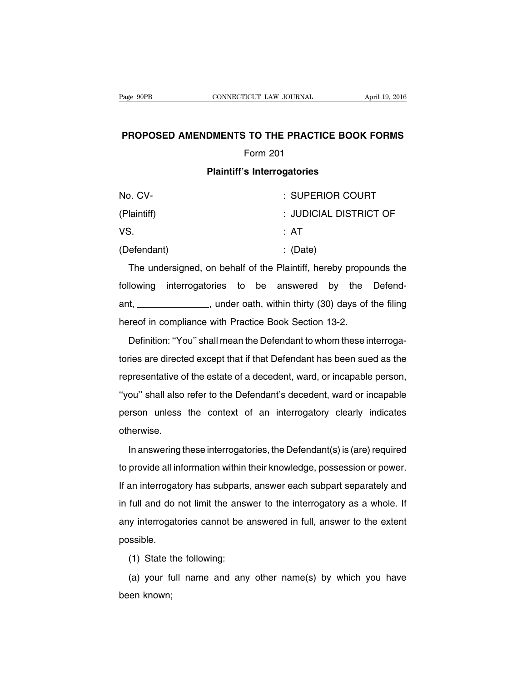### **PROPOSED AMENDMENTS TO THE PRACTICE BOOK FORMS** Form 201

#### **Plaintiff's Interrogatories**

| No. CV-     | : SUPERIOR COURT       |
|-------------|------------------------|
| (Plaintiff) | : JUDICIAL DISTRICT OF |
| VS.         | : AT                   |
| (Defendant) | $\therefore$ (Date)    |

The undersigned, on behalf of the Plaintiff, hereby propounds the following interrogatories to be answered by the Defendant, \_\_\_\_\_\_\_\_\_\_\_\_\_\_, under oath, within thirty (30) days of the filing hereof in compliance with Practice Book Section 13-2.

Definition: ''You'' shall mean the Defendant to whom these interrogatories are directed except that if that Defendant has been sued as the representative of the estate of a decedent, ward, or incapable person, ''you'' shall also refer to the Defendant's decedent, ward or incapable person unless the context of an interrogatory clearly indicates otherwise.

In answering these interrogatories, the Defendant(s) is (are) required to provide all information within their knowledge, possession or power. If an interrogatory has subparts, answer each subpart separately and in full and do not limit the answer to the interrogatory as a whole. If any interrogatories cannot be answered in full, answer to the extent possible.

(1) State the following:

(a) your full name and any other name(s) by which you have been known;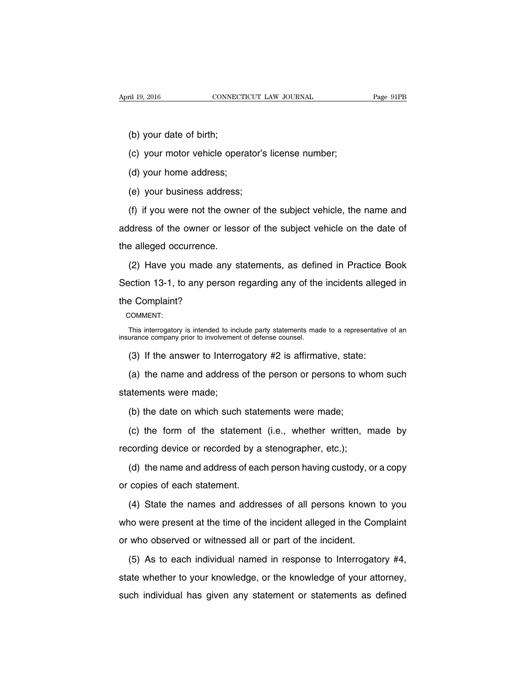(b) your date of birth;

(c) your motor vehicle operator's license number;

(d) your home address;

(e) your business address;

(f) if you were not the owner of the subject vehicle, the name and address of the owner or lessor of the subject vehicle on the date of the alleged occurrence.

(2) Have you made any statements, as defined in Practice Book Section 13-1, to any person regarding any of the incidents alleged in the Complaint?

COMMENT:

This interrogatory is intended to include party statements made to a representative of an insurance company prior to involvement of defense counsel.

(3) If the answer to Interrogatory #2 is affirmative, state:

(a) the name and address of the person or persons to whom such statements were made;

(b) the date on which such statements were made;

(c) the form of the statement (i.e., whether written, made by recording device or recorded by a stenographer, etc.);

(d) the name and address of each person having custody, or a copy or copies of each statement.

(4) State the names and addresses of all persons known to you who were present at the time of the incident alleged in the Complaint or who observed or witnessed all or part of the incident.

(5) As to each individual named in response to Interrogatory #4, state whether to your knowledge, or the knowledge of your attorney, such individual has given any statement or statements as defined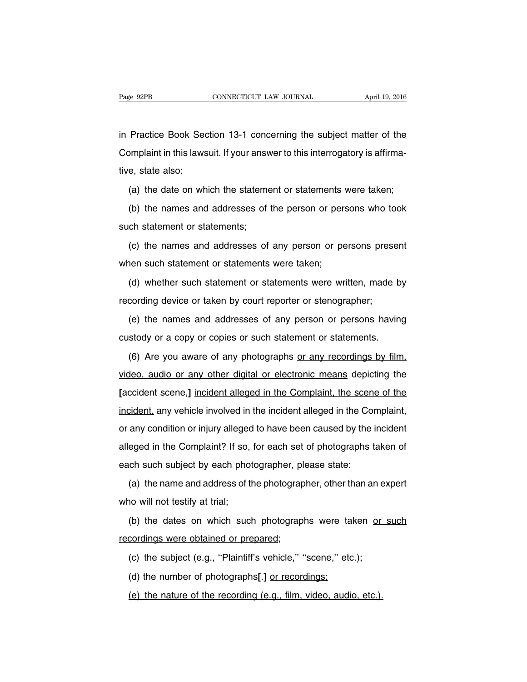in Practice Book Section 13-1 concerning the subject matter of the Complaint in this lawsuit. If your answer to this interrogatory is affirmative, state also:

(a) the date on which the statement or statements were taken;

(b) the names and addresses of the person or persons who took such statement or statements;

(c) the names and addresses of any person or persons present when such statement or statements were taken;

(d) whether such statement or statements were written, made by recording device or taken by court reporter or stenographer;

(e) the names and addresses of any person or persons having custody or a copy or copies or such statement or statements.

(6) Are you aware of any photographs or any recordings by film, video, audio or any other digital or electronic means depicting the **[**accident scene,**]** incident alleged in the Complaint, the scene of the incident, any vehicle involved in the incident alleged in the Complaint, or any condition or injury alleged to have been caused by the incident alleged in the Complaint? If so, for each set of photographs taken of each such subject by each photographer, please state:

(a) the name and address of the photographer, other than an expert who will not testify at trial;

(b) the dates on which such photographs were taken or such recordings were obtained or prepared;

(c) the subject (e.g., ''Plaintiff's vehicle,'' ''scene,'' etc.);

(d) the number of photographs**[**.**]** or recordings;

(e) the nature of the recording (e.g., film, video, audio, etc.).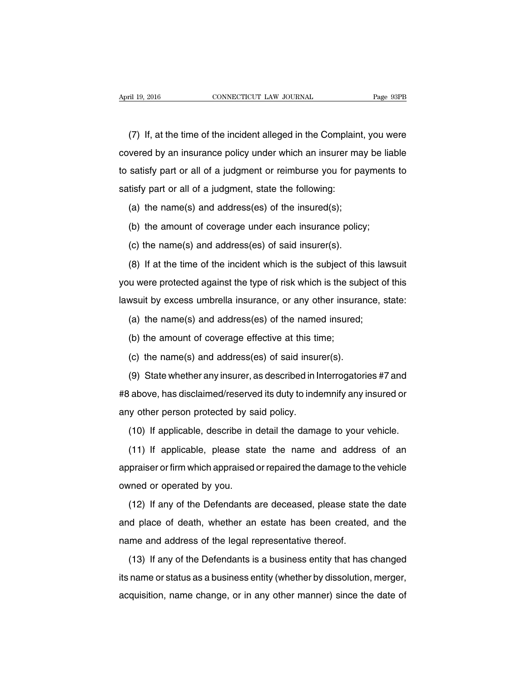(7) If, at the time of the incident alleged in the Complaint, you were covered by an insurance policy under which an insurer may be liable to satisfy part or all of a judgment or reimburse you for payments to satisfy part or all of a judgment, state the following:

(a) the name(s) and address(es) of the insured(s);

(b) the amount of coverage under each insurance policy;

(c) the name(s) and address(es) of said insurer(s).

(8) If at the time of the incident which is the subject of this lawsuit you were protected against the type of risk which is the subject of this lawsuit by excess umbrella insurance, or any other insurance, state:

(a) the name(s) and address(es) of the named insured;

(b) the amount of coverage effective at this time;

(c) the name(s) and address(es) of said insurer(s).

(9) State whether any insurer, as described in Interrogatories #7 and #8 above, has disclaimed/reserved its duty to indemnify any insured or any other person protected by said policy.

(10) If applicable, describe in detail the damage to your vehicle.

(11) If applicable, please state the name and address of an appraiser or firm which appraised or repaired the damage to the vehicle owned or operated by you.

(12) If any of the Defendants are deceased, please state the date and place of death, whether an estate has been created, and the name and address of the legal representative thereof.

(13) If any of the Defendants is a business entity that has changed its name or status as a business entity (whether by dissolution, merger, acquisition, name change, or in any other manner) since the date of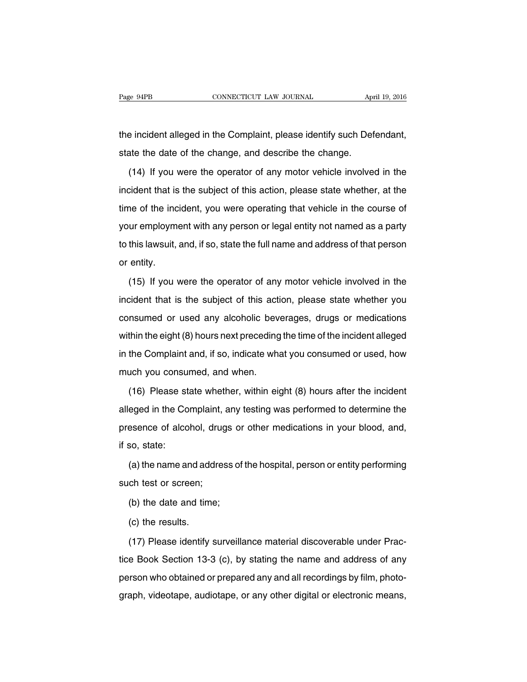the incident alleged in the Complaint, please identify such Defendant, state the date of the change, and describe the change.

(14) If you were the operator of any motor vehicle involved in the incident that is the subject of this action, please state whether, at the time of the incident, you were operating that vehicle in the course of your employment with any person or legal entity not named as a party to this lawsuit, and, if so, state the full name and address of that person or entity.

(15) If you were the operator of any motor vehicle involved in the incident that is the subject of this action, please state whether you consumed or used any alcoholic beverages, drugs or medications within the eight (8) hours next preceding the time of the incident alleged in the Complaint and, if so, indicate what you consumed or used, how much you consumed, and when.

(16) Please state whether, within eight (8) hours after the incident alleged in the Complaint, any testing was performed to determine the presence of alcohol, drugs or other medications in your blood, and, if so, state:

(a) the name and address of the hospital, person or entity performing such test or screen;

(b) the date and time;

(c) the results.

(17) Please identify surveillance material discoverable under Practice Book Section 13-3 (c), by stating the name and address of any person who obtained or prepared any and all recordings by film, photograph, videotape, audiotape, or any other digital or electronic means,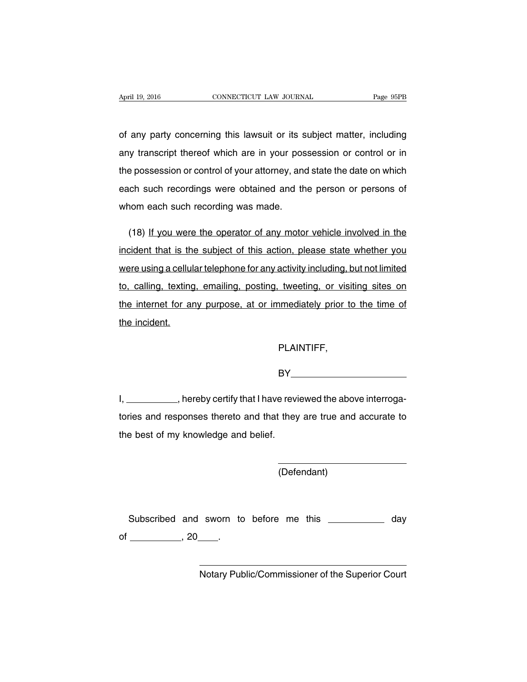of any party concerning this lawsuit or its subject matter, including any transcript thereof which are in your possession or control or in the possession or control of your attorney, and state the date on which each such recordings were obtained and the person or persons of whom each such recording was made.

(18) If you were the operator of any motor vehicle involved in the incident that is the subject of this action, please state whether you were using a cellular telephone for any activity including, but not limited to, calling, texting, emailing, posting, tweeting, or visiting sites on the internet for any purpose, at or immediately prior to the time of the incident.

PLAINTIFF,

BY **BY** 

I, \_\_\_\_\_\_\_\_\_\_, hereby certify that I have reviewed the above interrogatories and responses thereto and that they are true and accurate to the best of my knowledge and belief.

(Defendant)

Subscribed and sworn to before me this \_\_\_\_\_\_\_\_\_\_\_ day of  $\qquad \qquad , 20$  .

Notary Public/Commissioner of the Superior Court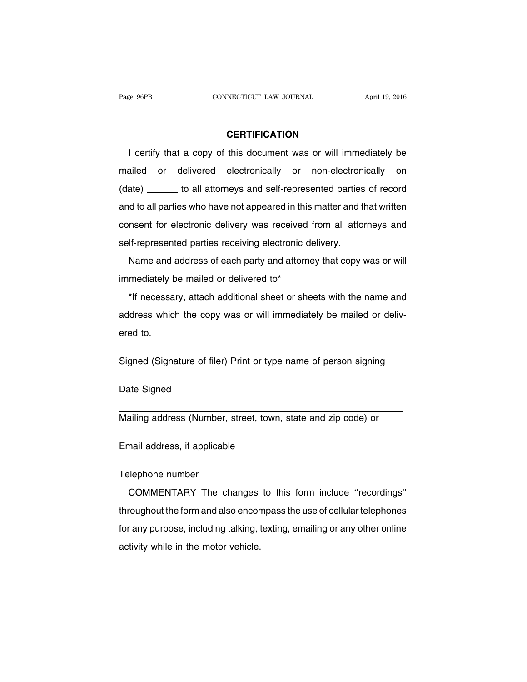### **CERTIFICATION**

I certify that a copy of this document was or will immediately be mailed or delivered electronically or non-electronically on (date) \_\_\_\_\_\_ to all attorneys and self-represented parties of record and to all parties who have not appeared in this matter and that written consent for electronic delivery was received from all attorneys and self-represented parties receiving electronic delivery.

Name and address of each party and attorney that copy was or will immediately be mailed or delivered to\*

\*If necessary, attach additional sheet or sheets with the name and address which the copy was or will immediately be mailed or delivered to.

Signed (Signature of filer) Print or type name of person signing

Date Signed

Mailing address (Number, street, town, state and zip code) or

Email address, if applicable

Telephone number

COMMENTARY The changes to this form include ''recordings'' throughout the form and also encompass the use of cellular telephones for any purpose, including talking, texting, emailing or any other online activity while in the motor vehicle.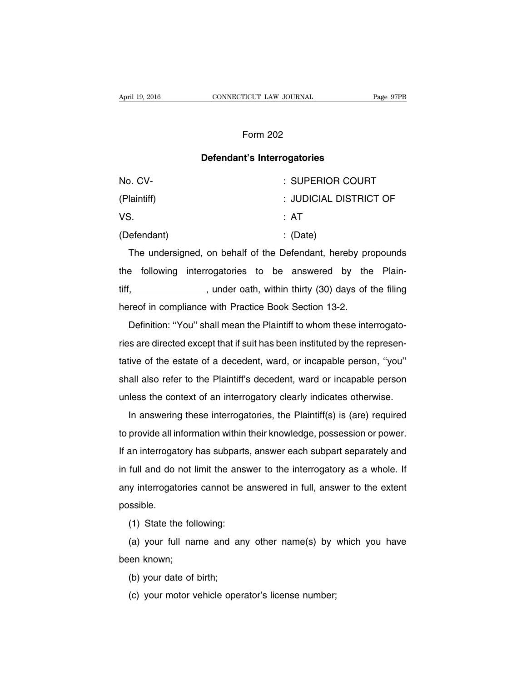### Form 202

### **Defendant's Interrogatories**

| No. CV-     | : SUPERIOR COURT       |
|-------------|------------------------|
| (Plaintiff) | : JUDICIAL DISTRICT OF |
| VS.         | : AT                   |
| (Defendant) | $\therefore$ (Date)    |

The undersigned, on behalf of the Defendant, hereby propounds the following interrogatories to be answered by the Plaintiff, \_\_\_\_\_\_\_\_\_\_\_\_\_\_, under oath, within thirty (30) days of the filing hereof in compliance with Practice Book Section 13-2.

Definition: ''You'' shall mean the Plaintiff to whom these interrogatories are directed except that if suit has been instituted by the representative of the estate of a decedent, ward, or incapable person, ''you'' shall also refer to the Plaintiff's decedent, ward or incapable person unless the context of an interrogatory clearly indicates otherwise.

In answering these interrogatories, the Plaintiff(s) is (are) required to provide all information within their knowledge, possession or power. If an interrogatory has subparts, answer each subpart separately and in full and do not limit the answer to the interrogatory as a whole. If any interrogatories cannot be answered in full, answer to the extent possible.

(1) State the following:

(a) your full name and any other name(s) by which you have been known;

- (b) your date of birth;
- (c) your motor vehicle operator's license number;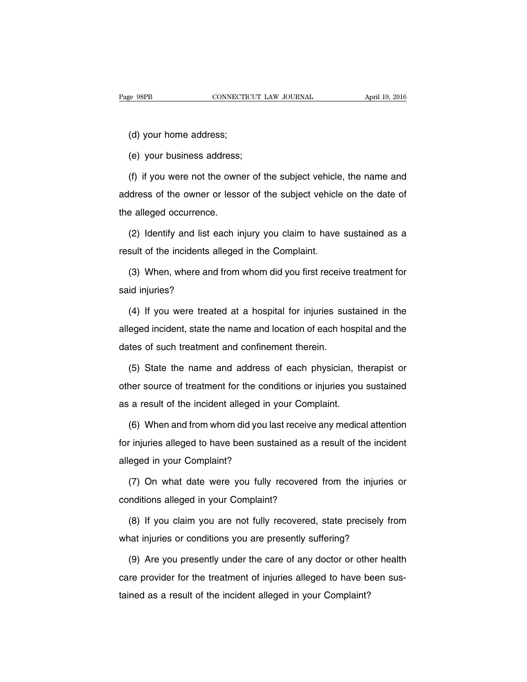(d) your home address;

(e) your business address;

(f) if you were not the owner of the subject vehicle, the name and address of the owner or lessor of the subject vehicle on the date of the alleged occurrence.

(2) Identify and list each injury you claim to have sustained as a result of the incidents alleged in the Complaint.

(3) When, where and from whom did you first receive treatment for said injuries?

(4) If you were treated at a hospital for injuries sustained in the alleged incident, state the name and location of each hospital and the dates of such treatment and confinement therein.

(5) State the name and address of each physician, therapist or other source of treatment for the conditions or injuries you sustained as a result of the incident alleged in your Complaint.

(6) When and from whom did you last receive any medical attention for injuries alleged to have been sustained as a result of the incident alleged in your Complaint?

(7) On what date were you fully recovered from the injuries or conditions alleged in your Complaint?

(8) If you claim you are not fully recovered, state precisely from what injuries or conditions you are presently suffering?

(9) Are you presently under the care of any doctor or other health care provider for the treatment of injuries alleged to have been sustained as a result of the incident alleged in your Complaint?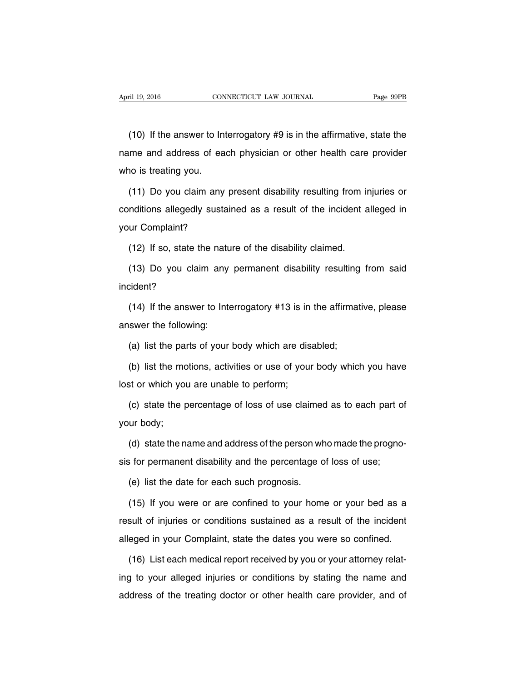(10) If the answer to Interrogatory #9 is in the affirmative, state the name and address of each physician or other health care provider who is treating you.

(11) Do you claim any present disability resulting from injuries or conditions allegedly sustained as a result of the incident alleged in your Complaint?

(12) If so, state the nature of the disability claimed.

(13) Do you claim any permanent disability resulting from said incident?

(14) If the answer to Interrogatory #13 is in the affirmative, please answer the following:

(a) list the parts of your body which are disabled;

(b) list the motions, activities or use of your body which you have lost or which you are unable to perform;

(c) state the percentage of loss of use claimed as to each part of your body;

(d) state the name and address of the person who made the prognosis for permanent disability and the percentage of loss of use;

(e) list the date for each such prognosis.

(15) If you were or are confined to your home or your bed as a result of injuries or conditions sustained as a result of the incident alleged in your Complaint, state the dates you were so confined.

(16) List each medical report received by you or your attorney relating to your alleged injuries or conditions by stating the name and address of the treating doctor or other health care provider, and of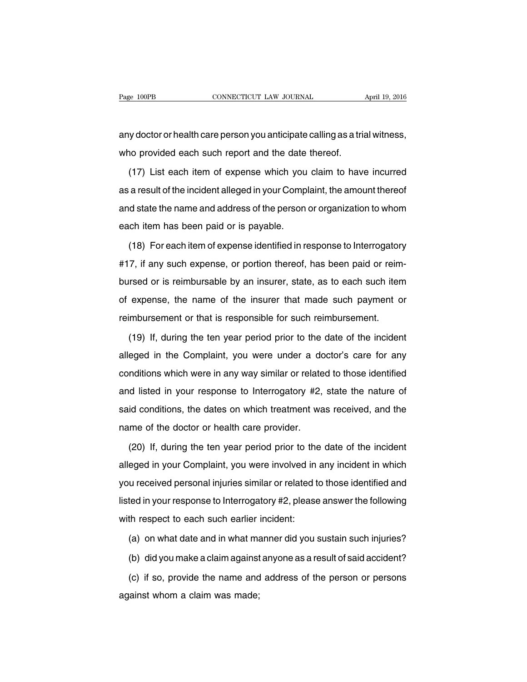any doctor or health care person you anticipate calling as a trial witness, who provided each such report and the date thereof.

(17) List each item of expense which you claim to have incurred as a result of the incident alleged in your Complaint, the amount thereof and state the name and address of the person or organization to whom each item has been paid or is payable.

(18) For each item of expense identified in response to Interrogatory #17, if any such expense, or portion thereof, has been paid or reimbursed or is reimbursable by an insurer, state, as to each such item of expense, the name of the insurer that made such payment or reimbursement or that is responsible for such reimbursement.

(19) If, during the ten year period prior to the date of the incident alleged in the Complaint, you were under a doctor's care for any conditions which were in any way similar or related to those identified and listed in your response to Interrogatory #2, state the nature of said conditions, the dates on which treatment was received, and the name of the doctor or health care provider.

(20) If, during the ten year period prior to the date of the incident alleged in your Complaint, you were involved in any incident in which you received personal injuries similar or related to those identified and listed in your response to Interrogatory #2, please answer the following with respect to each such earlier incident:

(a) on what date and in what manner did you sustain such injuries?

(b) did you make a claim against anyone as a result of said accident?

(c) if so, provide the name and address of the person or persons against whom a claim was made;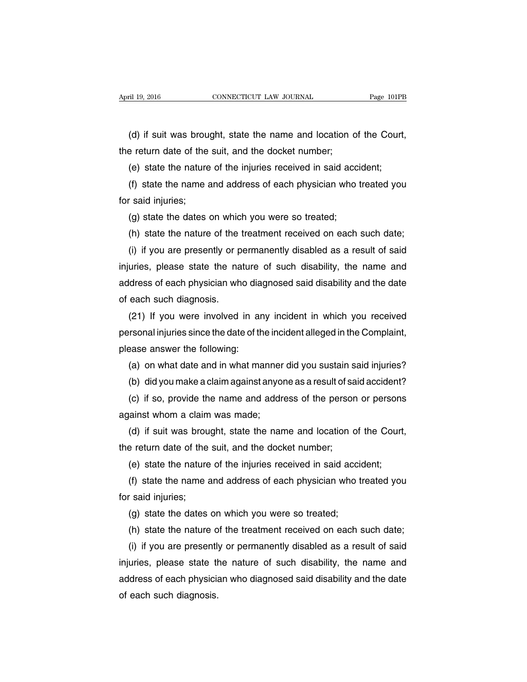(d) if suit was brought, state the name and location of the Court, the return date of the suit, and the docket number;

(e) state the nature of the injuries received in said accident;

(f) state the name and address of each physician who treated you for said injuries;

(g) state the dates on which you were so treated;

(h) state the nature of the treatment received on each such date;

(i) if you are presently or permanently disabled as a result of said injuries, please state the nature of such disability, the name and address of each physician who diagnosed said disability and the date of each such diagnosis.

(21) If you were involved in any incident in which you received personal injuries since the date of the incident alleged in the Complaint, please answer the following:

(a) on what date and in what manner did you sustain said injuries?

(b) did you make a claim against anyone as a result of said accident?

(c) if so, provide the name and address of the person or persons against whom a claim was made;

(d) if suit was brought, state the name and location of the Court, the return date of the suit, and the docket number;

(e) state the nature of the injuries received in said accident;

(f) state the name and address of each physician who treated you for said injuries;

(g) state the dates on which you were so treated;

(h) state the nature of the treatment received on each such date;

(i) if you are presently or permanently disabled as a result of said injuries, please state the nature of such disability, the name and address of each physician who diagnosed said disability and the date of each such diagnosis.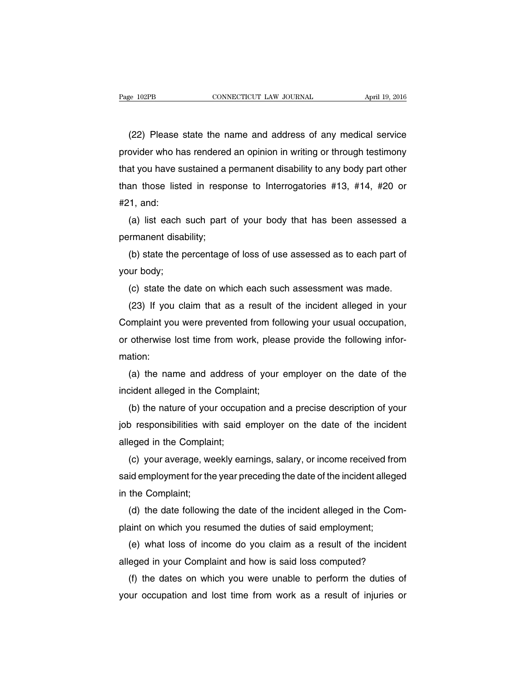(22) Please state the name and address of any medical service provider who has rendered an opinion in writing or through testimony that you have sustained a permanent disability to any body part other than those listed in response to Interrogatories #13, #14, #20 or #21, and:

(a) list each such part of your body that has been assessed a permanent disability;

(b) state the percentage of loss of use assessed as to each part of your body;

(c) state the date on which each such assessment was made.

(23) If you claim that as a result of the incident alleged in your Complaint you were prevented from following your usual occupation, or otherwise lost time from work, please provide the following information:

(a) the name and address of your employer on the date of the incident alleged in the Complaint;

(b) the nature of your occupation and a precise description of your job responsibilities with said employer on the date of the incident alleged in the Complaint;

(c) your average, weekly earnings, salary, or income received from said employment for the year preceding the date of the incident alleged in the Complaint;

(d) the date following the date of the incident alleged in the Complaint on which you resumed the duties of said employment;

(e) what loss of income do you claim as a result of the incident alleged in your Complaint and how is said loss computed?

(f) the dates on which you were unable to perform the duties of your occupation and lost time from work as a result of injuries or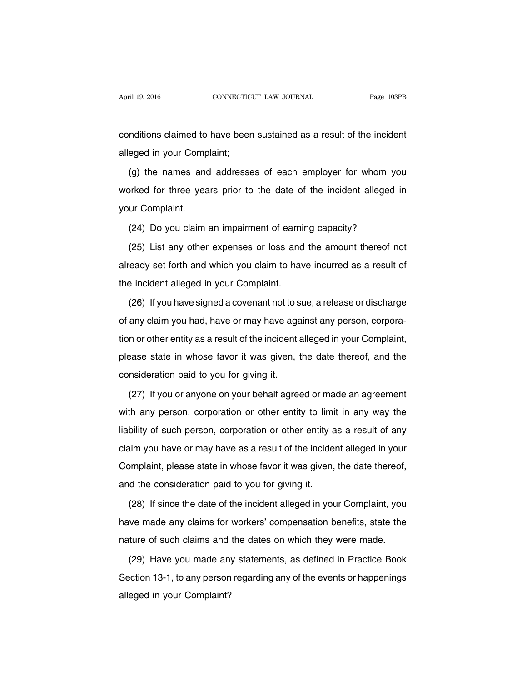conditions claimed to have been sustained as a result of the incident alleged in your Complaint;

(g) the names and addresses of each employer for whom you worked for three years prior to the date of the incident alleged in your Complaint.

(24) Do you claim an impairment of earning capacity?

(25) List any other expenses or loss and the amount thereof not already set forth and which you claim to have incurred as a result of the incident alleged in your Complaint.

(26) If you have signed a covenant not to sue, a release or discharge of any claim you had, have or may have against any person, corporation or other entity as a result of the incident alleged in your Complaint, please state in whose favor it was given, the date thereof, and the consideration paid to you for giving it.

(27) If you or anyone on your behalf agreed or made an agreement with any person, corporation or other entity to limit in any way the liability of such person, corporation or other entity as a result of any claim you have or may have as a result of the incident alleged in your Complaint, please state in whose favor it was given, the date thereof, and the consideration paid to you for giving it.

(28) If since the date of the incident alleged in your Complaint, you have made any claims for workers' compensation benefits, state the nature of such claims and the dates on which they were made.

(29) Have you made any statements, as defined in Practice Book Section 13-1, to any person regarding any of the events or happenings alleged in your Complaint?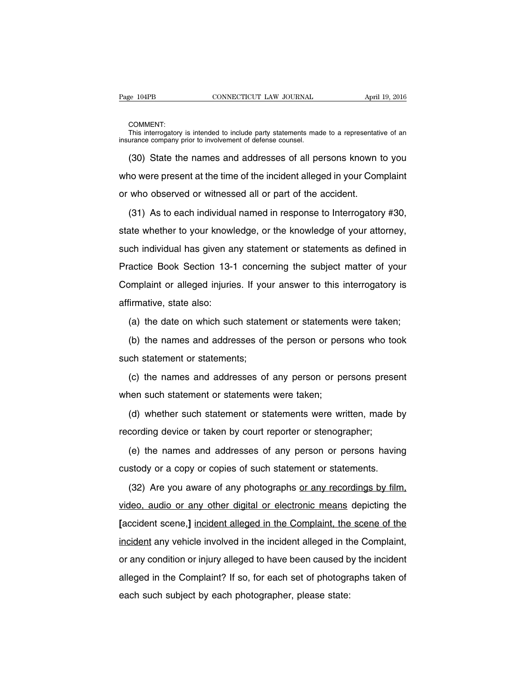COMMENT:

This interrogatory is intended to include party statements made to a representative of an insurance company prior to involvement of defense counsel.

(30) State the names and addresses of all persons known to you who were present at the time of the incident alleged in your Complaint or who observed or witnessed all or part of the accident.

(31) As to each individual named in response to Interrogatory #30, state whether to your knowledge, or the knowledge of your attorney, such individual has given any statement or statements as defined in Practice Book Section 13-1 concerning the subject matter of your Complaint or alleged injuries. If your answer to this interrogatory is affirmative, state also:

(a) the date on which such statement or statements were taken;

(b) the names and addresses of the person or persons who took such statement or statements;

(c) the names and addresses of any person or persons present when such statement or statements were taken;

(d) whether such statement or statements were written, made by recording device or taken by court reporter or stenographer;

(e) the names and addresses of any person or persons having custody or a copy or copies of such statement or statements.

(32) Are you aware of any photographs or any recordings by film, video, audio or any other digital or electronic means depicting the **[**accident scene,**]** incident alleged in the Complaint, the scene of the incident any vehicle involved in the incident alleged in the Complaint, or any condition or injury alleged to have been caused by the incident alleged in the Complaint? If so, for each set of photographs taken of each such subject by each photographer, please state: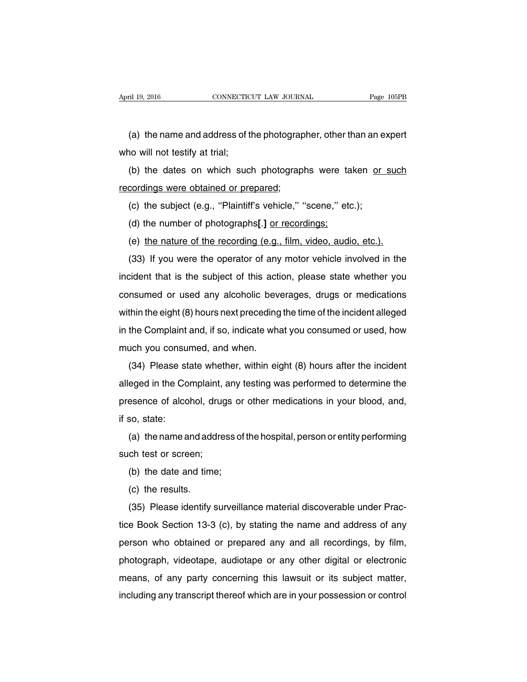(a) the name and address of the photographer, other than an expert who will not testify at trial;

(b) the dates on which such photographs were taken or such recordings were obtained or prepared;

- (c) the subject (e.g., ''Plaintiff's vehicle,'' ''scene,'' etc.);
- (d) the number of photographs**[**.**]** or recordings;
- (e) the nature of the recording (e.g., film, video, audio, etc.).

(33) If you were the operator of any motor vehicle involved in the incident that is the subject of this action, please state whether you consumed or used any alcoholic beverages, drugs or medications within the eight (8) hours next preceding the time of the incident alleged in the Complaint and, if so, indicate what you consumed or used, how much you consumed, and when.

(34) Please state whether, within eight (8) hours after the incident alleged in the Complaint, any testing was performed to determine the presence of alcohol, drugs or other medications in your blood, and, if so, state:

(a) the name and address of the hospital, person or entity performing such test or screen;

(b) the date and time;

(c) the results.

(35) Please identify surveillance material discoverable under Practice Book Section 13-3 (c), by stating the name and address of any person who obtained or prepared any and all recordings, by film, photograph, videotape, audiotape or any other digital or electronic means, of any party concerning this lawsuit or its subject matter, including any transcript thereof which are in your possession or control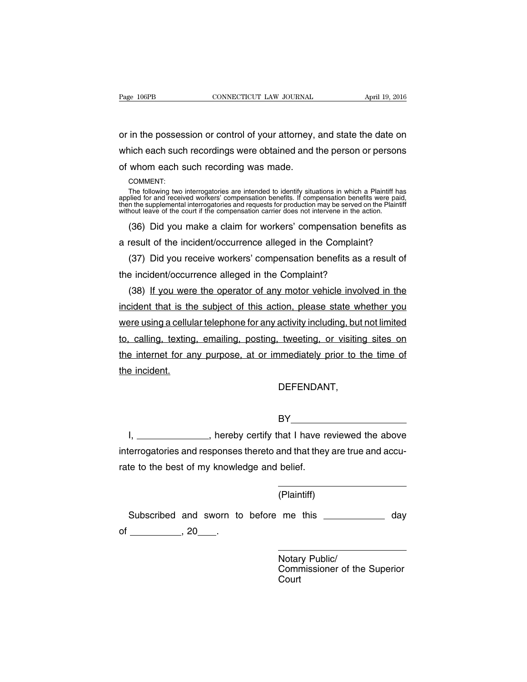or in the possession or control of your attorney, and state the date on which each such recordings were obtained and the person or persons of whom each such recording was made.

COMMENT:

The following two interrogatories are intended to identify situations in which a Plaintiff has<br>applied for and received workers' compensation benefits. If compensation benefits were paid,<br>then the supplemental interrogator without leave of the court if the compensation carrier does not intervene in the action.

(36) Did you make a claim for workers' compensation benefits as a result of the incident/occurrence alleged in the Complaint?

(37) Did you receive workers' compensation benefits as a result of the incident/occurrence alleged in the Complaint?

(38) If you were the operator of any motor vehicle involved in the incident that is the subject of this action, please state whether you were using a cellular telephone for any activity including, but not limited to, calling, texting, emailing, posting, tweeting, or visiting sites on the internet for any purpose, at or immediately prior to the time of the incident.

DEFENDANT,

BY **BY** 

I, \_\_\_\_\_\_\_\_\_\_\_\_\_\_\_, hereby certify that I have reviewed the above interrogatories and responses thereto and that they are true and accurate to the best of my knowledge and belief.

(Plaintiff)

Subscribed and sworn to before me this \_\_\_\_\_\_\_\_\_\_\_\_\_ day of \_\_\_\_\_\_\_\_\_\_\_\_\_\_\_\_, 20\_\_\_\_\_\_.

> Notary Public/ Commissioner of the Superior Court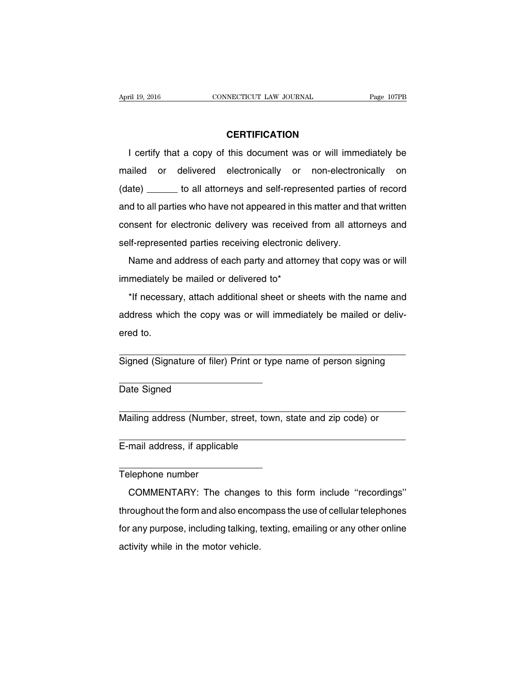### **CERTIFICATION**

I certify that a copy of this document was or will immediately be mailed or delivered electronically or non-electronically on (date) \_\_\_\_\_\_ to all attorneys and self-represented parties of record and to all parties who have not appeared in this matter and that written consent for electronic delivery was received from all attorneys and self-represented parties receiving electronic delivery.

Name and address of each party and attorney that copy was or will immediately be mailed or delivered to\*

\*If necessary, attach additional sheet or sheets with the name and address which the copy was or will immediately be mailed or delivered to.

Signed (Signature of filer) Print or type name of person signing

Date Signed

Mailing address (Number, street, town, state and zip code) or

E-mail address, if applicable

Telephone number

COMMENTARY: The changes to this form include ''recordings'' throughout the form and also encompass the use of cellular telephones for any purpose, including talking, texting, emailing or any other online activity while in the motor vehicle.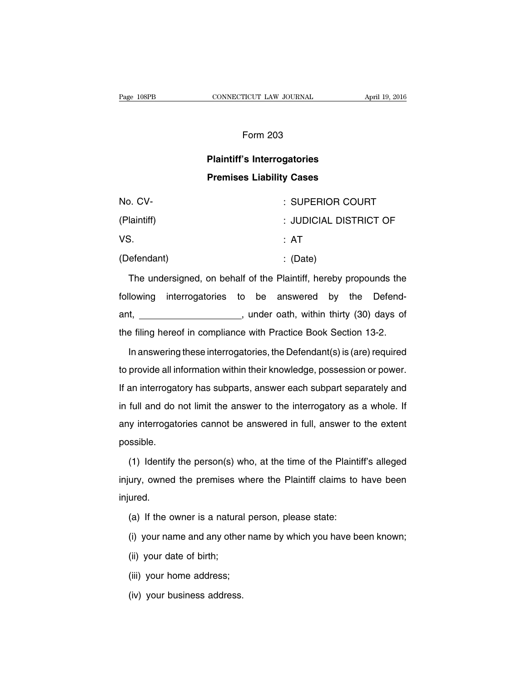### Form 203

## **Plaintiff's Interrogatories Premises Liability Cases**

| No. CV-     | : SUPERIOR COURT       |  |
|-------------|------------------------|--|
| (Plaintiff) | : JUDICIAL DISTRICT OF |  |
| VS.         | : AT                   |  |
| (Defendant) | $\therefore$ (Date)    |  |

The undersigned, on behalf of the Plaintiff, hereby propounds the following interrogatories to be answered by the Defendant, **example 20** ant, and ant, within thirty (30) days of the filing hereof in compliance with Practice Book Section 13-2.

In answering these interrogatories, the Defendant(s) is (are) required to provide all information within their knowledge, possession or power. If an interrogatory has subparts, answer each subpart separately and in full and do not limit the answer to the interrogatory as a whole. If any interrogatories cannot be answered in full, answer to the extent possible.

(1) Identify the person(s) who, at the time of the Plaintiff's alleged injury, owned the premises where the Plaintiff claims to have been injured.

- (a) If the owner is a natural person, please state:
- (i) your name and any other name by which you have been known;
- (ii) your date of birth;
- (iii) your home address;
- (iv) your business address.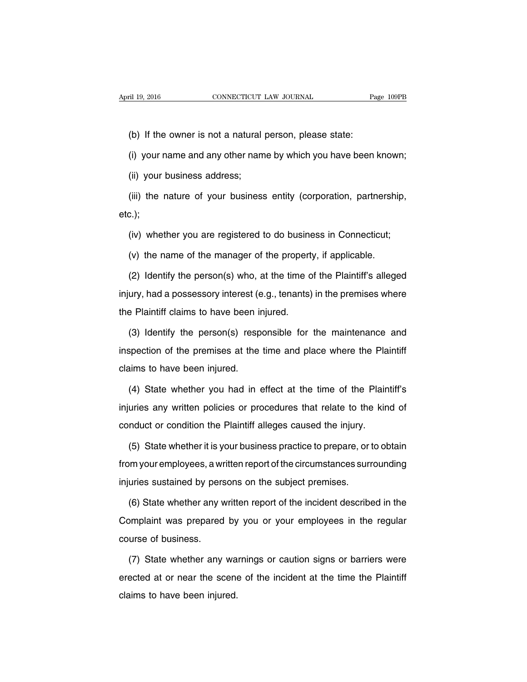(b) If the owner is not a natural person, please state:

(i) your name and any other name by which you have been known;

(ii) your business address;

(iii) the nature of your business entity (corporation, partnership, etc.);

(iv) whether you are registered to do business in Connecticut;

(v) the name of the manager of the property, if applicable.

(2) Identify the person(s) who, at the time of the Plaintiff's alleged injury, had a possessory interest (e.g., tenants) in the premises where the Plaintiff claims to have been injured.

(3) Identify the person(s) responsible for the maintenance and inspection of the premises at the time and place where the Plaintiff claims to have been injured.

(4) State whether you had in effect at the time of the Plaintiff's injuries any written policies or procedures that relate to the kind of conduct or condition the Plaintiff alleges caused the injury.

(5) State whether it is your business practice to prepare, or to obtain from your employees, a written report of the circumstances surrounding injuries sustained by persons on the subject premises.

(6) State whether any written report of the incident described in the Complaint was prepared by you or your employees in the regular course of business.

(7) State whether any warnings or caution signs or barriers were erected at or near the scene of the incident at the time the Plaintiff claims to have been injured.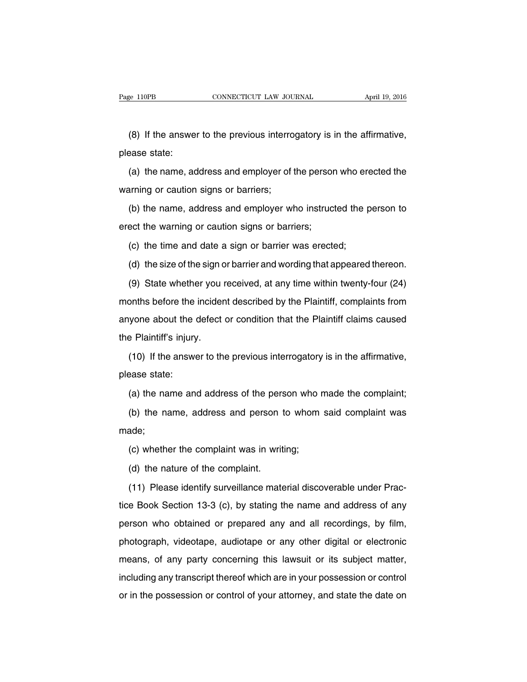(8) If the answer to the previous interrogatory is in the affirmative, please state:

(a) the name, address and employer of the person who erected the warning or caution signs or barriers;

(b) the name, address and employer who instructed the person to erect the warning or caution signs or barriers;

(c) the time and date a sign or barrier was erected;

(d) the size of the sign or barrier and wording that appeared thereon.

(9) State whether you received, at any time within twenty-four (24) months before the incident described by the Plaintiff, complaints from anyone about the defect or condition that the Plaintiff claims caused the Plaintiff's injury.

(10) If the answer to the previous interrogatory is in the affirmative, please state:

(a) the name and address of the person who made the complaint;

(b) the name, address and person to whom said complaint was made;

(c) whether the complaint was in writing;

(d) the nature of the complaint.

(11) Please identify surveillance material discoverable under Practice Book Section 13-3 (c), by stating the name and address of any person who obtained or prepared any and all recordings, by film, photograph, videotape, audiotape or any other digital or electronic means, of any party concerning this lawsuit or its subject matter, including any transcript thereof which are in your possession or control or in the possession or control of your attorney, and state the date on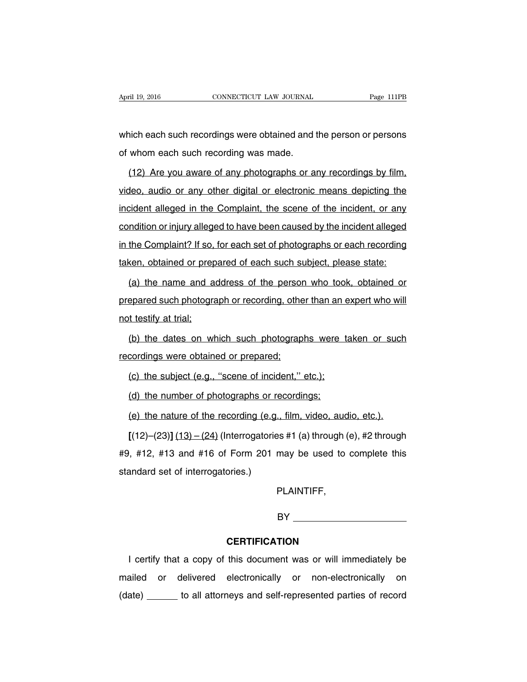which each such recordings were obtained and the person or persons of whom each such recording was made.

(12) Are you aware of any photographs or any recordings by film, video, audio or any other digital or electronic means depicting the incident alleged in the Complaint, the scene of the incident, or any condition or injury alleged to have been caused by the incident alleged in the Complaint? If so, for each set of photographs or each recording taken, obtained or prepared of each such subject, please state:

(a) the name and address of the person who took, obtained or prepared such photograph or recording, other than an expert who will not testify at trial;

(b) the dates on which such photographs were taken or such recordings were obtained or prepared;

(c) the subject (e.g., ''scene of incident,'' etc.);

(d) the number of photographs or recordings;

(e) the nature of the recording (e.g., film, video, audio, etc.).

**[**(12)–(23)**]** (13) – (24) (Interrogatories #1 (a) through (e), #2 through #9, #12, #13 and #16 of Form 201 may be used to complete this standard set of interrogatories.)

PLAINTIFF,

BY

# **CERTIFICATION**

I certify that a copy of this document was or will immediately be mailed or delivered electronically or non-electronically on (date) \_\_\_\_\_\_ to all attorneys and self-represented parties of record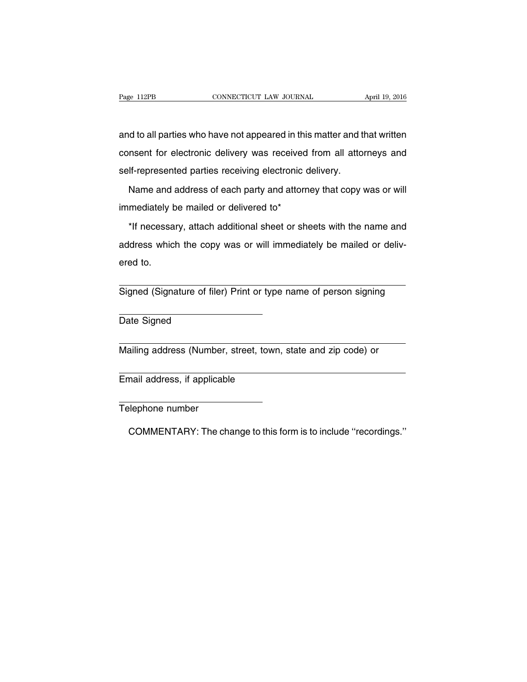and to all parties who have not appeared in this matter and that written consent for electronic delivery was received from all attorneys and self-represented parties receiving electronic delivery.

Name and address of each party and attorney that copy was or will immediately be mailed or delivered to\*

\*If necessary, attach additional sheet or sheets with the name and address which the copy was or will immediately be mailed or delivered to.

Signed (Signature of filer) Print or type name of person signing

Date Signed

Mailing address (Number, street, town, state and zip code) or

Email address, if applicable

Telephone number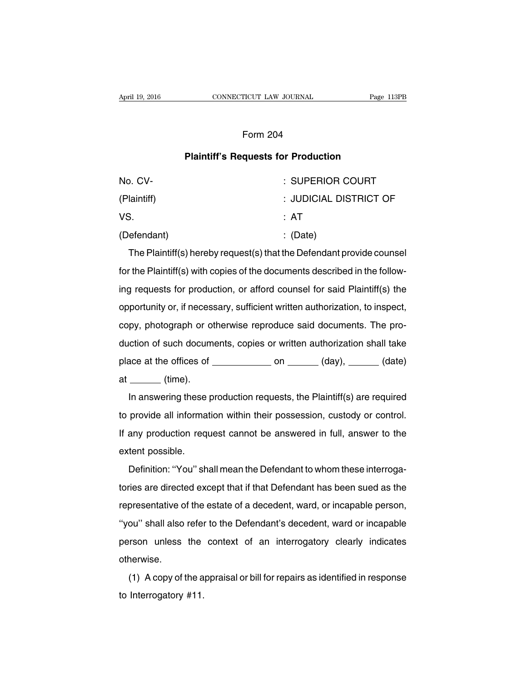## Form 204

### **Plaintiff's Requests for Production**

| No. CV-     | : SUPERIOR COURT       |
|-------------|------------------------|
| (Plaintiff) | : JUDICIAL DISTRICT OF |
| VS.         | : AT                   |
| (Defendant) | $\therefore$ (Date)    |

The Plaintiff(s) hereby request(s) that the Defendant provide counsel for the Plaintiff(s) with copies of the documents described in the following requests for production, or afford counsel for said Plaintiff(s) the opportunity or, if necessary, sufficient written authorization, to inspect, copy, photograph or otherwise reproduce said documents. The production of such documents, copies or written authorization shall take place at the offices of  $\_\_\_\_\_$  on  $\_\_\_\_\$  (day),  $\_\_\_\_\_$  (date) at (time).

In answering these production requests, the Plaintiff(s) are required to provide all information within their possession, custody or control. If any production request cannot be answered in full, answer to the extent possible.

Definition: ''You'' shall mean the Defendant to whom these interrogatories are directed except that if that Defendant has been sued as the representative of the estate of a decedent, ward, or incapable person, ''you'' shall also refer to the Defendant's decedent, ward or incapable person unless the context of an interrogatory clearly indicates otherwise.

(1) A copy of the appraisal or bill for repairs as identified in response to Interrogatory #11.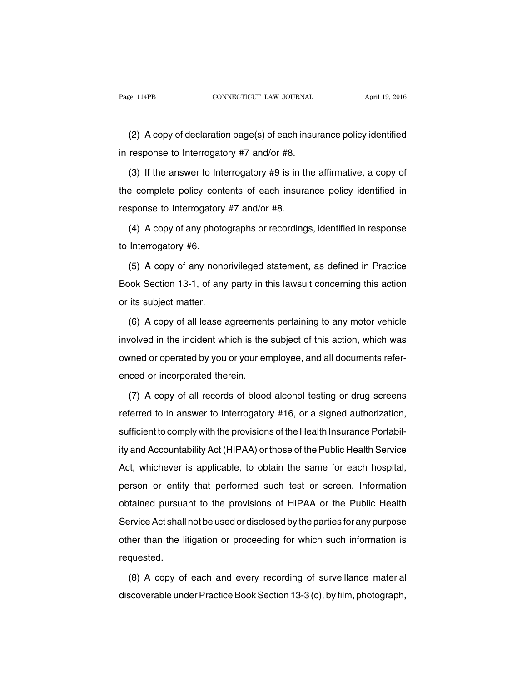(2) A copy of declaration page(s) of each insurance policy identified in response to Interrogatory #7 and/or #8.

(3) If the answer to Interrogatory #9 is in the affirmative, a copy of the complete policy contents of each insurance policy identified in response to Interrogatory #7 and/or #8.

(4) A copy of any photographs or recordings, identified in response to Interrogatory #6.

(5) A copy of any nonprivileged statement, as defined in Practice Book Section 13-1, of any party in this lawsuit concerning this action or its subject matter.

(6) A copy of all lease agreements pertaining to any motor vehicle involved in the incident which is the subject of this action, which was owned or operated by you or your employee, and all documents referenced or incorporated therein.

(7) A copy of all records of blood alcohol testing or drug screens referred to in answer to Interrogatory #16, or a signed authorization, sufficient to comply with the provisions of the Health Insurance Portability and Accountability Act (HIPAA) or those of the Public Health Service Act, whichever is applicable, to obtain the same for each hospital, person or entity that performed such test or screen. Information obtained pursuant to the provisions of HIPAA or the Public Health Service Act shall not be used or disclosed by the parties for any purpose other than the litigation or proceeding for which such information is requested.

(8) A copy of each and every recording of surveillance material discoverable under Practice Book Section 13-3 (c), by film, photograph,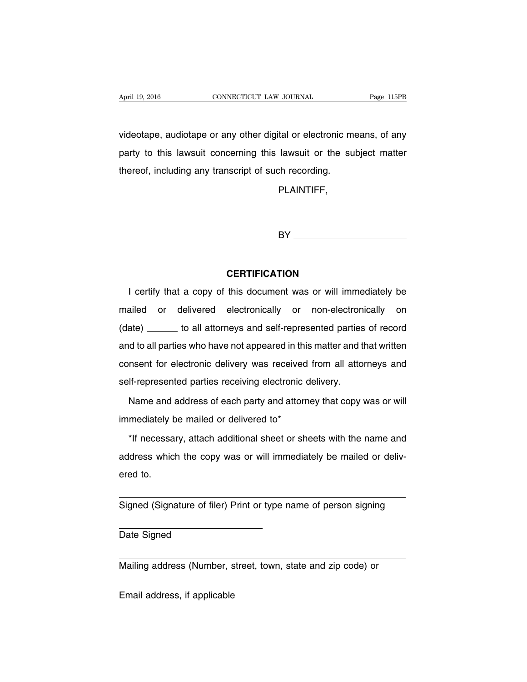videotape, audiotape or any other digital or electronic means, of any party to this lawsuit concerning this lawsuit or the subject matter thereof, including any transcript of such recording.

PLAINTIFF,

BY **Example 20** 

## **CERTIFICATION**

I certify that a copy of this document was or will immediately be mailed or delivered electronically or non-electronically on (date) \_\_\_\_\_\_ to all attorneys and self-represented parties of record and to all parties who have not appeared in this matter and that written consent for electronic delivery was received from all attorneys and self-represented parties receiving electronic delivery.

Name and address of each party and attorney that copy was or will immediately be mailed or delivered to\*

\*If necessary, attach additional sheet or sheets with the name and address which the copy was or will immediately be mailed or delivered to.

Signed (Signature of filer) Print or type name of person signing

Date Signed

Mailing address (Number, street, town, state and zip code) or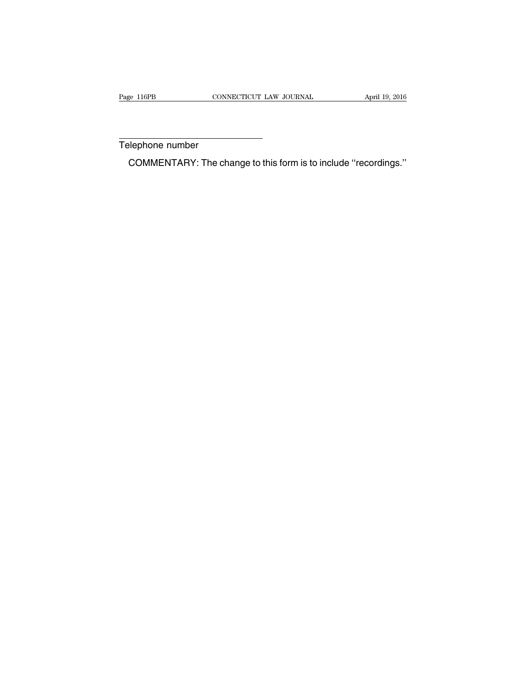Telephone number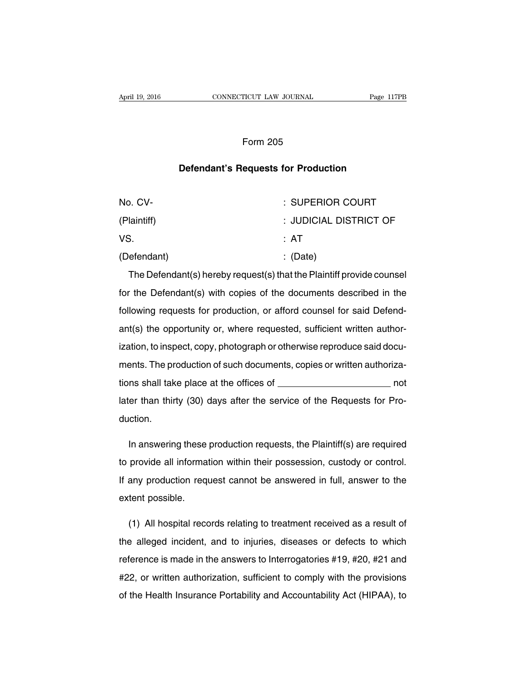## Form 205

## **Defendant's Requests for Production**

| No. CV-     | : SUPERIOR COURT       |
|-------------|------------------------|
| (Plaintiff) | : JUDICIAL DISTRICT OF |
| VS.         | : AT                   |
| (Defendant) | $\therefore$ (Date)    |

The Defendant(s) hereby request(s) that the Plaintiff provide counsel for the Defendant(s) with copies of the documents described in the following requests for production, or afford counsel for said Defendant(s) the opportunity or, where requested, sufficient written authorization, to inspect, copy, photograph or otherwise reproduce said documents. The production of such documents, copies or written authorizations shall take place at the offices of  $\frac{1}{\sqrt{1-\frac{1}{n}}}\sqrt{1-\frac{1}{n}}$ later than thirty (30) days after the service of the Requests for Production.

In answering these production requests, the Plaintiff(s) are required to provide all information within their possession, custody or control. If any production request cannot be answered in full, answer to the extent possible.

(1) All hospital records relating to treatment received as a result of the alleged incident, and to injuries, diseases or defects to which reference is made in the answers to Interrogatories #19, #20, #21 and #22, or written authorization, sufficient to comply with the provisions of the Health Insurance Portability and Accountability Act (HIPAA), to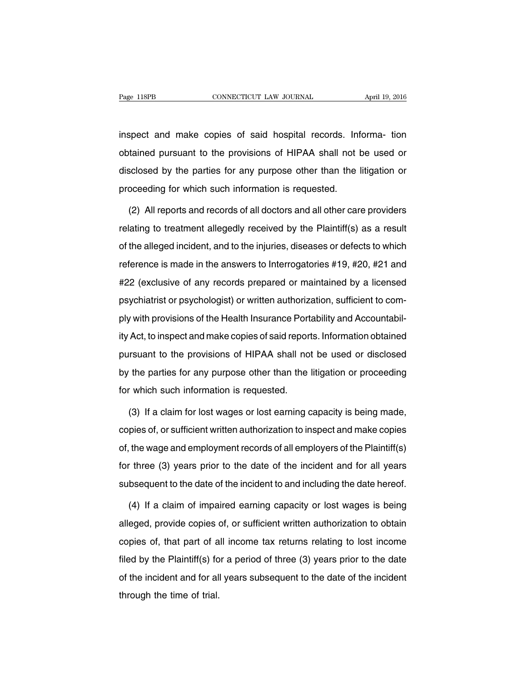inspect and make copies of said hospital records. Informa- tion obtained pursuant to the provisions of HIPAA shall not be used or disclosed by the parties for any purpose other than the litigation or proceeding for which such information is requested.

(2) All reports and records of all doctors and all other care providers relating to treatment allegedly received by the Plaintiff(s) as a result of the alleged incident, and to the injuries, diseases or defects to which reference is made in the answers to Interrogatories #19, #20, #21 and #22 (exclusive of any records prepared or maintained by a licensed psychiatrist or psychologist) or written authorization, sufficient to comply with provisions of the Health Insurance Portability and Accountability Act, to inspect and make copies of said reports. Information obtained pursuant to the provisions of HIPAA shall not be used or disclosed by the parties for any purpose other than the litigation or proceeding for which such information is requested.

(3) If a claim for lost wages or lost earning capacity is being made, copies of, or sufficient written authorization to inspect and make copies of, the wage and employment records of all employers of the Plaintiff(s) for three (3) years prior to the date of the incident and for all years subsequent to the date of the incident to and including the date hereof.

(4) If a claim of impaired earning capacity or lost wages is being alleged, provide copies of, or sufficient written authorization to obtain copies of, that part of all income tax returns relating to lost income filed by the Plaintiff(s) for a period of three (3) years prior to the date of the incident and for all years subsequent to the date of the incident through the time of trial.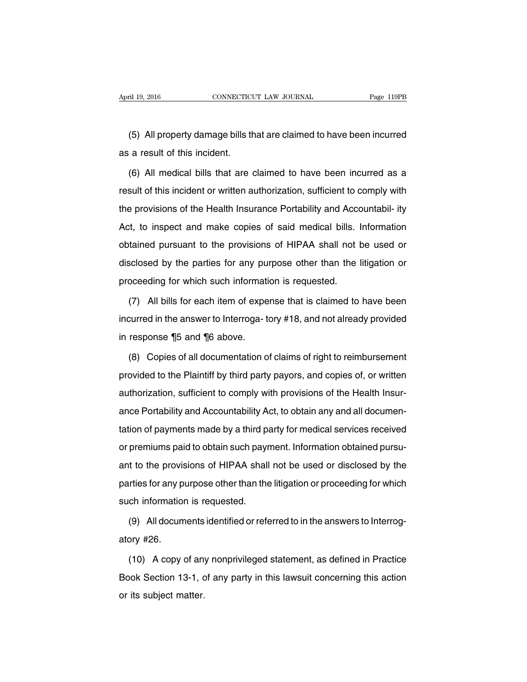(5) All property damage bills that are claimed to have been incurred as a result of this incident.

(6) All medical bills that are claimed to have been incurred as a result of this incident or written authorization, sufficient to comply with the provisions of the Health Insurance Portability and Accountabil- ity Act, to inspect and make copies of said medical bills. Information obtained pursuant to the provisions of HIPAA shall not be used or disclosed by the parties for any purpose other than the litigation or proceeding for which such information is requested.

(7) All bills for each item of expense that is claimed to have been incurred in the answer to Interroga- tory #18, and not already provided in response ¶5 and ¶6 above.

(8) Copies of all documentation of claims of right to reimbursement provided to the Plaintiff by third party payors, and copies of, or written authorization, sufficient to comply with provisions of the Health Insurance Portability and Accountability Act, to obtain any and all documentation of payments made by a third party for medical services received or premiums paid to obtain such payment. Information obtained pursuant to the provisions of HIPAA shall not be used or disclosed by the parties for any purpose other than the litigation or proceeding for which such information is requested.

(9) All documents identified or referred to in the answers to Interrogatory #26.

(10) A copy of any nonprivileged statement, as defined in Practice Book Section 13-1, of any party in this lawsuit concerning this action or its subject matter.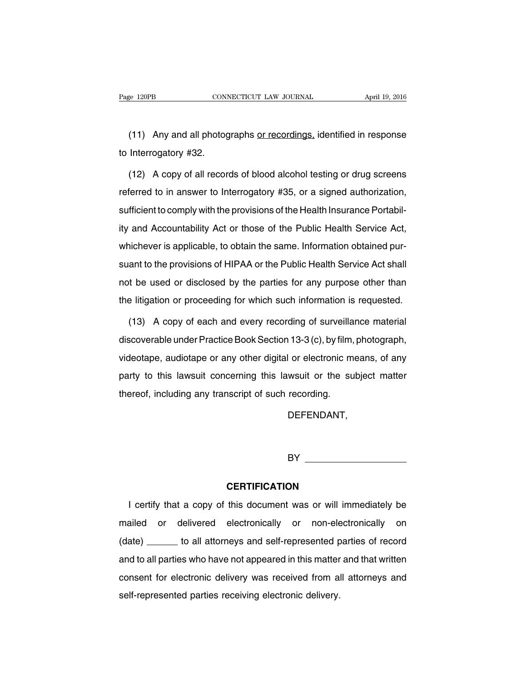(11) Any and all photographs or recordings, identified in response to Interrogatory #32.

(12) A copy of all records of blood alcohol testing or drug screens referred to in answer to Interrogatory #35, or a signed authorization, sufficient to comply with the provisions of the Health Insurance Portability and Accountability Act or those of the Public Health Service Act, whichever is applicable, to obtain the same. Information obtained pursuant to the provisions of HIPAA or the Public Health Service Act shall not be used or disclosed by the parties for any purpose other than the litigation or proceeding for which such information is requested.

(13) A copy of each and every recording of surveillance material discoverable under Practice Book Section 13-3 (c), by film, photograph, videotape, audiotape or any other digital or electronic means, of any party to this lawsuit concerning this lawsuit or the subject matter thereof, including any transcript of such recording.

DEFENDANT,

BY **BY** 

#### **CERTIFICATION**

I certify that a copy of this document was or will immediately be mailed or delivered electronically or non-electronically on (date) \_\_\_\_\_\_ to all attorneys and self-represented parties of record and to all parties who have not appeared in this matter and that written consent for electronic delivery was received from all attorneys and self-represented parties receiving electronic delivery.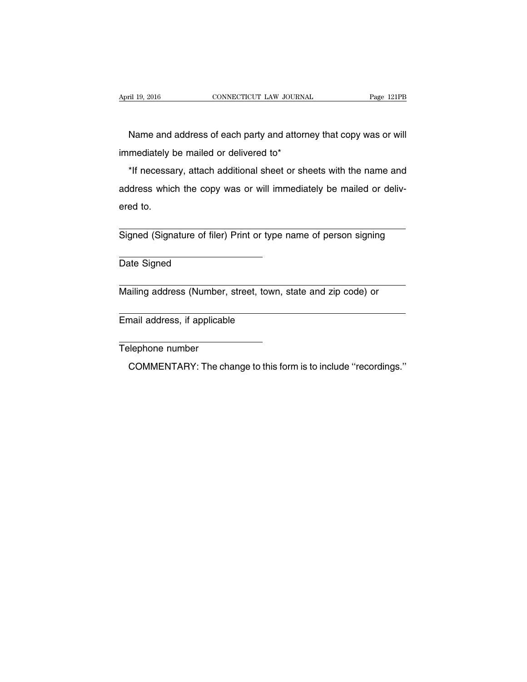Name and address of each party and attorney that copy was or will immediately be mailed or delivered to\*

\*If necessary, attach additional sheet or sheets with the name and address which the copy was or will immediately be mailed or delivered to.

Signed (Signature of filer) Print or type name of person signing

Date Signed

Mailing address (Number, street, town, state and zip code) or

Email address, if applicable

Telephone number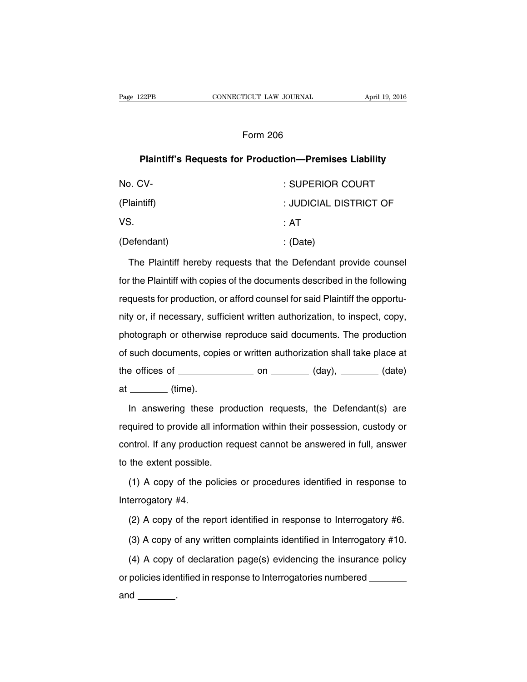## Form 206

# **Plaintiff's Requests for Production—Premises Liability**

| No. CV-     | : SUPERIOR COURT       |
|-------------|------------------------|
| (Plaintiff) | : JUDICIAL DISTRICT OF |
| VS.         | ∶ AT                   |
| (Defendant) | : (Date)               |

The Plaintiff hereby requests that the Defendant provide counsel for the Plaintiff with copies of the documents described in the following requests for production, or afford counsel for said Plaintiff the opportunity or, if necessary, sufficient written authorization, to inspect, copy, photograph or otherwise reproduce said documents. The production of such documents, copies or written authorization shall take place at the offices of  $\_\_\_\_\_$  on  $\_\_\_\_\_$  (day),  $\_\_\_\_\_$  (date)  $at$  (time).

In answering these production requests, the Defendant(s) are required to provide all information within their possession, custody or control. If any production request cannot be answered in full, answer to the extent possible.

(1) A copy of the policies or procedures identified in response to Interrogatory #4.

(2) A copy of the report identified in response to Interrogatory #6.

(3) A copy of any written complaints identified in Interrogatory #10.

(4) A copy of declaration page(s) evidencing the insurance policy or policies identified in response to Interrogatories numbered

and  $\qquad \qquad$ .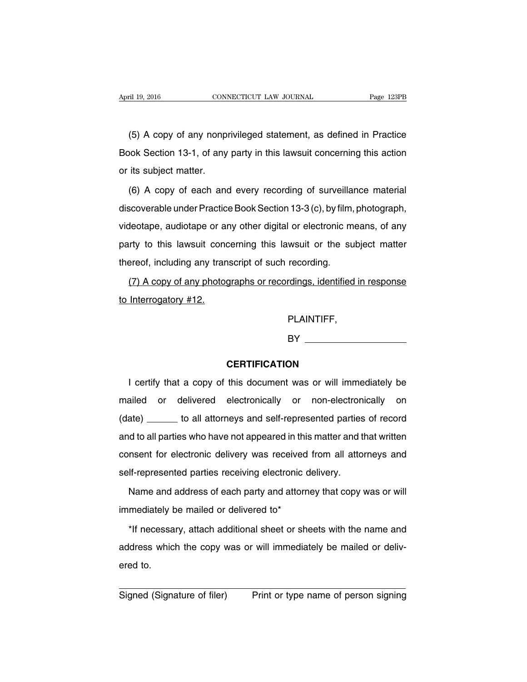(5) A copy of any nonprivileged statement, as defined in Practice Book Section 13-1, of any party in this lawsuit concerning this action or its subject matter.

(6) A copy of each and every recording of surveillance material discoverable under Practice Book Section 13-3 (c), by film, photograph, videotape, audiotape or any other digital or electronic means, of any party to this lawsuit concerning this lawsuit or the subject matter thereof, including any transcript of such recording.

(7) A copy of any photographs or recordings, identified in response to Interrogatory #12.

PLAINTIFF,

**BY** 

## **CERTIFICATION**

I certify that a copy of this document was or will immediately be mailed or delivered electronically or non-electronically on (date) \_\_\_\_\_\_ to all attorneys and self-represented parties of record and to all parties who have not appeared in this matter and that written consent for electronic delivery was received from all attorneys and self-represented parties receiving electronic delivery.

Name and address of each party and attorney that copy was or will immediately be mailed or delivered to\*

\*If necessary, attach additional sheet or sheets with the name and address which the copy was or will immediately be mailed or delivered to.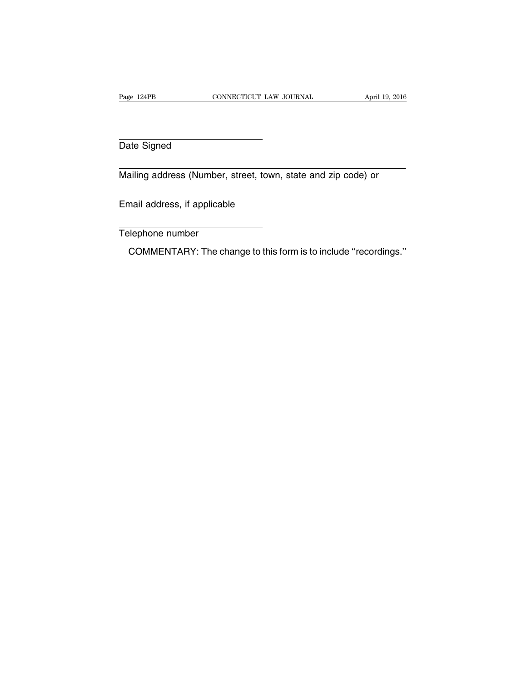Date Signed

Mailing address (Number, street, town, state and zip code) or

Email address, if applicable

Telephone number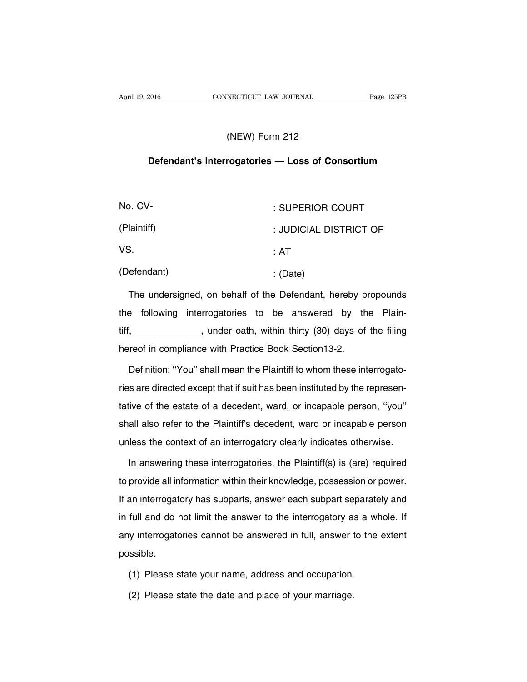# (NEW) Form 212

## **Defendant's Interrogatories — Loss of Consortium**

| No. CV-     | : SUPERIOR COURT       |
|-------------|------------------------|
| (Plaintiff) | : JUDICIAL DISTRICT OF |
| VS.         | :AT                    |
| (Defendant) | : (Date)               |

The undersigned, on behalf of the Defendant, hereby propounds the following interrogatories to be answered by the Plaintiff, \_\_\_\_\_\_\_\_\_\_\_\_\_\_, under oath, within thirty (30) days of the filing hereof in compliance with Practice Book Section13-2.

Definition: ''You'' shall mean the Plaintiff to whom these interrogatories are directed except that if suit has been instituted by the representative of the estate of a decedent, ward, or incapable person, ''you'' shall also refer to the Plaintiff's decedent, ward or incapable person unless the context of an interrogatory clearly indicates otherwise.

In answering these interrogatories, the Plaintiff(s) is (are) required to provide all information within their knowledge, possession or power. If an interrogatory has subparts, answer each subpart separately and in full and do not limit the answer to the interrogatory as a whole. If any interrogatories cannot be answered in full, answer to the extent possible.

- (1) Please state your name, address and occupation.
- (2) Please state the date and place of your marriage.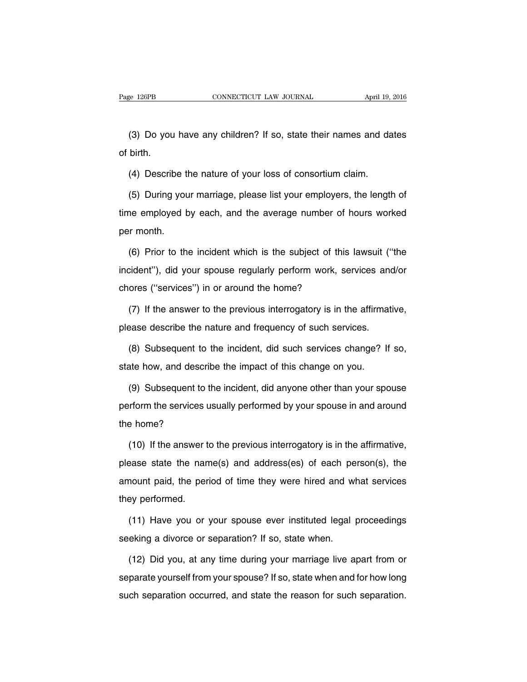(3) Do you have any children? If so, state their names and dates of birth.

(4) Describe the nature of your loss of consortium claim.

(5) During your marriage, please list your employers, the length of time employed by each, and the average number of hours worked per month.

(6) Prior to the incident which is the subject of this lawsuit (''the incident''), did your spouse regularly perform work, services and/or chores (''services'') in or around the home?

(7) If the answer to the previous interrogatory is in the affirmative, please describe the nature and frequency of such services.

(8) Subsequent to the incident, did such services change? If so, state how, and describe the impact of this change on you.

(9) Subsequent to the incident, did anyone other than your spouse perform the services usually performed by your spouse in and around the home?

(10) If the answer to the previous interrogatory is in the affirmative, please state the name(s) and address(es) of each person(s), the amount paid, the period of time they were hired and what services they performed.

(11) Have you or your spouse ever instituted legal proceedings seeking a divorce or separation? If so, state when.

(12) Did you, at any time during your marriage live apart from or separate yourself from your spouse? If so, state when and for how long such separation occurred, and state the reason for such separation.